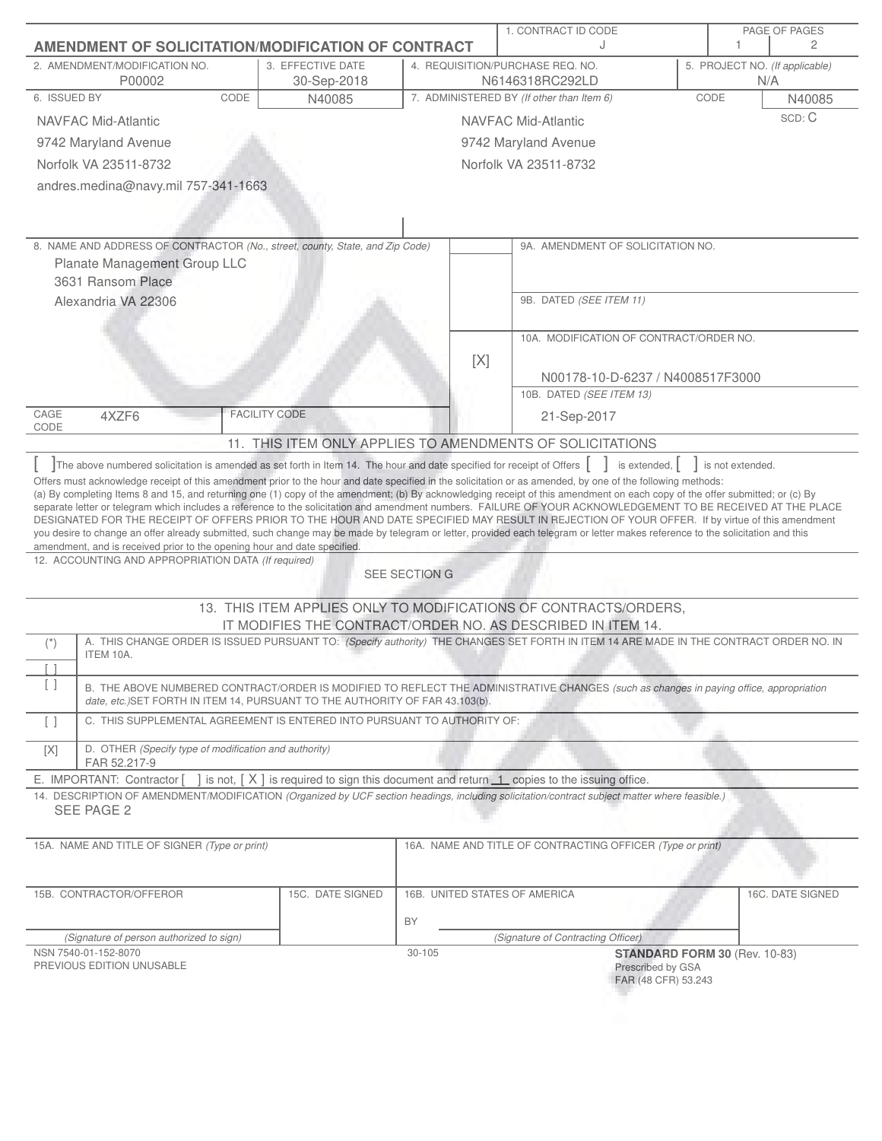| <b>AMENDMENT OF SOLICITATION/MODIFICATION OF CONTRACT</b>                                                                                                                                                                                                                                                                                  |                                                                                            |                               | 1. CONTRACT ID CODE<br>$\cdot$                                                                                                          | PAGE OF PAGES<br>2                                                                                                                     |
|--------------------------------------------------------------------------------------------------------------------------------------------------------------------------------------------------------------------------------------------------------------------------------------------------------------------------------------------|--------------------------------------------------------------------------------------------|-------------------------------|-----------------------------------------------------------------------------------------------------------------------------------------|----------------------------------------------------------------------------------------------------------------------------------------|
| 2. AMENDMENT/MODIFICATION NO.<br>P00002                                                                                                                                                                                                                                                                                                    | 3. EFFECTIVE DATE<br>30-Sep-2018                                                           |                               | 4. REQUISITION/PURCHASE REQ. NO.<br>N6146318RC292LD                                                                                     | 5. PROJECT NO. (If applicable)<br>N/A                                                                                                  |
| 6. ISSUED BY                                                                                                                                                                                                                                                                                                                               | CODE<br>N40085                                                                             |                               | 7. ADMINISTERED BY (If other than Item 6)                                                                                               | CODE<br>N40085                                                                                                                         |
| <b>NAVFAC Mid-Atlantic</b>                                                                                                                                                                                                                                                                                                                 |                                                                                            |                               | NAVFAC Mid-Atlantic                                                                                                                     | SCD: C                                                                                                                                 |
| 9742 Maryland Avenue                                                                                                                                                                                                                                                                                                                       |                                                                                            |                               | 9742 Maryland Avenue                                                                                                                    |                                                                                                                                        |
| Norfolk VA 23511-8732                                                                                                                                                                                                                                                                                                                      |                                                                                            |                               | Norfolk VA 23511-8732                                                                                                                   |                                                                                                                                        |
| andres.medina@navy.mil 757-341-1663                                                                                                                                                                                                                                                                                                        |                                                                                            |                               |                                                                                                                                         |                                                                                                                                        |
|                                                                                                                                                                                                                                                                                                                                            |                                                                                            |                               |                                                                                                                                         |                                                                                                                                        |
| 8. NAME AND ADDRESS OF CONTRACTOR (No., street, county, State, and Zip Code)                                                                                                                                                                                                                                                               |                                                                                            |                               | 9A. AMENDMENT OF SOLICITATION NO.                                                                                                       |                                                                                                                                        |
| Planate Management Group LLC                                                                                                                                                                                                                                                                                                               |                                                                                            |                               |                                                                                                                                         |                                                                                                                                        |
| 3631 Ransom Place                                                                                                                                                                                                                                                                                                                          |                                                                                            |                               |                                                                                                                                         |                                                                                                                                        |
| Alexandria VA 22306                                                                                                                                                                                                                                                                                                                        |                                                                                            |                               | 9B. DATED (SEE ITEM 11)                                                                                                                 |                                                                                                                                        |
|                                                                                                                                                                                                                                                                                                                                            |                                                                                            |                               | 10A. MODIFICATION OF CONTRACT/ORDER NO.                                                                                                 |                                                                                                                                        |
|                                                                                                                                                                                                                                                                                                                                            |                                                                                            | [X]                           |                                                                                                                                         |                                                                                                                                        |
|                                                                                                                                                                                                                                                                                                                                            |                                                                                            |                               | N00178-10-D-6237 / N4008517F3000                                                                                                        |                                                                                                                                        |
|                                                                                                                                                                                                                                                                                                                                            |                                                                                            |                               | 10B. DATED (SEE ITEM 13)                                                                                                                |                                                                                                                                        |
| CAGE<br>4XZF6                                                                                                                                                                                                                                                                                                                              | <b>FACILITY CODE</b>                                                                       |                               | 21-Sep-2017                                                                                                                             |                                                                                                                                        |
| CODE                                                                                                                                                                                                                                                                                                                                       |                                                                                            |                               | 11. THIS ITEM ONLY APPLIES TO AMENDMENTS OF SOLICITATIONS                                                                               |                                                                                                                                        |
| The above numbered solicitation is amended as set forth in Item 14. The hour and date specified for receipt of Offers                                                                                                                                                                                                                      |                                                                                            |                               | is extended, $\vert$                                                                                                                    | is not extended.                                                                                                                       |
| Offers must acknowledge receipt of this amendment prior to the hour and date specified in the solicitation or as amended, by one of the following methods:<br>(a) By completing Items 8 and 15, and returning one (1) copy of the amendment; (b) By acknowledging receipt of this amendment on each copy of the offer submitted; or (c) By |                                                                                            |                               |                                                                                                                                         |                                                                                                                                        |
| separate letter or telegram which includes a reference to the solicitation and amendment numbers. FAILURE OF YOUR ACKNOWLEDGEMENT TO BE RECEIVED AT THE PLACE<br>DESIGNATED FOR THE RECEIPT OF OFFERS PRIOR TO THE HOUR AND DATE SPECIFIED MAY RESULT IN REJECTION OF YOUR OFFER. If by virtue of this amendment                           |                                                                                            |                               |                                                                                                                                         |                                                                                                                                        |
| you desire to change an offer already submitted, such change may be made by telegram or letter, provided each telegram or letter makes reference to the solicitation and this<br>amendment, and is received prior to the opening hour and date specified.                                                                                  |                                                                                            |                               |                                                                                                                                         |                                                                                                                                        |
| 12. ACCOUNTING AND APPROPRIATION DATA (If required)                                                                                                                                                                                                                                                                                        |                                                                                            |                               |                                                                                                                                         |                                                                                                                                        |
|                                                                                                                                                                                                                                                                                                                                            |                                                                                            | SEE SECTION G                 |                                                                                                                                         |                                                                                                                                        |
|                                                                                                                                                                                                                                                                                                                                            |                                                                                            |                               | 13. THIS ITEM APPLIES ONLY TO MODIFICATIONS OF CONTRACTS/ORDERS,<br>IT MODIFIES THE CONTRACT/ORDER NO. AS DESCRIBED IN ITEM 14.         |                                                                                                                                        |
| $(\dot{z})$                                                                                                                                                                                                                                                                                                                                |                                                                                            |                               |                                                                                                                                         | A. THIS CHANGE ORDER IS ISSUED PURSUANT TO: (Specify authority) THE CHANGES SET FORTH IN ITEM 14 ARE MADE IN THE CONTRACT ORDER NO. IN |
| ITEM 10A.                                                                                                                                                                                                                                                                                                                                  |                                                                                            |                               |                                                                                                                                         |                                                                                                                                        |
| [ ]                                                                                                                                                                                                                                                                                                                                        | date, etc.) SET FORTH IN ITEM 14, PURSUANT TO THE AUTHORITY OF FAR 43.103(b).              |                               | B. THE ABOVE NUMBERED CONTRACT/ORDER IS MODIFIED TO REFLECT THE ADMINISTRATIVE CHANGES (such as changes in paying office, appropriation |                                                                                                                                        |
| $\lceil$ $\rceil$                                                                                                                                                                                                                                                                                                                          | C. THIS SUPPLEMENTAL AGREEMENT IS ENTERED INTO PURSUANT TO AUTHORITY OF:                   |                               |                                                                                                                                         |                                                                                                                                        |
| D. OTHER (Specify type of modification and authority)<br>[X]<br>FAR 52.217-9                                                                                                                                                                                                                                                               |                                                                                            |                               |                                                                                                                                         |                                                                                                                                        |
| E. IMPORTANT: Contractor [                                                                                                                                                                                                                                                                                                                 | ] is not, [X] is required to sign this document and return 1 copies to the issuing office. |                               |                                                                                                                                         |                                                                                                                                        |
| 14. DESCRIPTION OF AMENDMENT/MODIFICATION (Organized by UCF section headings, including solicitation/contract subject matter where feasible.)<br>SEE PAGE 2                                                                                                                                                                                |                                                                                            |                               |                                                                                                                                         |                                                                                                                                        |
|                                                                                                                                                                                                                                                                                                                                            |                                                                                            |                               |                                                                                                                                         |                                                                                                                                        |
| 15A. NAME AND TITLE OF SIGNER (Type or print)                                                                                                                                                                                                                                                                                              |                                                                                            |                               | 16A. NAME AND TITLE OF CONTRACTING OFFICER (Type or print)                                                                              |                                                                                                                                        |
| 15B. CONTRACTOR/OFFEROR                                                                                                                                                                                                                                                                                                                    | 15C. DATE SIGNED                                                                           | 16B. UNITED STATES OF AMERICA |                                                                                                                                         | 16C. DATE SIGNED                                                                                                                       |
|                                                                                                                                                                                                                                                                                                                                            |                                                                                            | BY                            |                                                                                                                                         |                                                                                                                                        |
| (Signature of person authorized to sign)                                                                                                                                                                                                                                                                                                   |                                                                                            |                               | (Signature of Contracting Officer)                                                                                                      |                                                                                                                                        |
| NSN 7540-01-152-8070<br>PREVIOUS EDITION UNUSABLE                                                                                                                                                                                                                                                                                          |                                                                                            | $30 - 105$                    | Prescribed by GSA                                                                                                                       | STANDARD FORM 30 (Rev. 10-83)                                                                                                          |
|                                                                                                                                                                                                                                                                                                                                            |                                                                                            |                               | FAR (48 CFR) 53.243                                                                                                                     |                                                                                                                                        |
|                                                                                                                                                                                                                                                                                                                                            |                                                                                            |                               |                                                                                                                                         |                                                                                                                                        |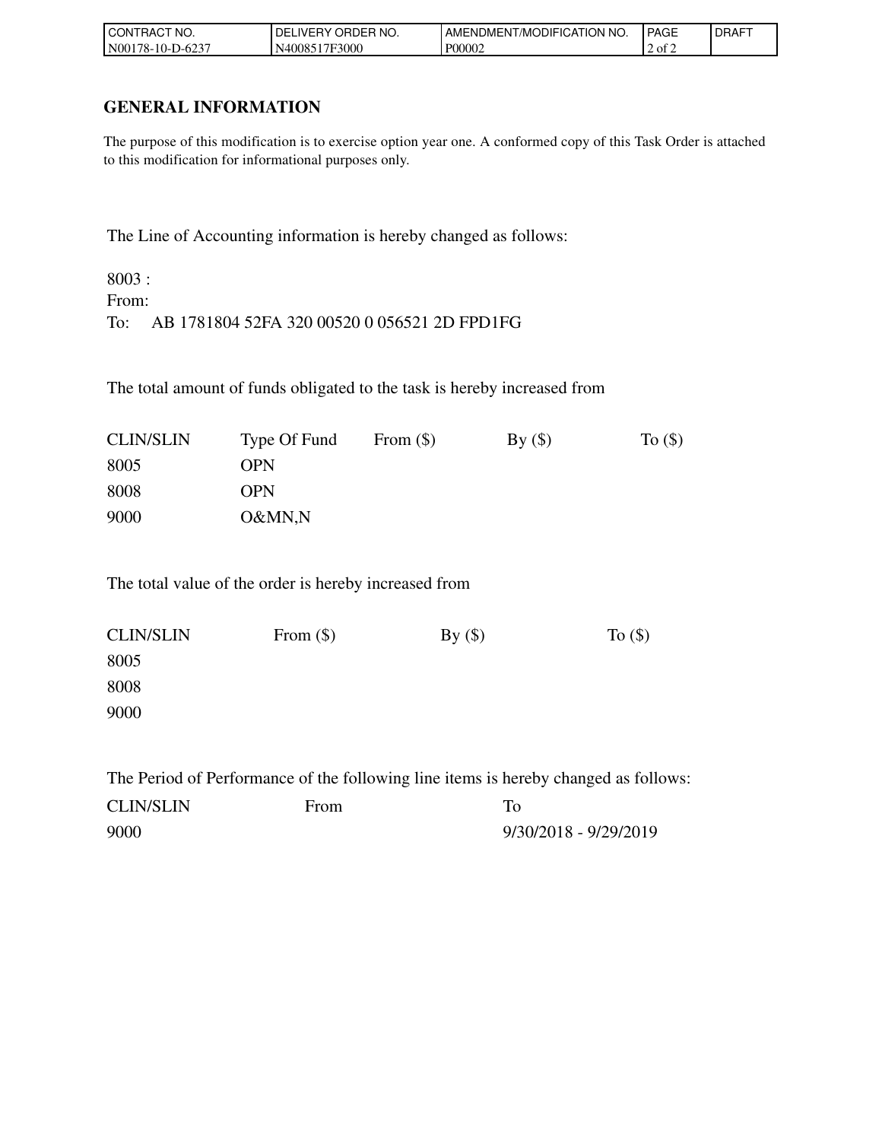| TRACT NO.<br>l CON         | ORDER NO.<br><b>DEL</b><br>_iVERY_ | ™MODIFICATION NO.<br><b>AMENDMENT</b> | <b>PAGE</b>       | <b>DRAFT</b> |
|----------------------------|------------------------------------|---------------------------------------|-------------------|--------------|
| N00<br>l 78-10-l<br>-D-623 | 17F3000<br><b>N40085</b>           | P00002                                | $\pm 2$ of $\sim$ |              |

## **GENERAL INFORMATION**

The purpose of this modification is to exercise option year one. A conformed copy of this Task Order is attached to this modification for informational purposes only.

The Line of Accounting information is hereby changed as follows:

8003 : From: To: AB 1781804 52FA 320 00520 0 056521 2D FPD1FG

The total amount of funds obligated to the task is hereby increased from

| <b>CLIN/SLIN</b> | Type Of Fund | From $(\$)$ | By() | To $($ math) |
|------------------|--------------|-------------|------|--------------|
| 8005             | OPN          |             |      |              |
| 8008             | OPN          |             |      |              |
| 9000             | O&MN,N       |             |      |              |

The total value of the order is hereby increased from

| <b>CLIN/SLIN</b> | From $(\$)$ | By() | To $(\$)$ |
|------------------|-------------|------|-----------|
| 8005             |             |      |           |
| 8008             |             |      |           |
| 9000             |             |      |           |

The Period of Performance of the following line items is hereby changed as follows:

| <b>CLIN/SLIN</b> | From |                       |
|------------------|------|-----------------------|
| 9000             |      | 9/30/2018 - 9/29/2019 |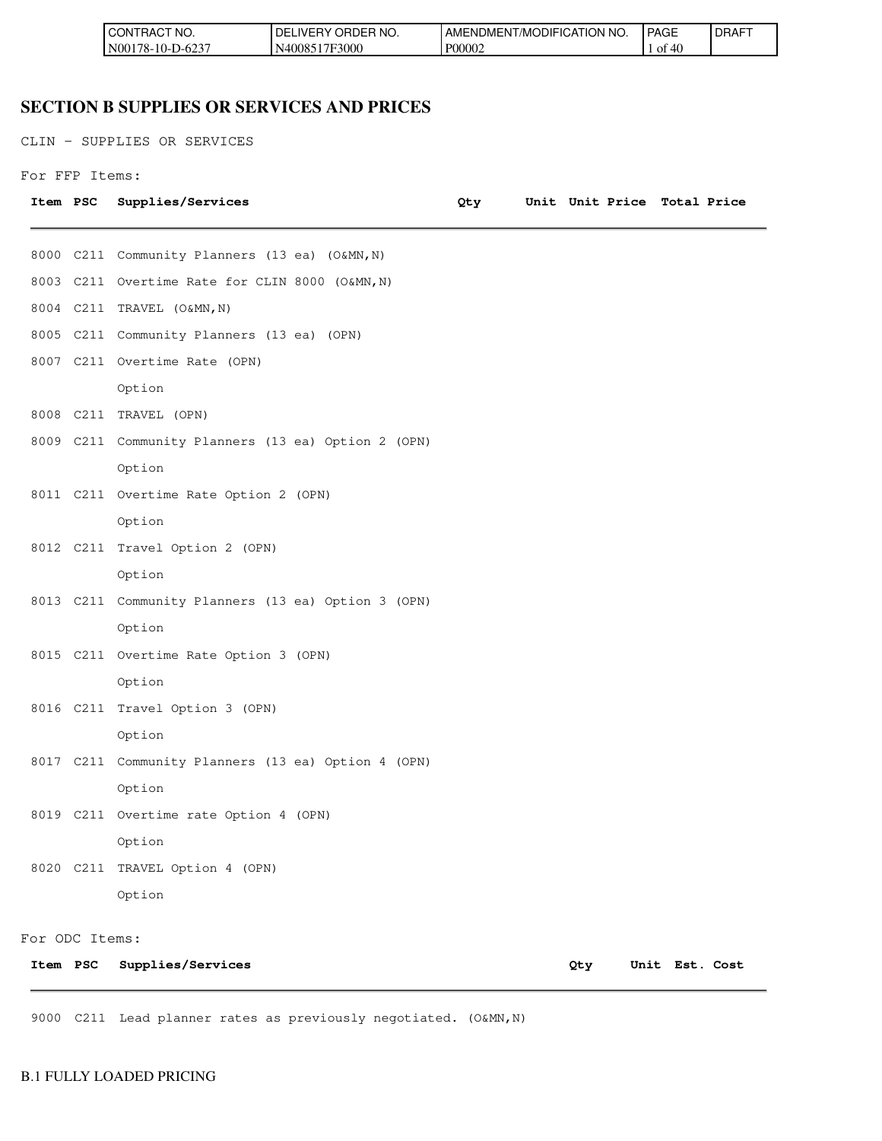| CT NO.<br><b>I</b> CONT<br>TRAC`ı | ORDER NO.<br>' DE.<br>_IVERY | 'NO.<br>TION<br>I AMENDMENT/MODIFICAT | PAGE     | DRAF <sup>-</sup> |
|-----------------------------------|------------------------------|---------------------------------------|----------|-------------------|
| IN00178-10-D-6237                 | 17F3000<br>N400851           | P00002                                | Оİ<br>40 |                   |

## **SECTION B SUPPLIES OR SERVICES AND PRICES**

CLIN - SUPPLIES OR SERVICES

```
For FFP Items:
```

| Item PSC |                | Supplies/Services                                   | Qty |     | Unit Unit Price Total Price |                |  |
|----------|----------------|-----------------------------------------------------|-----|-----|-----------------------------|----------------|--|
|          |                | 8000 C211 Community Planners (13 ea) (O&MN, N)      |     |     |                             |                |  |
|          |                | 8003 C211 Overtime Rate for CLIN 8000 (O&MN, N)     |     |     |                             |                |  |
|          |                | 8004 C211 TRAVEL (O&MN, N)                          |     |     |                             |                |  |
|          |                | 8005 C211 Community Planners (13 ea) (OPN)          |     |     |                             |                |  |
|          |                | 8007 C211 Overtime Rate (OPN)                       |     |     |                             |                |  |
|          |                | Option                                              |     |     |                             |                |  |
|          |                | 8008 C211 TRAVEL (OPN)                              |     |     |                             |                |  |
|          |                | 8009 C211 Community Planners (13 ea) Option 2 (OPN) |     |     |                             |                |  |
|          |                | Option                                              |     |     |                             |                |  |
|          |                | 8011 C211 Overtime Rate Option 2 (OPN)              |     |     |                             |                |  |
|          |                | Option                                              |     |     |                             |                |  |
|          |                | 8012 C211 Travel Option 2 (OPN)                     |     |     |                             |                |  |
|          |                | Option                                              |     |     |                             |                |  |
|          |                | 8013 C211 Community Planners (13 ea) Option 3 (OPN) |     |     |                             |                |  |
|          |                | Option                                              |     |     |                             |                |  |
|          |                | 8015 C211 Overtime Rate Option 3 (OPN)              |     |     |                             |                |  |
|          |                | Option                                              |     |     |                             |                |  |
|          |                | 8016 C211 Travel Option 3 (OPN)                     |     |     |                             |                |  |
|          |                | Option                                              |     |     |                             |                |  |
|          |                | 8017 C211 Community Planners (13 ea) Option 4 (OPN) |     |     |                             |                |  |
|          |                | Option                                              |     |     |                             |                |  |
|          |                | 8019 C211 Overtime rate Option 4 (OPN)              |     |     |                             |                |  |
|          |                | Option                                              |     |     |                             |                |  |
|          |                | 8020 C211 TRAVEL Option 4 (OPN)                     |     |     |                             |                |  |
|          |                | Option                                              |     |     |                             |                |  |
|          | For ODC Items: |                                                     |     |     |                             |                |  |
|          | Item PSC       | Supplies/Services                                   |     | Qty |                             | Unit Est. Cost |  |

9000 C211 Lead planner rates as previously negotiated. (O&MN, N)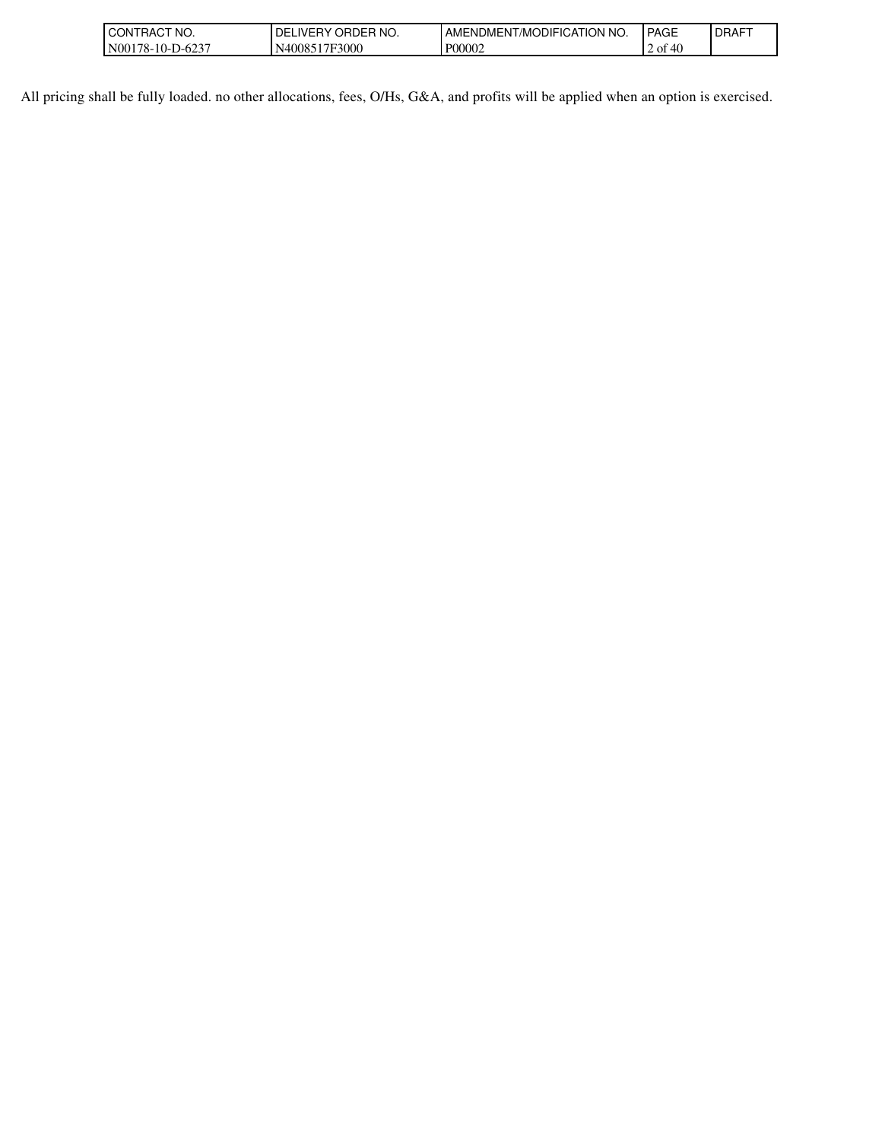| l CON<br>CT NO.<br>RAC                                  | NO.<br>.verv<br>)RDER<br>⊣(،<br>∼ | TION NO.<br><b>JDIFICAT</b><br>AMENE<br>ש∪ME.<br>MK) | <b>PAGE</b>                            | <b>DRAFT</b> |
|---------------------------------------------------------|-----------------------------------|------------------------------------------------------|----------------------------------------|--------------|
| N00<br>$\sqrt{2}$<br>$/8 - 10 - \Gamma$<br>ь.<br>$-0.4$ | F3000<br>-<br>N4008               | P00002                                               | $\overline{ }$<br>ΟĪ<br>᠇ぃ<br><u>_</u> |              |

All pricing shall be fully loaded. no other allocations, fees, O/Hs, G&A, and profits will be applied when an option is exercised.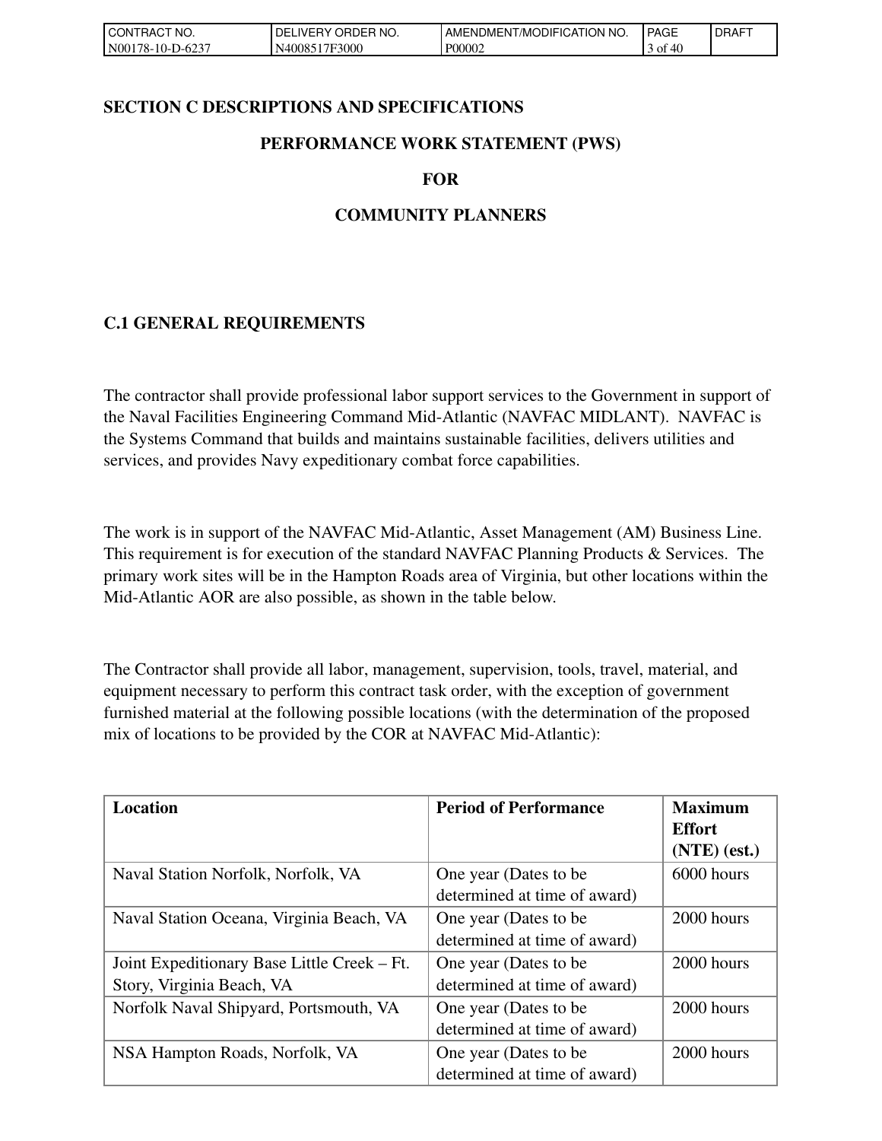| 'NO.<br>I CON<br>`RAC                  | ' ORDER NO.<br><b>DELIVERY</b> | <b>NO</b><br>i/MODIFICATION<br>AMENDMENT | <b>PAGE</b> | <b>DRAFT</b> |
|----------------------------------------|--------------------------------|------------------------------------------|-------------|--------------|
| $-D-623$<br>N <sub>00</sub><br>78-10-I | 17F3000<br>N40085              | P00002                                   | 40<br>οt    |              |

### **SECTION C DESCRIPTIONS AND SPECIFICATIONS**

### **PERFORMANCE WORK STATEMENT (PWS)**

#### **FOR**

## **COMMUNITY PLANNERS**

## **C.1 GENERAL REQUIREMENTS**

The contractor shall provide professional labor support services to the Government in support of the Naval Facilities Engineering Command Mid-Atlantic (NAVFAC MIDLANT). NAVFAC is the Systems Command that builds and maintains sustainable facilities, delivers utilities and services, and provides Navy expeditionary combat force capabilities.

The work is in support of the NAVFAC Mid-Atlantic, Asset Management (AM) Business Line. This requirement is for execution of the standard NAVFAC Planning Products & Services. The primary work sites will be in the Hampton Roads area of Virginia, but other locations within the Mid-Atlantic AOR are also possible, as shown in the table below.

The Contractor shall provide all labor, management, supervision, tools, travel, material, and equipment necessary to perform this contract task order, with the exception of government furnished material at the following possible locations (with the determination of the proposed mix of locations to be provided by the COR at NAVFAC Mid-Atlantic):

| <b>Location</b>                             | <b>Period of Performance</b> | <b>Maximum</b> |
|---------------------------------------------|------------------------------|----------------|
|                                             |                              | <b>Effort</b>  |
|                                             |                              | $(NTE)$ (est.) |
| Naval Station Norfolk, Norfolk, VA          | One year (Dates to be        | 6000 hours     |
|                                             | determined at time of award) |                |
| Naval Station Oceana, Virginia Beach, VA    | One year (Dates to be        | 2000 hours     |
|                                             | determined at time of award) |                |
| Joint Expeditionary Base Little Creek – Ft. | One year (Dates to be        | 2000 hours     |
| Story, Virginia Beach, VA                   | determined at time of award) |                |
| Norfolk Naval Shipyard, Portsmouth, VA      | One year (Dates to be        | 2000 hours     |
|                                             | determined at time of award) |                |
| NSA Hampton Roads, Norfolk, VA              | One year (Dates to be        | 2000 hours     |
|                                             | determined at time of award) |                |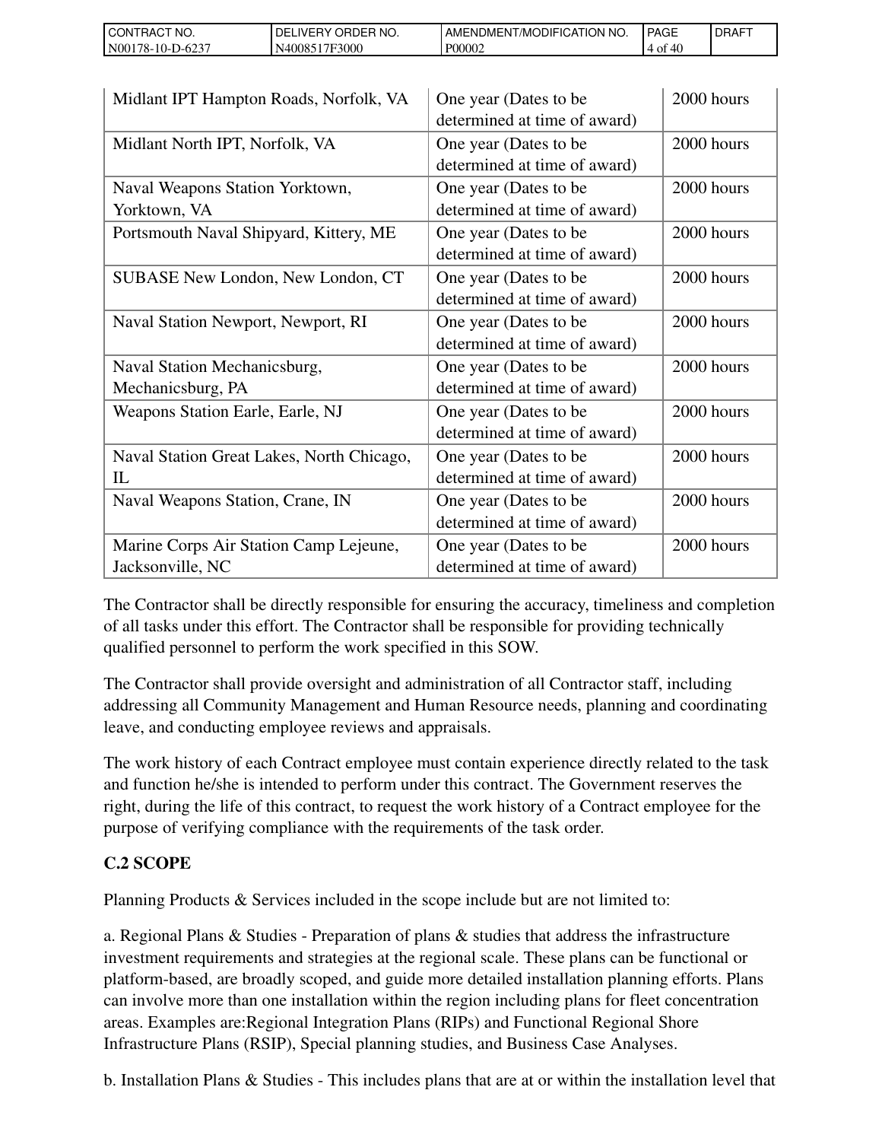| `CT NO.<br>l CON<br>RAC       | 'NO.<br>ORDER<br><b>IVERY</b><br>DELI | ENDMENT/MODIFICATION NO.<br>AME. | <b>PAGE</b>                 | <b>I DRAFT</b> |
|-------------------------------|---------------------------------------|----------------------------------|-----------------------------|----------------|
| N00<br>$178-10-J$<br>$-D-623$ | 17F3000<br>40085                      | P00002                           | $\Delta \Omega$<br>Оİ<br>᠇ぃ |                |

| Midlant IPT Hampton Roads, Norfolk, VA    | One year (Dates to be        | 2000 hours |
|-------------------------------------------|------------------------------|------------|
|                                           | determined at time of award) |            |
| Midlant North IPT, Norfolk, VA            | One year (Dates to be        | 2000 hours |
|                                           | determined at time of award) |            |
| Naval Weapons Station Yorktown,           | One year (Dates to be        | 2000 hours |
| Yorktown, VA                              | determined at time of award) |            |
| Portsmouth Naval Shipyard, Kittery, ME    | One year (Dates to be        | 2000 hours |
|                                           | determined at time of award) |            |
| <b>SUBASE New London, New London, CT</b>  | One year (Dates to be        | 2000 hours |
|                                           | determined at time of award) |            |
| Naval Station Newport, Newport, RI        | One year (Dates to be        | 2000 hours |
|                                           | determined at time of award) |            |
| Naval Station Mechanicsburg,              | One year (Dates to be        | 2000 hours |
| Mechanicsburg, PA                         | determined at time of award) |            |
| Weapons Station Earle, Earle, NJ          | One year (Dates to be        | 2000 hours |
|                                           | determined at time of award) |            |
| Naval Station Great Lakes, North Chicago, | One year (Dates to be        | 2000 hours |
| $_{\rm IL}$                               | determined at time of award) |            |
| Naval Weapons Station, Crane, IN          | One year (Dates to be        | 2000 hours |
|                                           | determined at time of award) |            |
| Marine Corps Air Station Camp Lejeune,    | One year (Dates to be        | 2000 hours |
| Jacksonville, NC                          | determined at time of award) |            |

The Contractor shall be directly responsible for ensuring the accuracy, timeliness and completion of all tasks under this effort. The Contractor shall be responsible for providing technically qualified personnel to perform the work specified in this SOW.

The Contractor shall provide oversight and administration of all Contractor staff, including addressing all Community Management and Human Resource needs, planning and coordinating leave, and conducting employee reviews and appraisals.

The work history of each Contract employee must contain experience directly related to the task and function he/she is intended to perform under this contract. The Government reserves the right, during the life of this contract, to request the work history of a Contract employee for the purpose of verifying compliance with the requirements of the task order.

# **C.2 SCOPE**

Planning Products & Services included in the scope include but are not limited to:

a. Regional Plans & Studies - Preparation of plans & studies that address the infrastructure investment requirements and strategies at the regional scale. These plans can be functional or platform-based, are broadly scoped, and guide more detailed installation planning efforts. Plans can involve more than one installation within the region including plans for fleet concentration areas. Examples are:Regional Integration Plans (RIPs) and Functional Regional Shore Infrastructure Plans (RSIP), Special planning studies, and Business Case Analyses.

b. Installation Plans & Studies - This includes plans that are at or within the installation level that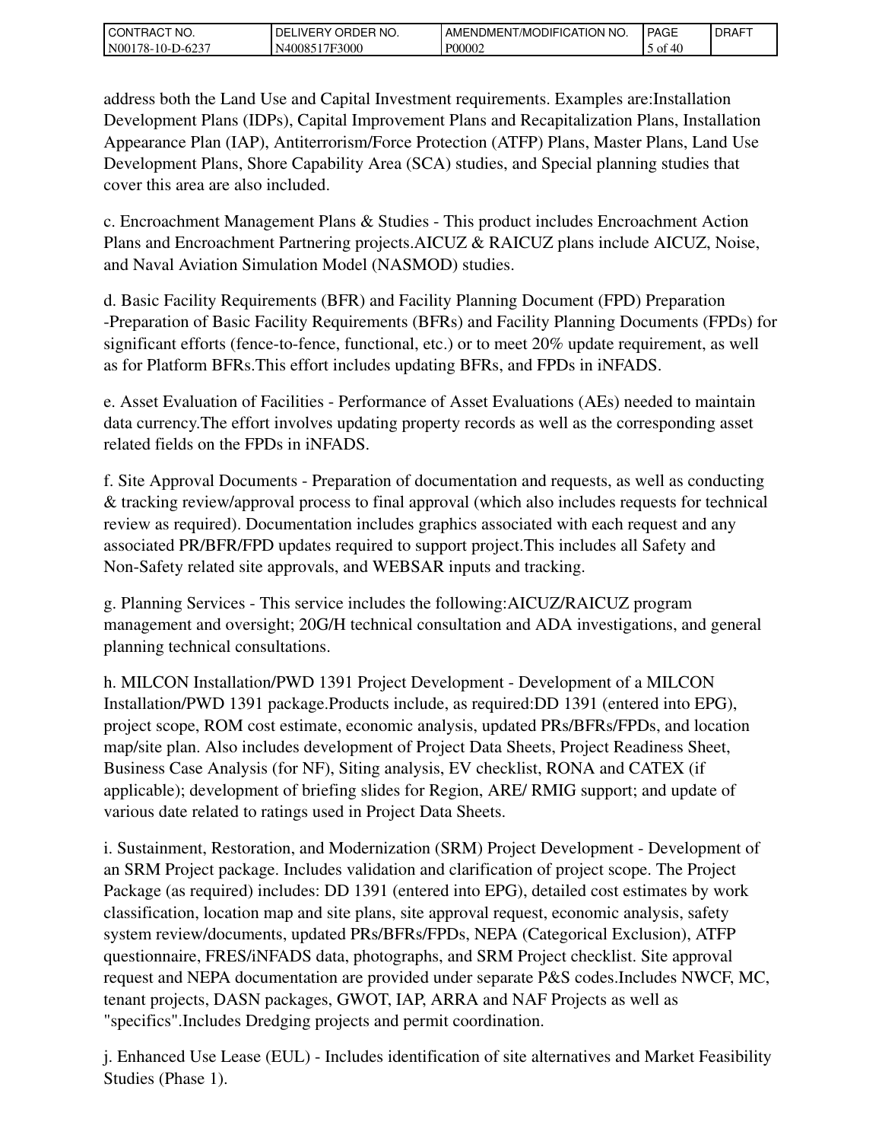| I CON<br>`CT NO.<br>`RAC             | ORDER NO.<br>DELIVERY | NO.<br>i/MODIFICATION<br>' AMENDMEN⊤. | <b>PAGE</b> | <b>DRAFT</b> |
|--------------------------------------|-----------------------|---------------------------------------|-------------|--------------|
| N <sub>00</sub><br>78-10-J<br>-D-623 | N4008517F3000         | P00002                                | 40<br>οt    |              |

address both the Land Use and Capital Investment requirements. Examples are:Installation Development Plans (IDPs), Capital Improvement Plans and Recapitalization Plans, Installation Appearance Plan (IAP), Antiterrorism/Force Protection (ATFP) Plans, Master Plans, Land Use Development Plans, Shore Capability Area (SCA) studies, and Special planning studies that cover this area are also included.

c. Encroachment Management Plans & Studies - This product includes Encroachment Action Plans and Encroachment Partnering projects.AICUZ & RAICUZ plans include AICUZ, Noise, and Naval Aviation Simulation Model (NASMOD) studies.

d. Basic Facility Requirements (BFR) and Facility Planning Document (FPD) Preparation -Preparation of Basic Facility Requirements (BFRs) and Facility Planning Documents (FPDs) for significant efforts (fence-to-fence, functional, etc.) or to meet 20% update requirement, as well as for Platform BFRs.This effort includes updating BFRs, and FPDs in iNFADS.

e. Asset Evaluation of Facilities - Performance of Asset Evaluations (AEs) needed to maintain data currency.The effort involves updating property records as well as the corresponding asset related fields on the FPDs in iNFADS.

f. Site Approval Documents - Preparation of documentation and requests, as well as conducting & tracking review/approval process to final approval (which also includes requests for technical review as required). Documentation includes graphics associated with each request and any associated PR/BFR/FPD updates required to support project.This includes all Safety and Non-Safety related site approvals, and WEBSAR inputs and tracking.

g. Planning Services - This service includes the following:AICUZ/RAICUZ program management and oversight; 20G/H technical consultation and ADA investigations, and general planning technical consultations.

h. MILCON Installation/PWD 1391 Project Development - Development of a MILCON Installation/PWD 1391 package.Products include, as required:DD 1391 (entered into EPG), project scope, ROM cost estimate, economic analysis, updated PRs/BFRs/FPDs, and location map/site plan. Also includes development of Project Data Sheets, Project Readiness Sheet, Business Case Analysis (for NF), Siting analysis, EV checklist, RONA and CATEX (if applicable); development of briefing slides for Region, ARE/ RMIG support; and update of various date related to ratings used in Project Data Sheets.

i. Sustainment, Restoration, and Modernization (SRM) Project Development - Development of an SRM Project package. Includes validation and clarification of project scope. The Project Package (as required) includes: DD 1391 (entered into EPG), detailed cost estimates by work classification, location map and site plans, site approval request, economic analysis, safety system review/documents, updated PRs/BFRs/FPDs, NEPA (Categorical Exclusion), ATFP questionnaire, FRES/iNFADS data, photographs, and SRM Project checklist. Site approval request and NEPA documentation are provided under separate P&S codes.Includes NWCF, MC, tenant projects, DASN packages, GWOT, IAP, ARRA and NAF Projects as well as "specifics".Includes Dredging projects and permit coordination.

j. Enhanced Use Lease (EUL) - Includes identification of site alternatives and Market Feasibility Studies (Phase 1).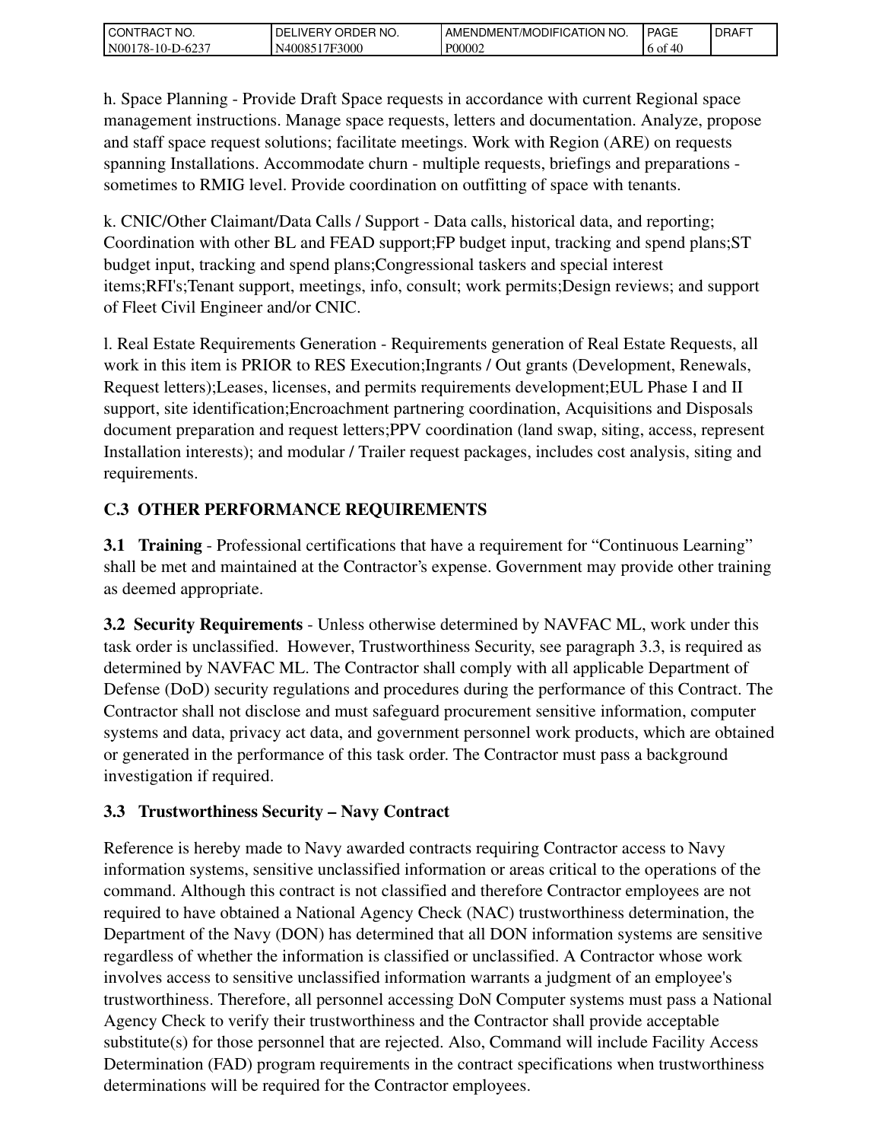| I CONTRACT NO.   | ' ORDER NO.<br>DELIVERY | AMENDMENT/MODIFICATION NO. | <b>PAGE</b> | <b>DRAFT</b> |
|------------------|-------------------------|----------------------------|-------------|--------------|
| N00178-10-D-6237 | 17F3000<br>N40085       | P00002                     | 40<br>6 of  |              |

h. Space Planning - Provide Draft Space requests in accordance with current Regional space management instructions. Manage space requests, letters and documentation. Analyze, propose and staff space request solutions; facilitate meetings. Work with Region (ARE) on requests spanning Installations. Accommodate churn - multiple requests, briefings and preparations sometimes to RMIG level. Provide coordination on outfitting of space with tenants.

k. CNIC/Other Claimant/Data Calls / Support - Data calls, historical data, and reporting; Coordination with other BL and FEAD support;FP budget input, tracking and spend plans;ST budget input, tracking and spend plans;Congressional taskers and special interest items;RFI's;Tenant support, meetings, info, consult; work permits;Design reviews; and support of Fleet Civil Engineer and/or CNIC.

l. Real Estate Requirements Generation - Requirements generation of Real Estate Requests, all work in this item is PRIOR to RES Execution;Ingrants / Out grants (Development, Renewals, Request letters);Leases, licenses, and permits requirements development;EUL Phase I and II support, site identification;Encroachment partnering coordination, Acquisitions and Disposals document preparation and request letters;PPV coordination (land swap, siting, access, represent Installation interests); and modular / Trailer request packages, includes cost analysis, siting and requirements.

# **C.3 OTHER PERFORMANCE REQUIREMENTS**

**3.1 Training** - Professional certifications that have a requirement for "Continuous Learning" shall be met and maintained at the Contractor's expense. Government may provide other training as deemed appropriate.

**3.2 Security Requirements** - Unless otherwise determined by NAVFAC ML, work under this task order is unclassified. However, Trustworthiness Security, see paragraph 3.3, is required as determined by NAVFAC ML. The Contractor shall comply with all applicable Department of Defense (DoD) security regulations and procedures during the performance of this Contract. The Contractor shall not disclose and must safeguard procurement sensitive information, computer systems and data, privacy act data, and government personnel work products, which are obtained or generated in the performance of this task order. The Contractor must pass a background investigation if required.

# **3.3 Trustworthiness Security – Navy Contract**

Reference is hereby made to Navy awarded contracts requiring Contractor access to Navy information systems, sensitive unclassified information or areas critical to the operations of the command. Although this contract is not classified and therefore Contractor employees are not required to have obtained a National Agency Check (NAC) trustworthiness determination, the Department of the Navy (DON) has determined that all DON information systems are sensitive regardless of whether the information is classified or unclassified. A Contractor whose work involves access to sensitive unclassified information warrants a judgment of an employee's trustworthiness. Therefore, all personnel accessing DoN Computer systems must pass a National Agency Check to verify their trustworthiness and the Contractor shall provide acceptable substitute(s) for those personnel that are rejected. Also, Command will include Facility Access Determination (FAD) program requirements in the contract specifications when trustworthiness determinations will be required for the Contractor employees.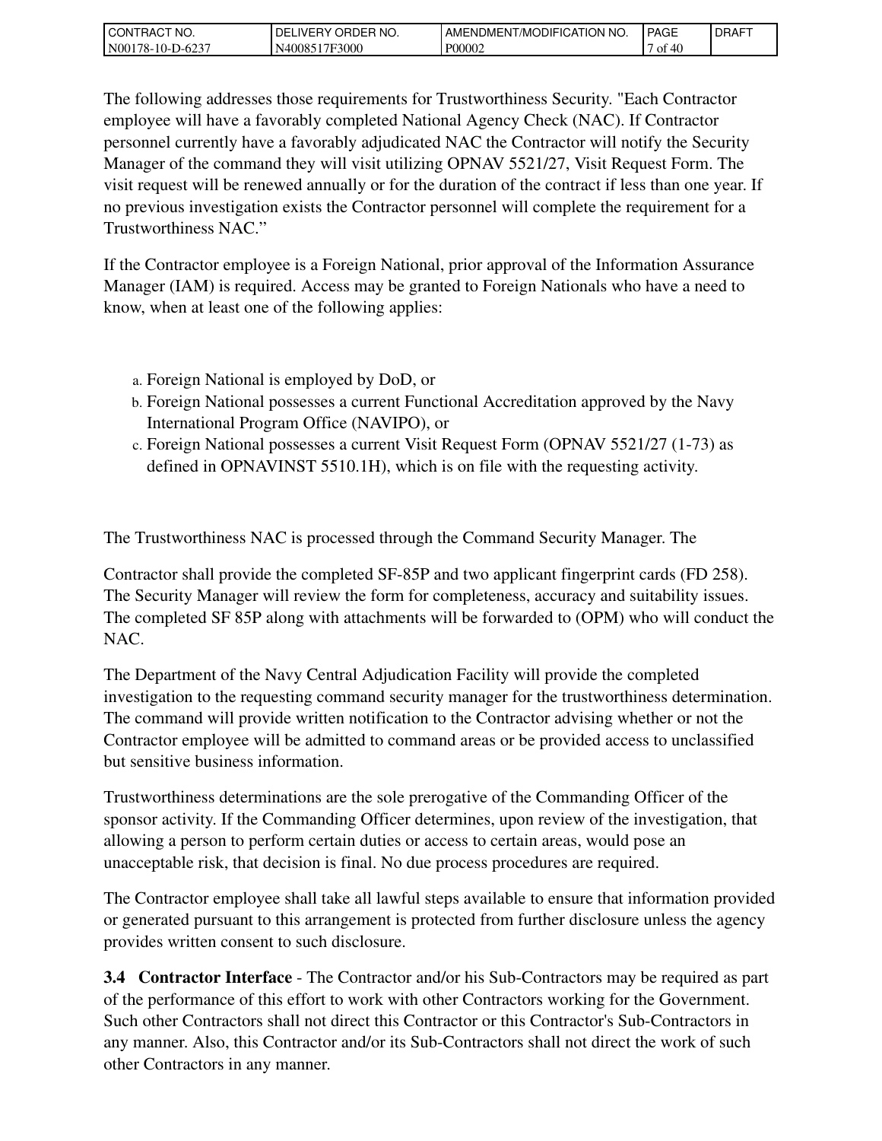| I CON<br>`CT NO.<br>`RAC              | ORDER NO.<br>DELIVERY | <b>ICATION</b><br>' NO.<br><b>T/MODIFIC</b><br>AMENDMEN | <b>PAGE</b> | <b>DRAFT</b> |
|---------------------------------------|-----------------------|---------------------------------------------------------|-------------|--------------|
| N <sub>00</sub><br>.78-10-Г<br>-D-623 | 17F3000<br>N40085     | P00002                                                  | 40<br>0t    |              |

The following addresses those requirements for Trustworthiness Security. "Each Contractor employee will have a favorably completed National Agency Check (NAC). If Contractor personnel currently have a favorably adjudicated NAC the Contractor will notify the Security Manager of the command they will visit utilizing OPNAV 5521/27, Visit Request Form. The visit request will be renewed annually or for the duration of the contract if less than one year. If no previous investigation exists the Contractor personnel will complete the requirement for a Trustworthiness NAC."

If the Contractor employee is a Foreign National, prior approval of the Information Assurance Manager (IAM) is required. Access may be granted to Foreign Nationals who have a need to know, when at least one of the following applies:

- a. Foreign National is employed by DoD, or
- b. Foreign National possesses a current Functional Accreditation approved by the Navy International Program Office (NAVIPO), or
- c. Foreign National possesses a current Visit Request Form (OPNAV 5521/27 (1-73) as defined in OPNAVINST 5510.1H), which is on file with the requesting activity.

The Trustworthiness NAC is processed through the Command Security Manager. The

Contractor shall provide the completed SF-85P and two applicant fingerprint cards (FD 258). The Security Manager will review the form for completeness, accuracy and suitability issues. The completed SF 85P along with attachments will be forwarded to (OPM) who will conduct the NAC.

The Department of the Navy Central Adjudication Facility will provide the completed investigation to the requesting command security manager for the trustworthiness determination. The command will provide written notification to the Contractor advising whether or not the Contractor employee will be admitted to command areas or be provided access to unclassified but sensitive business information.

Trustworthiness determinations are the sole prerogative of the Commanding Officer of the sponsor activity. If the Commanding Officer determines, upon review of the investigation, that allowing a person to perform certain duties or access to certain areas, would pose an unacceptable risk, that decision is final. No due process procedures are required.

The Contractor employee shall take all lawful steps available to ensure that information provided or generated pursuant to this arrangement is protected from further disclosure unless the agency provides written consent to such disclosure.

**3.4 Contractor Interface** - The Contractor and/or his Sub-Contractors may be required as part of the performance of this effort to work with other Contractors working for the Government. Such other Contractors shall not direct this Contractor or this Contractor's Sub-Contractors in any manner. Also, this Contractor and/or its Sub-Contractors shall not direct the work of such other Contractors in any manner.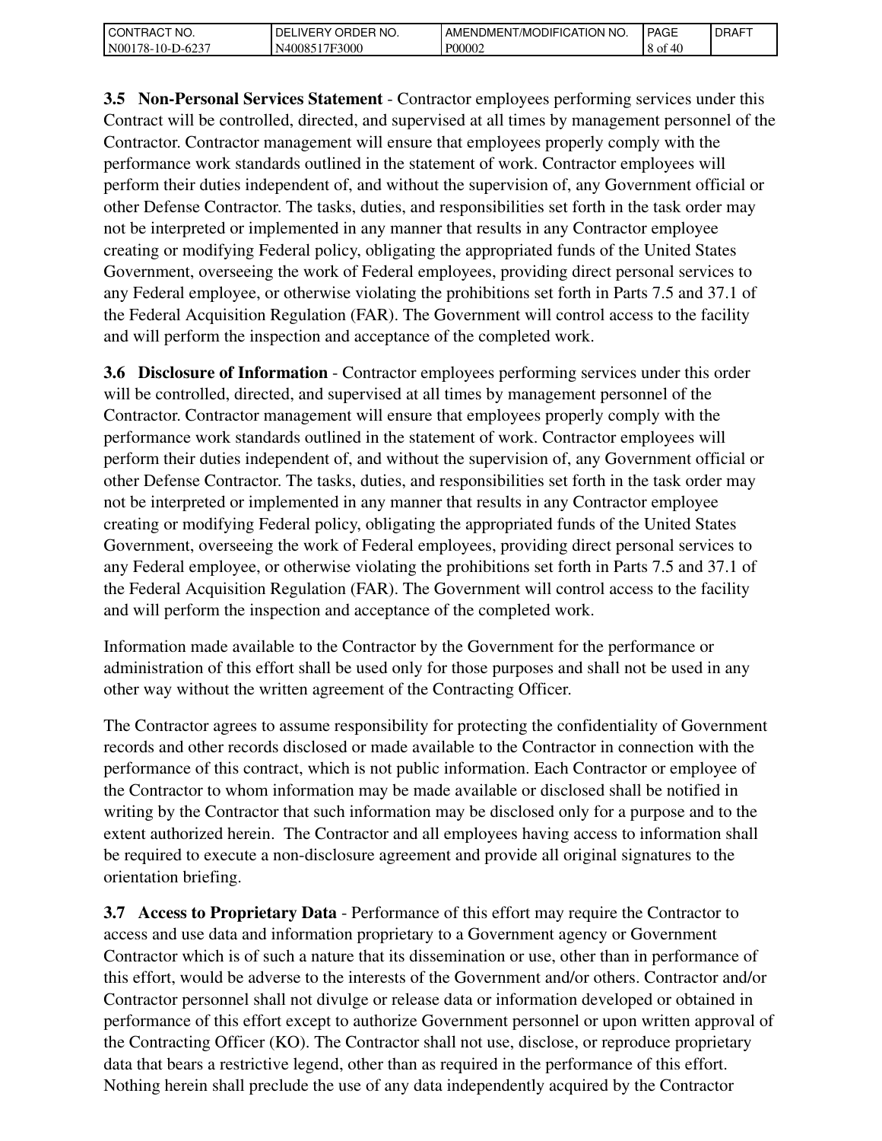| `CT NO.<br>l CON<br>`RAC   | 'NO.<br>ORDER<br><b>IVERY</b><br>DELI | ENDMENT/MODIFICATION NO.<br>AME. | <b>PAGE</b>         | <b>I DRAFT</b> |
|----------------------------|---------------------------------------|----------------------------------|---------------------|----------------|
| N00<br>l 78-10-l<br>-D-623 | 17F3000<br>40085                      | P00002                           | AC<br>8 of<br>$-10$ |                |

**3.5 Non-Personal Services Statement** - Contractor employees performing services under this Contract will be controlled, directed, and supervised at all times by management personnel of the Contractor. Contractor management will ensure that employees properly comply with the performance work standards outlined in the statement of work. Contractor employees will perform their duties independent of, and without the supervision of, any Government official or other Defense Contractor. The tasks, duties, and responsibilities set forth in the task order may not be interpreted or implemented in any manner that results in any Contractor employee creating or modifying Federal policy, obligating the appropriated funds of the United States Government, overseeing the work of Federal employees, providing direct personal services to any Federal employee, or otherwise violating the prohibitions set forth in Parts 7.5 and 37.1 of the Federal Acquisition Regulation (FAR). The Government will control access to the facility and will perform the inspection and acceptance of the completed work.

**3.6 Disclosure of Information** - Contractor employees performing services under this order will be controlled, directed, and supervised at all times by management personnel of the Contractor. Contractor management will ensure that employees properly comply with the performance work standards outlined in the statement of work. Contractor employees will perform their duties independent of, and without the supervision of, any Government official or other Defense Contractor. The tasks, duties, and responsibilities set forth in the task order may not be interpreted or implemented in any manner that results in any Contractor employee creating or modifying Federal policy, obligating the appropriated funds of the United States Government, overseeing the work of Federal employees, providing direct personal services to any Federal employee, or otherwise violating the prohibitions set forth in Parts 7.5 and 37.1 of the Federal Acquisition Regulation (FAR). The Government will control access to the facility and will perform the inspection and acceptance of the completed work.

Information made available to the Contractor by the Government for the performance or administration of this effort shall be used only for those purposes and shall not be used in any other way without the written agreement of the Contracting Officer.

The Contractor agrees to assume responsibility for protecting the confidentiality of Government records and other records disclosed or made available to the Contractor in connection with the performance of this contract, which is not public information. Each Contractor or employee of the Contractor to whom information may be made available or disclosed shall be notified in writing by the Contractor that such information may be disclosed only for a purpose and to the extent authorized herein. The Contractor and all employees having access to information shall be required to execute a non-disclosure agreement and provide all original signatures to the orientation briefing.

**3.7 Access to Proprietary Data** - Performance of this effort may require the Contractor to access and use data and information proprietary to a Government agency or Government Contractor which is of such a nature that its dissemination or use, other than in performance of this effort, would be adverse to the interests of the Government and/or others. Contractor and/or Contractor personnel shall not divulge or release data or information developed or obtained in performance of this effort except to authorize Government personnel or upon written approval of the Contracting Officer (KO). The Contractor shall not use, disclose, or reproduce proprietary data that bears a restrictive legend, other than as required in the performance of this effort. Nothing herein shall preclude the use of any data independently acquired by the Contractor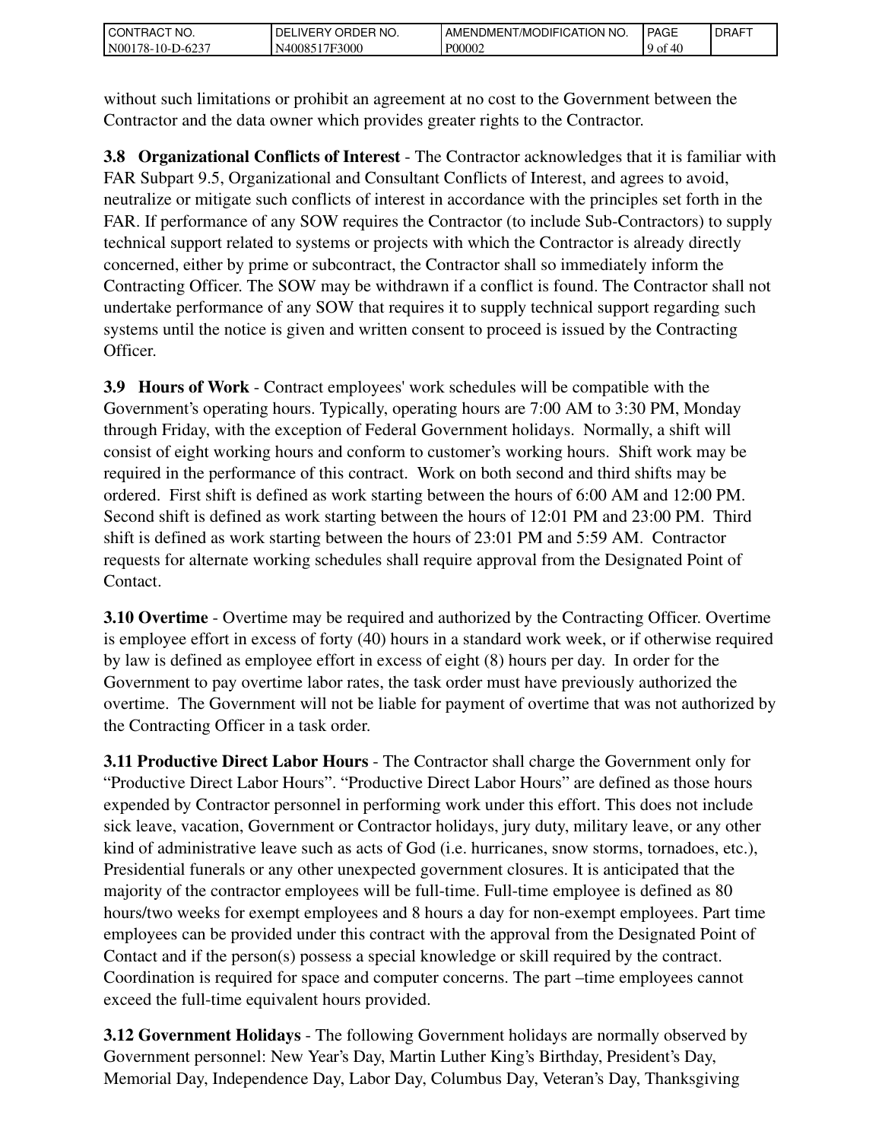| NO.<br>CON<br>`RAC                 | 'NO.<br>DEI<br>ORDEP<br>IVEI<br>ັດ | ATION NO.<br><b>ODIFICAT</b><br>AMENDMENT<br>/MC | <b>PAGE</b>    | <b>DRAFT</b> |
|------------------------------------|------------------------------------|--------------------------------------------------|----------------|--------------|
| N <sub>00</sub><br>78-10-I<br>1.62 | 17F3000<br>N40085                  | P00002                                           | Æ<br>9 of<br>᠇ |              |

without such limitations or prohibit an agreement at no cost to the Government between the Contractor and the data owner which provides greater rights to the Contractor.

**3.8 Organizational Conflicts of Interest** - The Contractor acknowledges that it is familiar with FAR Subpart 9.5, Organizational and Consultant Conflicts of Interest, and agrees to avoid, neutralize or mitigate such conflicts of interest in accordance with the principles set forth in the FAR. If performance of any SOW requires the Contractor (to include Sub-Contractors) to supply technical support related to systems or projects with which the Contractor is already directly concerned, either by prime or subcontract, the Contractor shall so immediately inform the Contracting Officer. The SOW may be withdrawn if a conflict is found. The Contractor shall not undertake performance of any SOW that requires it to supply technical support regarding such systems until the notice is given and written consent to proceed is issued by the Contracting Officer.

**3.9 Hours of Work** - Contract employees' work schedules will be compatible with the Government's operating hours. Typically, operating hours are 7:00 AM to 3:30 PM, Monday through Friday, with the exception of Federal Government holidays. Normally, a shift will consist of eight working hours and conform to customer's working hours. Shift work may be required in the performance of this contract. Work on both second and third shifts may be ordered. First shift is defined as work starting between the hours of 6:00 AM and 12:00 PM. Second shift is defined as work starting between the hours of 12:01 PM and 23:00 PM. Third shift is defined as work starting between the hours of 23:01 PM and 5:59 AM. Contractor requests for alternate working schedules shall require approval from the Designated Point of Contact.

**3.10 Overtime** - Overtime may be required and authorized by the Contracting Officer. Overtime is employee effort in excess of forty (40) hours in a standard work week, or if otherwise required by law is defined as employee effort in excess of eight (8) hours per day. In order for the Government to pay overtime labor rates, the task order must have previously authorized the overtime. The Government will not be liable for payment of overtime that was not authorized by the Contracting Officer in a task order.

**3.11 Productive Direct Labor Hours** - The Contractor shall charge the Government only for "Productive Direct Labor Hours". "Productive Direct Labor Hours" are defined as those hours expended by Contractor personnel in performing work under this effort. This does not include sick leave, vacation, Government or Contractor holidays, jury duty, military leave, or any other kind of administrative leave such as acts of God (i.e. hurricanes, snow storms, tornadoes, etc.), Presidential funerals or any other unexpected government closures. It is anticipated that the majority of the contractor employees will be full-time. Full-time employee is defined as 80 hours/two weeks for exempt employees and 8 hours a day for non-exempt employees. Part time employees can be provided under this contract with the approval from the Designated Point of Contact and if the person(s) possess a special knowledge or skill required by the contract. Coordination is required for space and computer concerns. The part –time employees cannot exceed the full-time equivalent hours provided.

**3.12 Government Holidays** - The following Government holidays are normally observed by Government personnel: New Year's Day, Martin Luther King's Birthday, President's Day, Memorial Day, Independence Day, Labor Day, Columbus Day, Veteran's Day, Thanksgiving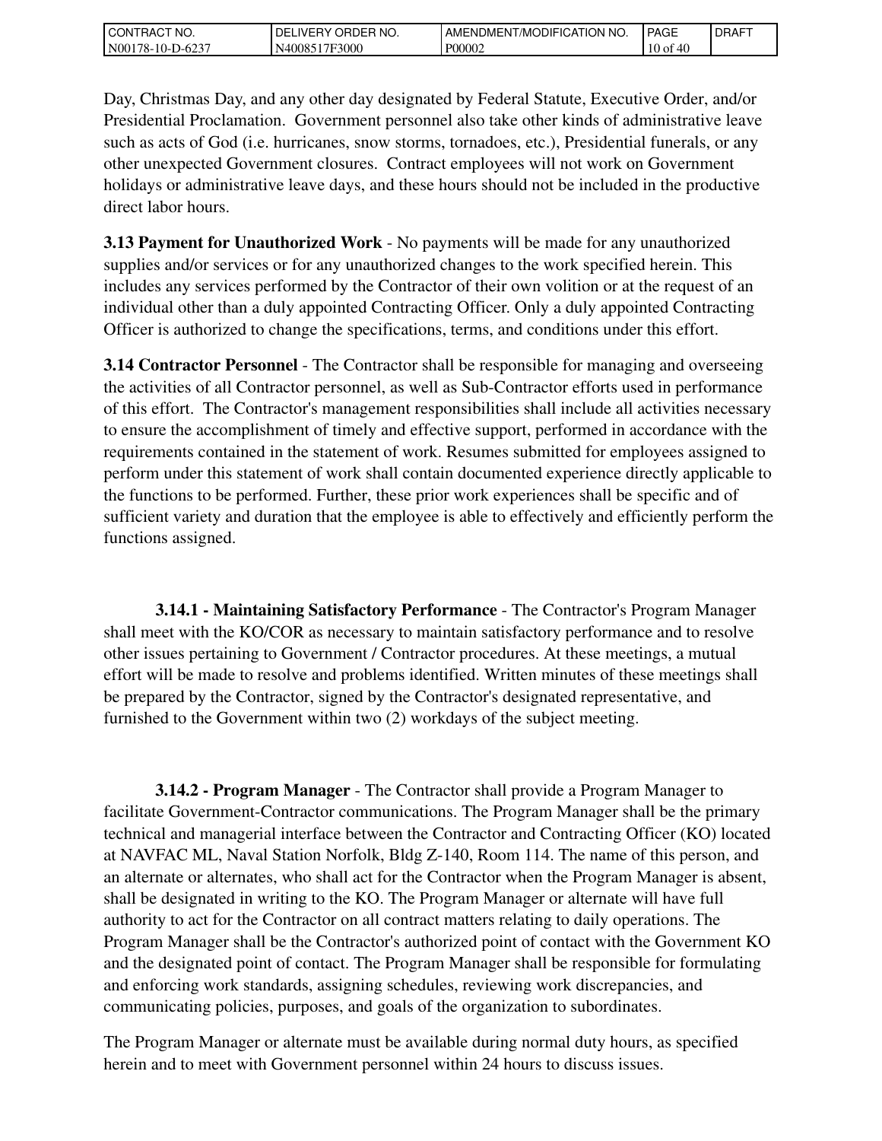| I CON<br>`CT NO.<br>`RAC              | ORDER NO.<br>DELIVERY | <b>ICATION</b><br>' NO.<br>u/MODIFIC<br>AMENDMEN | PAGE           | <b>IDRAFT</b> |
|---------------------------------------|-----------------------|--------------------------------------------------|----------------|---------------|
| N <sub>00</sub><br>.78-10-Г<br>-D-623 | 17F3000<br>N40085     | P00002                                           | 10<br>46<br>0Ī |               |

Day, Christmas Day, and any other day designated by Federal Statute, Executive Order, and/or Presidential Proclamation. Government personnel also take other kinds of administrative leave such as acts of God (i.e. hurricanes, snow storms, tornadoes, etc.), Presidential funerals, or any other unexpected Government closures. Contract employees will not work on Government holidays or administrative leave days, and these hours should not be included in the productive direct labor hours.

**3.13 Payment for Unauthorized Work** - No payments will be made for any unauthorized supplies and/or services or for any unauthorized changes to the work specified herein. This includes any services performed by the Contractor of their own volition or at the request of an individual other than a duly appointed Contracting Officer. Only a duly appointed Contracting Officer is authorized to change the specifications, terms, and conditions under this effort.

**3.14 Contractor Personnel** - The Contractor shall be responsible for managing and overseeing the activities of all Contractor personnel, as well as Sub-Contractor efforts used in performance of this effort. The Contractor's management responsibilities shall include all activities necessary to ensure the accomplishment of timely and effective support, performed in accordance with the requirements contained in the statement of work. Resumes submitted for employees assigned to perform under this statement of work shall contain documented experience directly applicable to the functions to be performed. Further, these prior work experiences shall be specific and of sufficient variety and duration that the employee is able to effectively and efficiently perform the functions assigned.

 **3.14.1 - Maintaining Satisfactory Performance** - The Contractor's Program Manager shall meet with the KO/COR as necessary to maintain satisfactory performance and to resolve other issues pertaining to Government / Contractor procedures. At these meetings, a mutual effort will be made to resolve and problems identified. Written minutes of these meetings shall be prepared by the Contractor, signed by the Contractor's designated representative, and furnished to the Government within two (2) workdays of the subject meeting.

 **3.14.2 - Program Manager** - The Contractor shall provide a Program Manager to facilitate Government-Contractor communications. The Program Manager shall be the primary technical and managerial interface between the Contractor and Contracting Officer (KO) located at NAVFAC ML, Naval Station Norfolk, Bldg Z-140, Room 114. The name of this person, and an alternate or alternates, who shall act for the Contractor when the Program Manager is absent, shall be designated in writing to the KO. The Program Manager or alternate will have full authority to act for the Contractor on all contract matters relating to daily operations. The Program Manager shall be the Contractor's authorized point of contact with the Government KO and the designated point of contact. The Program Manager shall be responsible for formulating and enforcing work standards, assigning schedules, reviewing work discrepancies, and communicating policies, purposes, and goals of the organization to subordinates.

The Program Manager or alternate must be available during normal duty hours, as specified herein and to meet with Government personnel within 24 hours to discuss issues.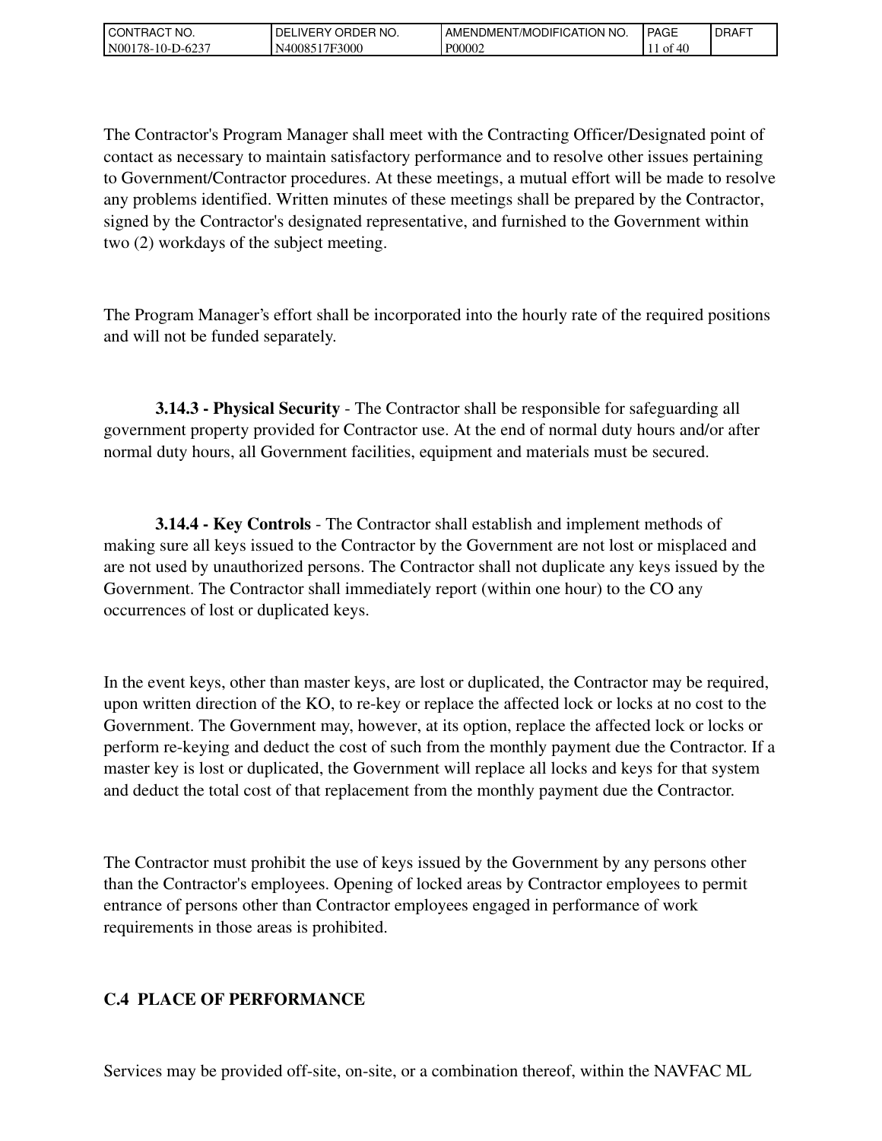| `NO.<br>CON1<br>'RAC                                  | `NO.<br>ORDEP<br>DF<br>IVE.<br>ັດ<br>п. | "/MODIFICATION NO.<br>AMENDMENT | <b>PAGE</b>         | <b>I DRAFT</b> |
|-------------------------------------------------------|-----------------------------------------|---------------------------------|---------------------|----------------|
| $\sqrt{2}$<br>N <sub>00</sub><br>78-10-E<br>$10-62$ . | 17F3000<br>N40085                       | P00002                          | ⁄ I I<br>ΟĪ<br>$+c$ |                |

The Contractor's Program Manager shall meet with the Contracting Officer/Designated point of contact as necessary to maintain satisfactory performance and to resolve other issues pertaining to Government/Contractor procedures. At these meetings, a mutual effort will be made to resolve any problems identified. Written minutes of these meetings shall be prepared by the Contractor, signed by the Contractor's designated representative, and furnished to the Government within two (2) workdays of the subject meeting.

The Program Manager's effort shall be incorporated into the hourly rate of the required positions and will not be funded separately.

 **3.14.3 - Physical Security** - The Contractor shall be responsible for safeguarding all government property provided for Contractor use. At the end of normal duty hours and/or after normal duty hours, all Government facilities, equipment and materials must be secured.

 **3.14.4 - Key Controls** - The Contractor shall establish and implement methods of making sure all keys issued to the Contractor by the Government are not lost or misplaced and are not used by unauthorized persons. The Contractor shall not duplicate any keys issued by the Government. The Contractor shall immediately report (within one hour) to the CO any occurrences of lost or duplicated keys.

In the event keys, other than master keys, are lost or duplicated, the Contractor may be required, upon written direction of the KO, to re-key or replace the affected lock or locks at no cost to the Government. The Government may, however, at its option, replace the affected lock or locks or perform re-keying and deduct the cost of such from the monthly payment due the Contractor. If a master key is lost or duplicated, the Government will replace all locks and keys for that system and deduct the total cost of that replacement from the monthly payment due the Contractor.

The Contractor must prohibit the use of keys issued by the Government by any persons other than the Contractor's employees. Opening of locked areas by Contractor employees to permit entrance of persons other than Contractor employees engaged in performance of work requirements in those areas is prohibited.

## **C.4 PLACE OF PERFORMANCE**

Services may be provided off-site, on-site, or a combination thereof, within the NAVFAC ML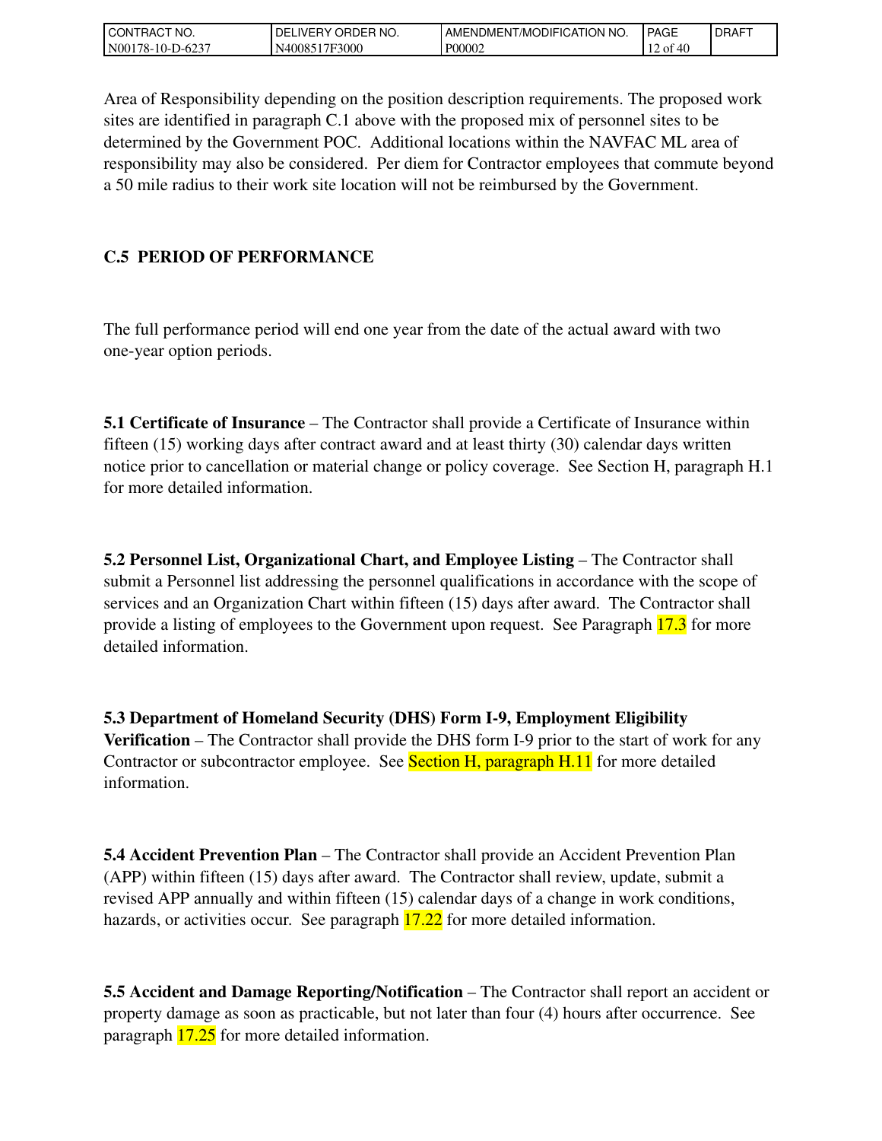| TRACT NO.<br>I CON            | ORDER<br>`NO.<br>IVERY (<br>DELI | LAMENDMENT/MODIFICATION NO. | <b>PAGE</b>                           | <b>IDRAFT</b> |
|-------------------------------|----------------------------------|-----------------------------|---------------------------------------|---------------|
| N00<br>'78-10-L<br>$D - 623'$ | 17F3000<br>N40085                | P00002                      | `40<br>$\sim$<br>ΟĪ<br>$\overline{1}$ |               |

Area of Responsibility depending on the position description requirements. The proposed work sites are identified in paragraph C.1 above with the proposed mix of personnel sites to be determined by the Government POC. Additional locations within the NAVFAC ML area of responsibility may also be considered. Per diem for Contractor employees that commute beyond a 50 mile radius to their work site location will not be reimbursed by the Government.

## **C.5 PERIOD OF PERFORMANCE**

The full performance period will end one year from the date of the actual award with two one-year option periods.

**5.1 Certificate of Insurance** – The Contractor shall provide a Certificate of Insurance within fifteen (15) working days after contract award and at least thirty (30) calendar days written notice prior to cancellation or material change or policy coverage. See Section H, paragraph H.1 for more detailed information.

**5.2 Personnel List, Organizational Chart, and Employee Listing** – The Contractor shall submit a Personnel list addressing the personnel qualifications in accordance with the scope of services and an Organization Chart within fifteen (15) days after award. The Contractor shall provide a listing of employees to the Government upon request. See Paragraph 17.3 for more detailed information.

**5.3 Department of Homeland Security (DHS) Form I-9, Employment Eligibility Verification** – The Contractor shall provide the DHS form I-9 prior to the start of work for any Contractor or subcontractor employee. See Section H, paragraph H.11 for more detailed information.

**5.4 Accident Prevention Plan** – The Contractor shall provide an Accident Prevention Plan (APP) within fifteen (15) days after award. The Contractor shall review, update, submit a revised APP annually and within fifteen (15) calendar days of a change in work conditions, hazards, or activities occur. See paragraph  $17.22$  for more detailed information.

**5.5 Accident and Damage Reporting/Notification** – The Contractor shall report an accident or property damage as soon as practicable, but not later than four (4) hours after occurrence. See paragraph 17.25 for more detailed information.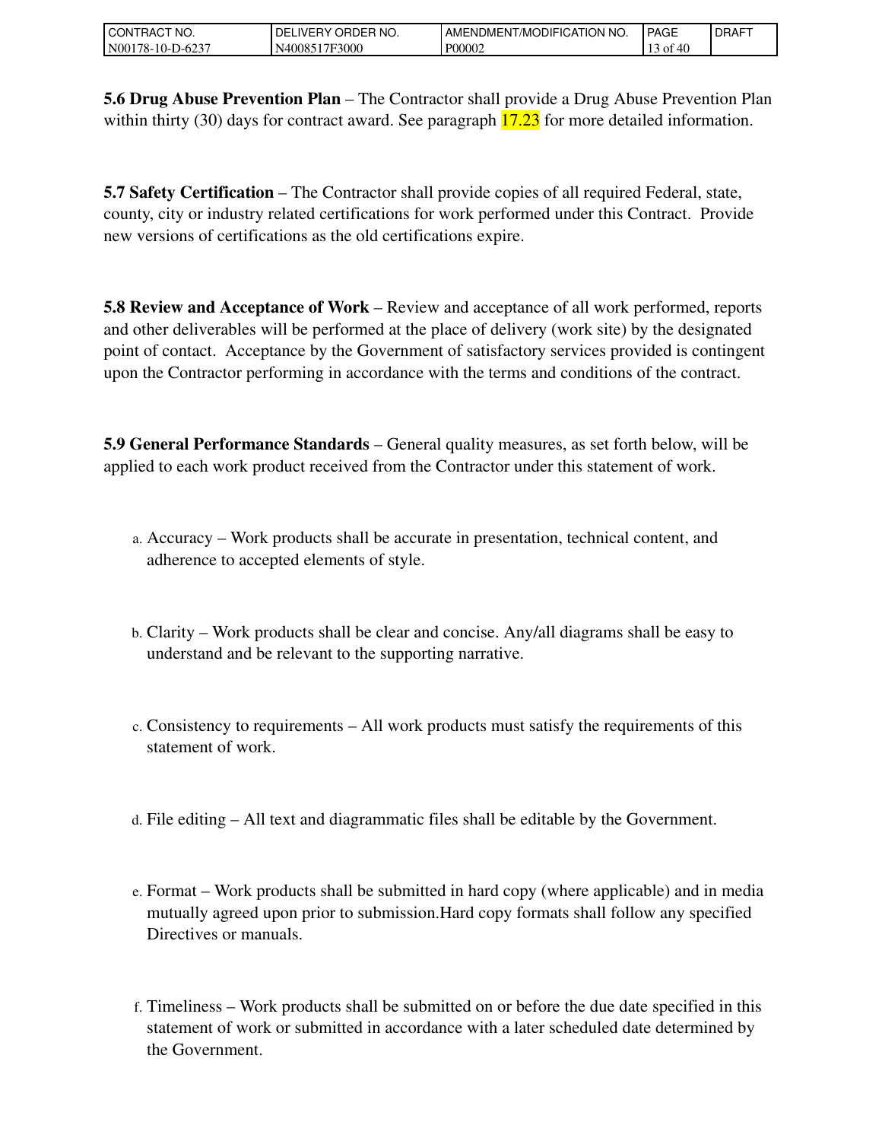| l CON<br>CT NO.<br>RAC    | NO.<br>---<br>ORDEP<br>DEL<br><b>IVERY</b> | T <sub>1</sub> < 1<br>NO.<br>AME<br>/MODIFICATION<br>:NDMENT | <b>PAGE</b>            | <b>I DRAFT</b> |
|---------------------------|--------------------------------------------|--------------------------------------------------------------|------------------------|----------------|
| N00<br>$78-10-$<br>-D-623 | 7F3000<br>-4008.                           | P00002                                                       | $c$ $c$<br>O1<br>⁄ I I |                |

**5.6 Drug Abuse Prevention Plan** – The Contractor shall provide a Drug Abuse Prevention Plan within thirty (30) days for contract award. See paragraph  $17.23$  for more detailed information.

**5.7 Safety Certification** – The Contractor shall provide copies of all required Federal, state, county, city or industry related certifications for work performed under this Contract. Provide new versions of certifications as the old certifications expire.

**5.8 Review and Acceptance of Work** – Review and acceptance of all work performed, reports and other deliverables will be performed at the place of delivery (work site) by the designated point of contact. Acceptance by the Government of satisfactory services provided is contingent upon the Contractor performing in accordance with the terms and conditions of the contract.

**5.9 General Performance Standards** – General quality measures, as set forth below, will be applied to each work product received from the Contractor under this statement of work.

- Accuracy Work products shall be accurate in presentation, technical content, and a. adherence to accepted elements of style.
- Clarity Work products shall be clear and concise. Any/all diagrams shall be easy to b. understand and be relevant to the supporting narrative.
- c. Consistency to requirements All work products must satisfy the requirements of this statement of work.
- d. File editing All text and diagrammatic files shall be editable by the Government.
- e. Format Work products shall be submitted in hard copy (where applicable) and in media mutually agreed upon prior to submission.Hard copy formats shall follow any specified Directives or manuals.
- Timeliness Work products shall be submitted on or before the due date specified in this f. statement of work or submitted in accordance with a later scheduled date determined by the Government.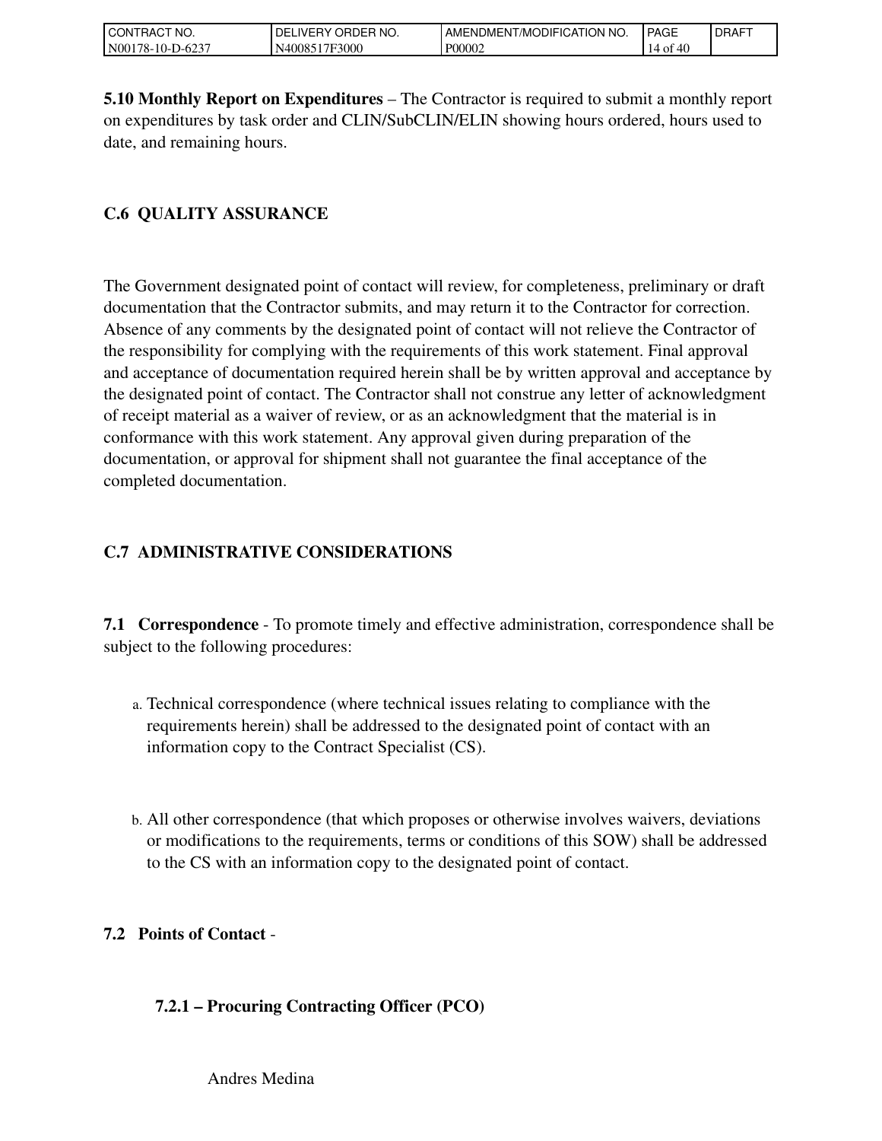| 'RACT NO.<br>l CON'i         | ORDEP<br>'NO.<br>DELI<br>_IVERY. | I AMENDMENT/MODIFICATION NO. | <b>PAGE</b>      | LDRAFT |
|------------------------------|----------------------------------|------------------------------|------------------|--------|
| N001<br>$-D-623$<br>'78-10-l | 7F3000<br><b>N40085</b><br>' 7F  | P00002                       | - 4u<br>ОI<br>14 |        |

**5.10 Monthly Report on Expenditures** – The Contractor is required to submit a monthly report on expenditures by task order and CLIN/SubCLIN/ELIN showing hours ordered, hours used to date, and remaining hours.

## **C.6 QUALITY ASSURANCE**

The Government designated point of contact will review, for completeness, preliminary or draft documentation that the Contractor submits, and may return it to the Contractor for correction. Absence of any comments by the designated point of contact will not relieve the Contractor of the responsibility for complying with the requirements of this work statement. Final approval and acceptance of documentation required herein shall be by written approval and acceptance by the designated point of contact. The Contractor shall not construe any letter of acknowledgment of receipt material as a waiver of review, or as an acknowledgment that the material is in conformance with this work statement. Any approval given during preparation of the documentation, or approval for shipment shall not guarantee the final acceptance of the completed documentation.

## **C.7 ADMINISTRATIVE CONSIDERATIONS**

**7.1 Correspondence** - To promote timely and effective administration, correspondence shall be subject to the following procedures:

- Technical correspondence (where technical issues relating to compliance with the a. requirements herein) shall be addressed to the designated point of contact with an information copy to the Contract Specialist (CS).
- All other correspondence (that which proposes or otherwise involves waivers, deviations b. or modifications to the requirements, terms or conditions of this SOW) shall be addressed to the CS with an information copy to the designated point of contact.

## **7.2 Points of Contact** -

## **7.2.1 – Procuring Contracting Officer (PCO)**

Andres Medina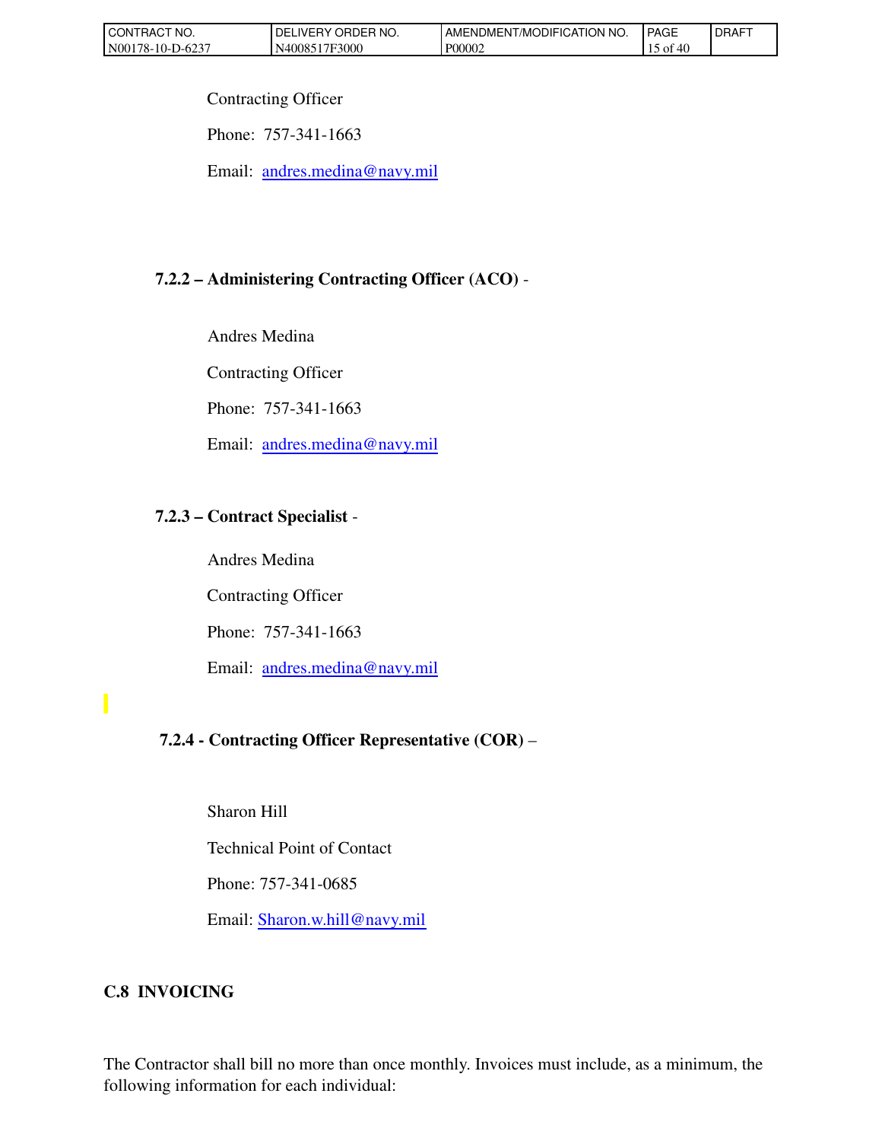| <b>CONTRACT</b><br>'NO. | ORDER NO.<br>DEI<br><b>IVERY</b> | AMENDMENT/MODIFICATION NO. | <b>PAGE</b>             | DRAFT |
|-------------------------|----------------------------------|----------------------------|-------------------------|-------|
| 5-623-<br>N00178-10-I   | 17F3000<br>N400851               | P00002                     | - O1<br>⁄ I I<br>$\tau$ |       |

Contracting Officer

Phone: 757-341-1663

Email: [andres.medina@navy.mil](mailto:andres.medina@navy.mil)

# **7.2.2 – Administering Contracting Officer (ACO)** -

Andres Medina

Contracting Officer

Phone: 757-341-1663

Email: [andres.medina@navy.mil](mailto:andres.medina@navy.mil)

## **7.2.3 – Contract Specialist** -

 Andres Medina Contracting Officer Phone: 757-341-1663 Email: [andres.medina@navy.mil](mailto:andres.medina@navy.mil)

# **7.2.4 - Contracting Officer Representative (COR)** –

Sharon Hill

Technical Point of Contact

Phone: 757-341-0685

Email: [Sharon.w.hill@navy.mil](mailto:Sharon.w.hill@navy.mil)

# **C.8 INVOICING**

The Contractor shall bill no more than once monthly. Invoices must include, as a minimum, the following information for each individual: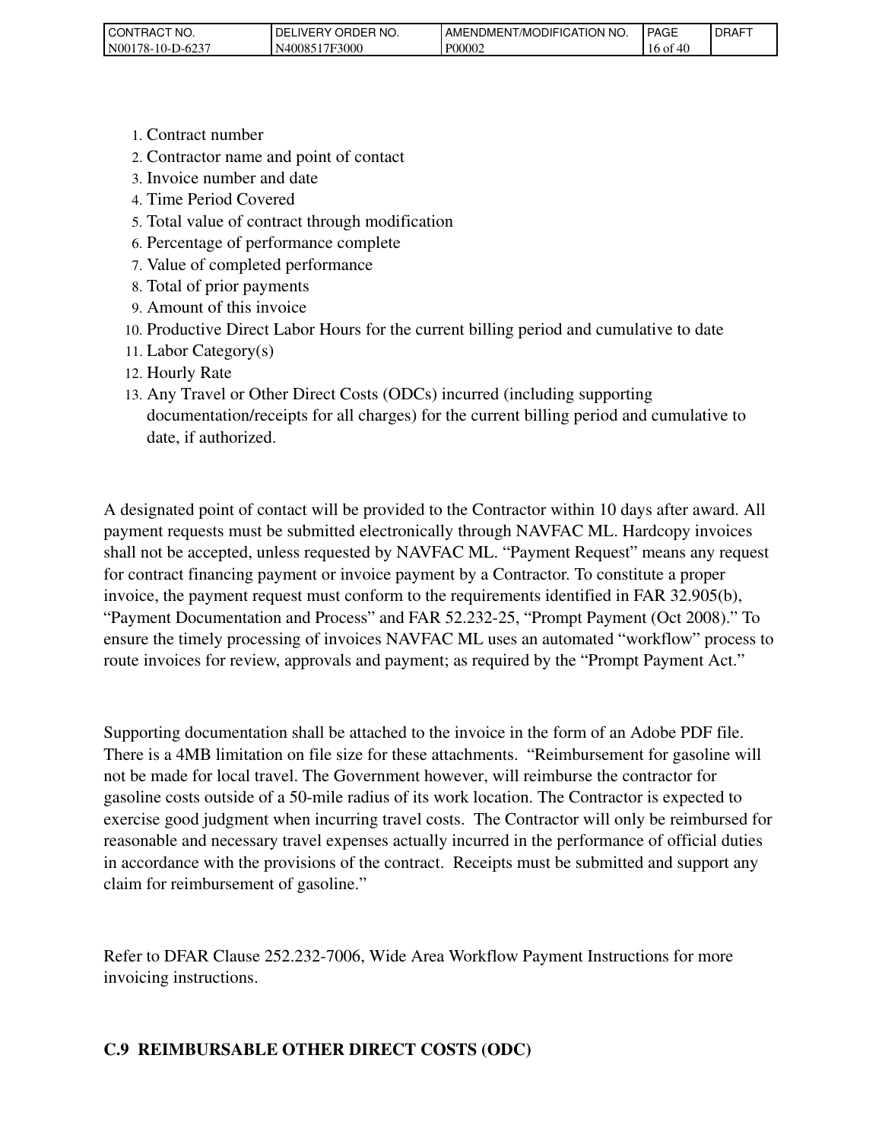| 'NO.<br>CONTRACT            | <b>ORDER</b><br>`NO.<br>DEI<br><b>IVERY</b> | MODIFICATION<br>NO.<br>AMENDMENT | <b>PAGE</b>     | <b>IDRAFT</b> |
|-----------------------------|---------------------------------------------|----------------------------------|-----------------|---------------|
| 5-623-ر<br>N001<br>178-10-1 | 17F3000<br>N <sub>400</sub> 85              | P00002                           | 16<br>46<br>∙or |               |

- 1. Contract number
- 2. Contractor name and point of contact
- 3. Invoice number and date
- 4. Time Period Covered
- 5. Total value of contract through modification
- 6. Percentage of performance complete
- 7. Value of completed performance
- 8. Total of prior payments
- 9. Amount of this invoice
- 10. Productive Direct Labor Hours for the current billing period and cumulative to date
- 11. Labor Category(s)
- 12. Hourly Rate
- 13. Any Travel or Other Direct Costs (ODCs) incurred (including supporting documentation/receipts for all charges) for the current billing period and cumulative to date, if authorized.

A designated point of contact will be provided to the Contractor within 10 days after award. All payment requests must be submitted electronically through NAVFAC ML. Hardcopy invoices shall not be accepted, unless requested by NAVFAC ML. "Payment Request" means any request for contract financing payment or invoice payment by a Contractor. To constitute a proper invoice, the payment request must conform to the requirements identified in FAR 32.905(b), "Payment Documentation and Process" and FAR 52.232-25, "Prompt Payment (Oct 2008)." To ensure the timely processing of invoices NAVFAC ML uses an automated "workflow" process to route invoices for review, approvals and payment; as required by the "Prompt Payment Act."

Supporting documentation shall be attached to the invoice in the form of an Adobe PDF file. There is a 4MB limitation on file size for these attachments. "Reimbursement for gasoline will not be made for local travel. The Government however, will reimburse the contractor for gasoline costs outside of a 50-mile radius of its work location. The Contractor is expected to exercise good judgment when incurring travel costs. The Contractor will only be reimbursed for reasonable and necessary travel expenses actually incurred in the performance of official duties in accordance with the provisions of the contract. Receipts must be submitted and support any claim for reimbursement of gasoline."

Refer to DFAR Clause 252.232-7006, Wide Area Workflow Payment Instructions for more invoicing instructions.

### **C.9 REIMBURSABLE OTHER DIRECT COSTS (ODC)**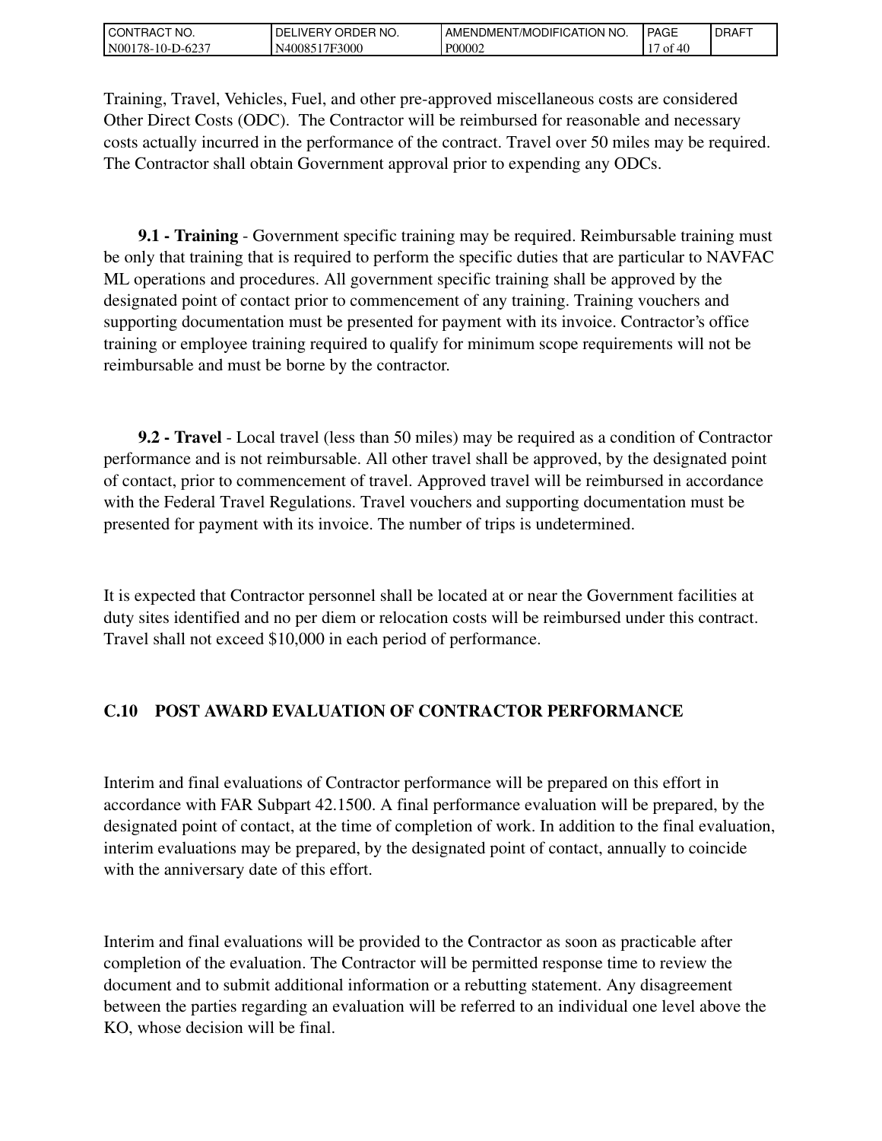| l CON<br>" NO.<br><b>HAC</b> | NO.<br>ORDER<br>DEL<br>. IVERY | NO.<br>AME<br>ENDMENT/MODIFICATION | <b>PAGE</b> | <b>IDRAFT</b> |
|------------------------------|--------------------------------|------------------------------------|-------------|---------------|
| N00<br>. 78-10-L<br>-D-623   | 7F3000<br>-4008.               | P00002                             | Οİ<br>711   |               |

Training, Travel, Vehicles, Fuel, and other pre-approved miscellaneous costs are considered Other Direct Costs (ODC). The Contractor will be reimbursed for reasonable and necessary costs actually incurred in the performance of the contract. Travel over 50 miles may be required. The Contractor shall obtain Government approval prior to expending any ODCs.

 **9.1 - Training** - Government specific training may be required. Reimbursable training must be only that training that is required to perform the specific duties that are particular to NAVFAC ML operations and procedures. All government specific training shall be approved by the designated point of contact prior to commencement of any training. Training vouchers and supporting documentation must be presented for payment with its invoice. Contractor's office training or employee training required to qualify for minimum scope requirements will not be reimbursable and must be borne by the contractor.

 **9.2 - Travel** - Local travel (less than 50 miles) may be required as a condition of Contractor performance and is not reimbursable. All other travel shall be approved, by the designated point of contact, prior to commencement of travel. Approved travel will be reimbursed in accordance with the Federal Travel Regulations. Travel vouchers and supporting documentation must be presented for payment with its invoice. The number of trips is undetermined.

It is expected that Contractor personnel shall be located at or near the Government facilities at duty sites identified and no per diem or relocation costs will be reimbursed under this contract. Travel shall not exceed \$10,000 in each period of performance.

## **C.10 POST AWARD EVALUATION OF CONTRACTOR PERFORMANCE**

Interim and final evaluations of Contractor performance will be prepared on this effort in accordance with FAR Subpart 42.1500. A final performance evaluation will be prepared, by the designated point of contact, at the time of completion of work. In addition to the final evaluation, interim evaluations may be prepared, by the designated point of contact, annually to coincide with the anniversary date of this effort.

Interim and final evaluations will be provided to the Contractor as soon as practicable after completion of the evaluation. The Contractor will be permitted response time to review the document and to submit additional information or a rebutting statement. Any disagreement between the parties regarding an evaluation will be referred to an individual one level above the KO, whose decision will be final.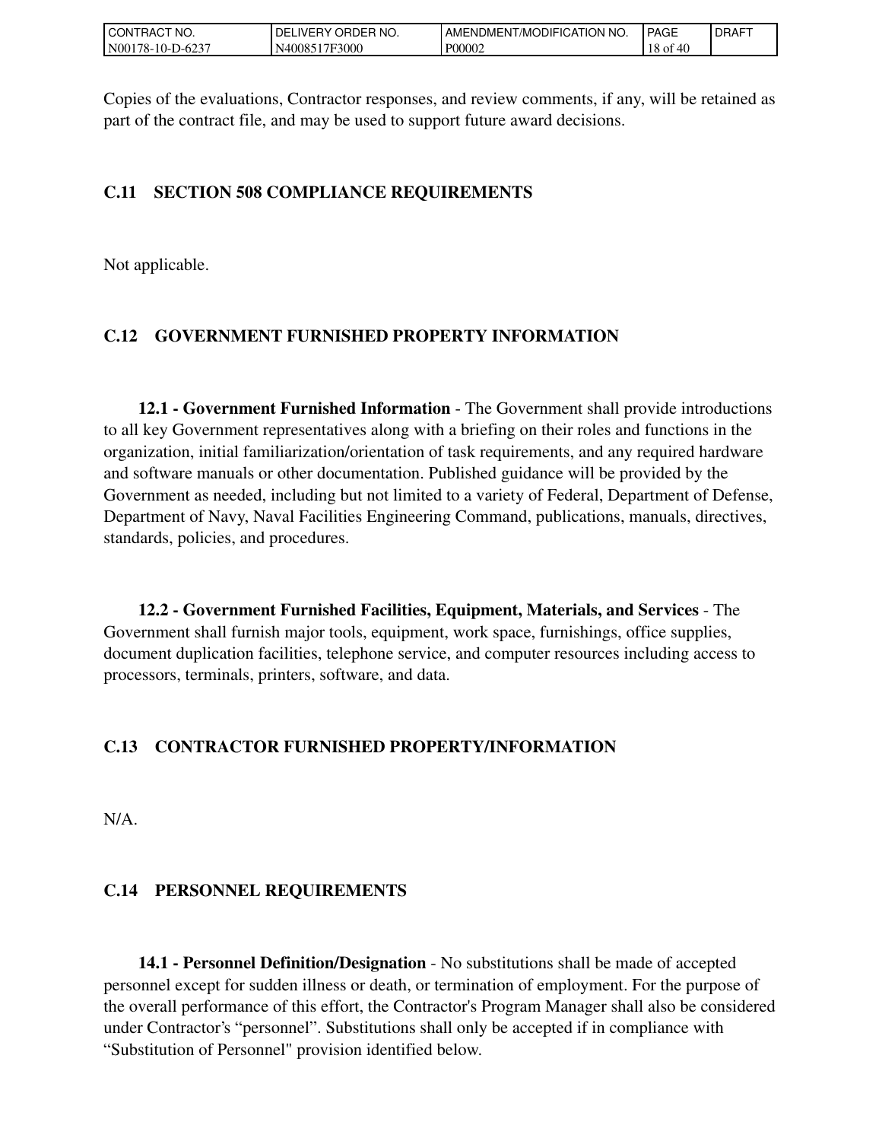| l CON<br>'NO.<br>RAC       | ORDER<br>`NO.<br>DELI<br>.IVERY | ATION NO.<br>AMENDMENT/MODIFICAT | <b>PAGE</b>                                                 | <b>IDRAFT</b> |
|----------------------------|---------------------------------|----------------------------------|-------------------------------------------------------------|---------------|
| N00<br>78-10-J<br>$-D-623$ | 7F3000<br>N40085                | P00002                           | $\overline{1}$<br>10<br>$\mathbf{A}^{\prime}$<br>OI.<br>18. |               |

Copies of the evaluations, Contractor responses, and review comments, if any, will be retained as part of the contract file, and may be used to support future award decisions.

### **C.11 SECTION 508 COMPLIANCE REQUIREMENTS**

Not applicable.

## **C.12 GOVERNMENT FURNISHED PROPERTY INFORMATION**

 **12.1 - Government Furnished Information** - The Government shall provide introductions to all key Government representatives along with a briefing on their roles and functions in the organization, initial familiarization/orientation of task requirements, and any required hardware and software manuals or other documentation. Published guidance will be provided by the Government as needed, including but not limited to a variety of Federal, Department of Defense, Department of Navy, Naval Facilities Engineering Command, publications, manuals, directives, standards, policies, and procedures.

 **12.2 - Government Furnished Facilities, Equipment, Materials, and Services** - The Government shall furnish major tools, equipment, work space, furnishings, office supplies, document duplication facilities, telephone service, and computer resources including access to processors, terminals, printers, software, and data.

### **C.13 CONTRACTOR FURNISHED PROPERTY/INFORMATION**

N/A.

### **C.14 PERSONNEL REQUIREMENTS**

 **14.1 - Personnel Definition/Designation** - No substitutions shall be made of accepted personnel except for sudden illness or death, or termination of employment. For the purpose of the overall performance of this effort, the Contractor's Program Manager shall also be considered under Contractor's "personnel". Substitutions shall only be accepted if in compliance with "Substitution of Personnel" provision identified below.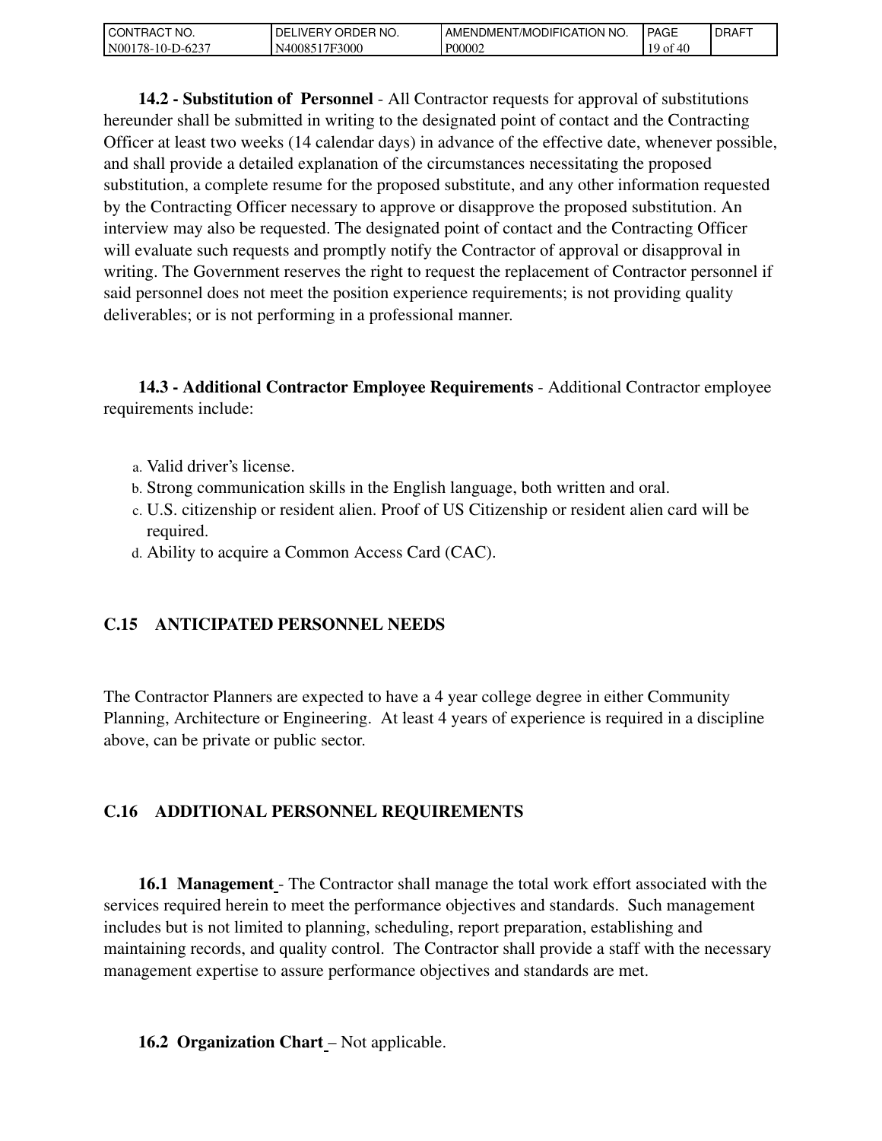| LCON.<br>TRACT NO.    | ORDER NO.<br><b>DEL</b><br>_IVERY_ | ™MODIFICATION NO.<br>' AMENDMENT. | <b>PAGE</b>     | <b>DRAFT</b> |
|-----------------------|------------------------------------|-----------------------------------|-----------------|--------------|
| N00178-10-I<br>-D-623 | 17F3000<br>.40085*                 | P00002                            | 10<br>ΟĪ<br>711 |              |

 **14.2 - Substitution of Personnel** - All Contractor requests for approval of substitutions hereunder shall be submitted in writing to the designated point of contact and the Contracting Officer at least two weeks (14 calendar days) in advance of the effective date, whenever possible, and shall provide a detailed explanation of the circumstances necessitating the proposed substitution, a complete resume for the proposed substitute, and any other information requested by the Contracting Officer necessary to approve or disapprove the proposed substitution. An interview may also be requested. The designated point of contact and the Contracting Officer will evaluate such requests and promptly notify the Contractor of approval or disapproval in writing. The Government reserves the right to request the replacement of Contractor personnel if said personnel does not meet the position experience requirements; is not providing quality deliverables; or is not performing in a professional manner.

 **14.3 - Additional Contractor Employee Requirements** - Additional Contractor employee requirements include:

- a. Valid driver's license.
- b. Strong communication skills in the English language, both written and oral.
- U.S. citizenship or resident alien. Proof of US Citizenship or resident alien card will be c. required.
- d. Ability to acquire a Common Access Card (CAC).

### **C.15 ANTICIPATED PERSONNEL NEEDS**

The Contractor Planners are expected to have a 4 year college degree in either Community Planning, Architecture or Engineering. At least 4 years of experience is required in a discipline above, can be private or public sector.

### **C.16 ADDITIONAL PERSONNEL REQUIREMENTS**

 **16.1 Management** - The Contractor shall manage the total work effort associated with the services required herein to meet the performance objectives and standards. Such management includes but is not limited to planning, scheduling, report preparation, establishing and maintaining records, and quality control. The Contractor shall provide a staff with the necessary management expertise to assure performance objectives and standards are met.

#### **16.2 Organization Chart** – Not applicable.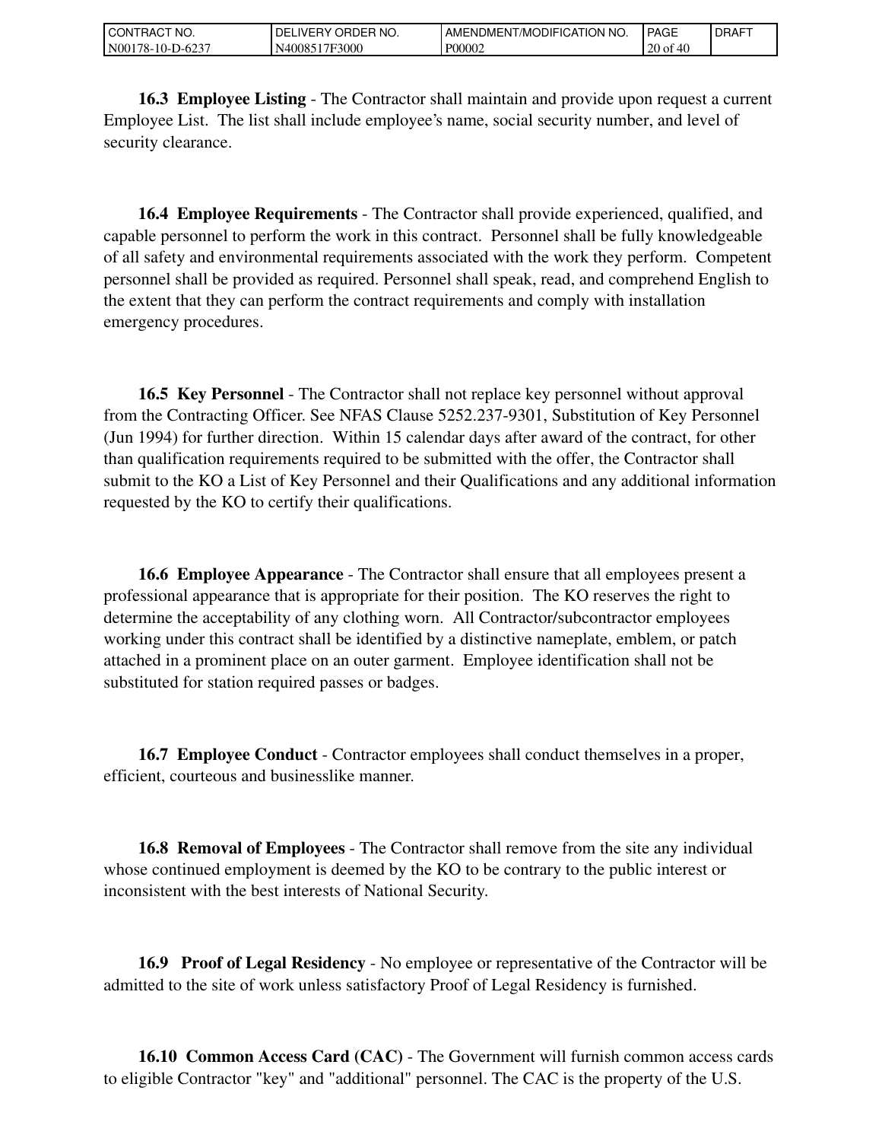| `CT NO.<br>l CON<br>RAC         | ORDER NO.<br><b>DEL</b><br>_iVERY_ | ™MODIFICATION NO.<br>' AMENDMEN⊤. | <b>PAGE</b>                 | <b>DRAFT</b> |
|---------------------------------|------------------------------------|-----------------------------------|-----------------------------|--------------|
| N00<br>$178 - 10 - T$<br>-D-623 | 17F3000<br>.40085°,                | P00002                            | 20<br>0Ī<br>711<br>$\omega$ |              |

 **16.3 Employee Listing** - The Contractor shall maintain and provide upon request a current Employee List. The list shall include employee's name, social security number, and level of security clearance.

 **16.4 Employee Requirements** - The Contractor shall provide experienced, qualified, and capable personnel to perform the work in this contract. Personnel shall be fully knowledgeable of all safety and environmental requirements associated with the work they perform. Competent personnel shall be provided as required. Personnel shall speak, read, and comprehend English to the extent that they can perform the contract requirements and comply with installation emergency procedures.

 **16.5 Key Personnel** - The Contractor shall not replace key personnel without approval from the Contracting Officer. See NFAS Clause 5252.237-9301, Substitution of Key Personnel (Jun 1994) for further direction. Within 15 calendar days after award of the contract, for other than qualification requirements required to be submitted with the offer, the Contractor shall submit to the KO a List of Key Personnel and their Qualifications and any additional information requested by the KO to certify their qualifications.

 **16.6 Employee Appearance** - The Contractor shall ensure that all employees present a professional appearance that is appropriate for their position. The KO reserves the right to determine the acceptability of any clothing worn. All Contractor/subcontractor employees working under this contract shall be identified by a distinctive nameplate, emblem, or patch attached in a prominent place on an outer garment. Employee identification shall not be substituted for station required passes or badges.

 **16.7 Employee Conduct** - Contractor employees shall conduct themselves in a proper, efficient, courteous and businesslike manner.

 **16.8 Removal of Employees** - The Contractor shall remove from the site any individual whose continued employment is deemed by the KO to be contrary to the public interest or inconsistent with the best interests of National Security.

 **16.9 Proof of Legal Residency** - No employee or representative of the Contractor will be admitted to the site of work unless satisfactory Proof of Legal Residency is furnished.

 **16.10 Common Access Card (CAC)** - The Government will furnish common access cards to eligible Contractor "key" and "additional" personnel. The CAC is the property of the U.S.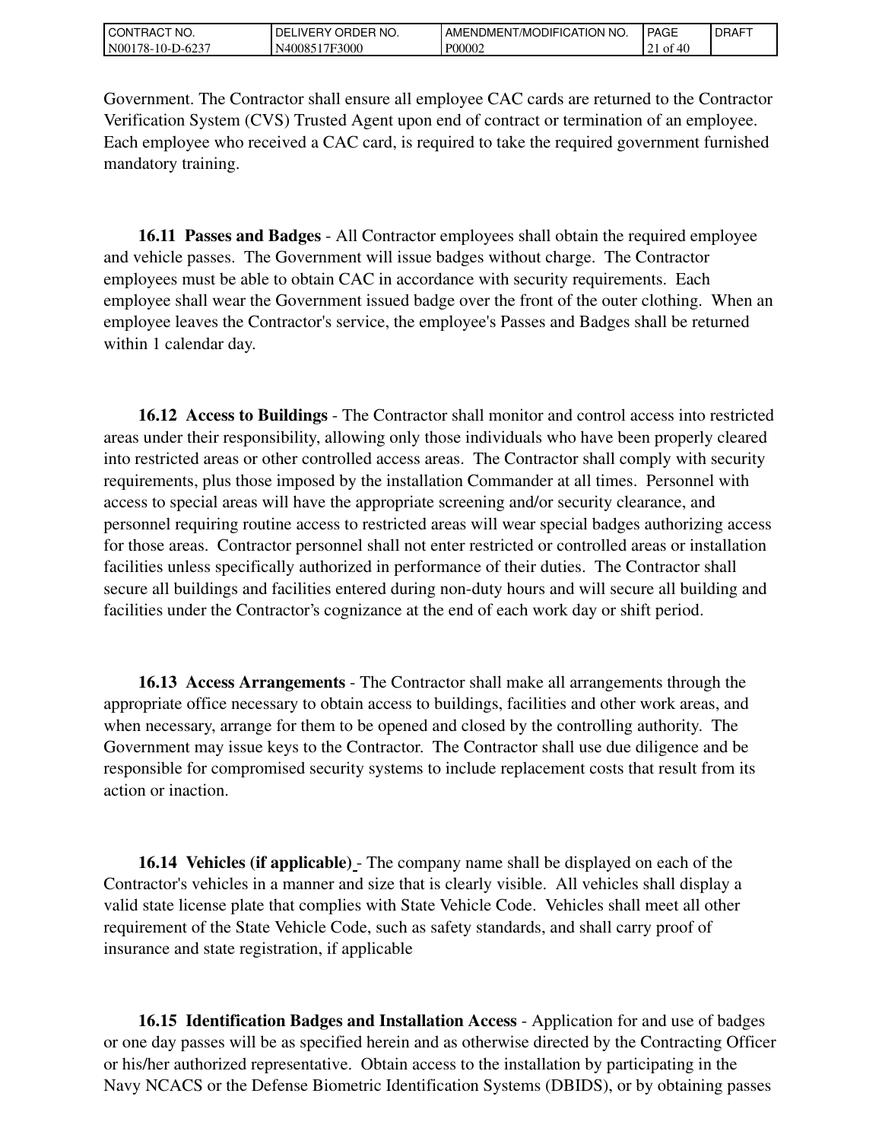| l CON<br>" NO.<br><b>HAC</b> | NO.<br>ORDER<br>DEL<br>. IVERY | NO.<br>AME<br>ENDMENT/MODIFICATION | <b>PAGE</b> | <b>IDRAFT</b> |
|------------------------------|--------------------------------|------------------------------------|-------------|---------------|
| N00<br>. 78-10-L<br>-D-623   | 7F3000<br>4008.                | P00002                             | - O1<br>71  |               |

Government. The Contractor shall ensure all employee CAC cards are returned to the Contractor Verification System (CVS) Trusted Agent upon end of contract or termination of an employee. Each employee who received a CAC card, is required to take the required government furnished mandatory training.

 **16.11 Passes and Badges** - All Contractor employees shall obtain the required employee and vehicle passes. The Government will issue badges without charge. The Contractor employees must be able to obtain CAC in accordance with security requirements. Each employee shall wear the Government issued badge over the front of the outer clothing. When an employee leaves the Contractor's service, the employee's Passes and Badges shall be returned within 1 calendar day.

 **16.12 Access to Buildings** - The Contractor shall monitor and control access into restricted areas under their responsibility, allowing only those individuals who have been properly cleared into restricted areas or other controlled access areas. The Contractor shall comply with security requirements, plus those imposed by the installation Commander at all times. Personnel with access to special areas will have the appropriate screening and/or security clearance, and personnel requiring routine access to restricted areas will wear special badges authorizing access for those areas. Contractor personnel shall not enter restricted or controlled areas or installation facilities unless specifically authorized in performance of their duties. The Contractor shall secure all buildings and facilities entered during non-duty hours and will secure all building and facilities under the Contractor's cognizance at the end of each work day or shift period.

 **16.13 Access Arrangements** - The Contractor shall make all arrangements through the appropriate office necessary to obtain access to buildings, facilities and other work areas, and when necessary, arrange for them to be opened and closed by the controlling authority. The Government may issue keys to the Contractor. The Contractor shall use due diligence and be responsible for compromised security systems to include replacement costs that result from its action or inaction.

 **16.14 Vehicles (if applicable)** - The company name shall be displayed on each of the Contractor's vehicles in a manner and size that is clearly visible. All vehicles shall display a valid state license plate that complies with State Vehicle Code. Vehicles shall meet all other requirement of the State Vehicle Code, such as safety standards, and shall carry proof of insurance and state registration, if applicable

 **16.15 Identification Badges and Installation Access** - Application for and use of badges or one day passes will be as specified herein and as otherwise directed by the Contracting Officer or his/her authorized representative. Obtain access to the installation by participating in the Navy NCACS or the Defense Biometric Identification Systems (DBIDS), or by obtaining passes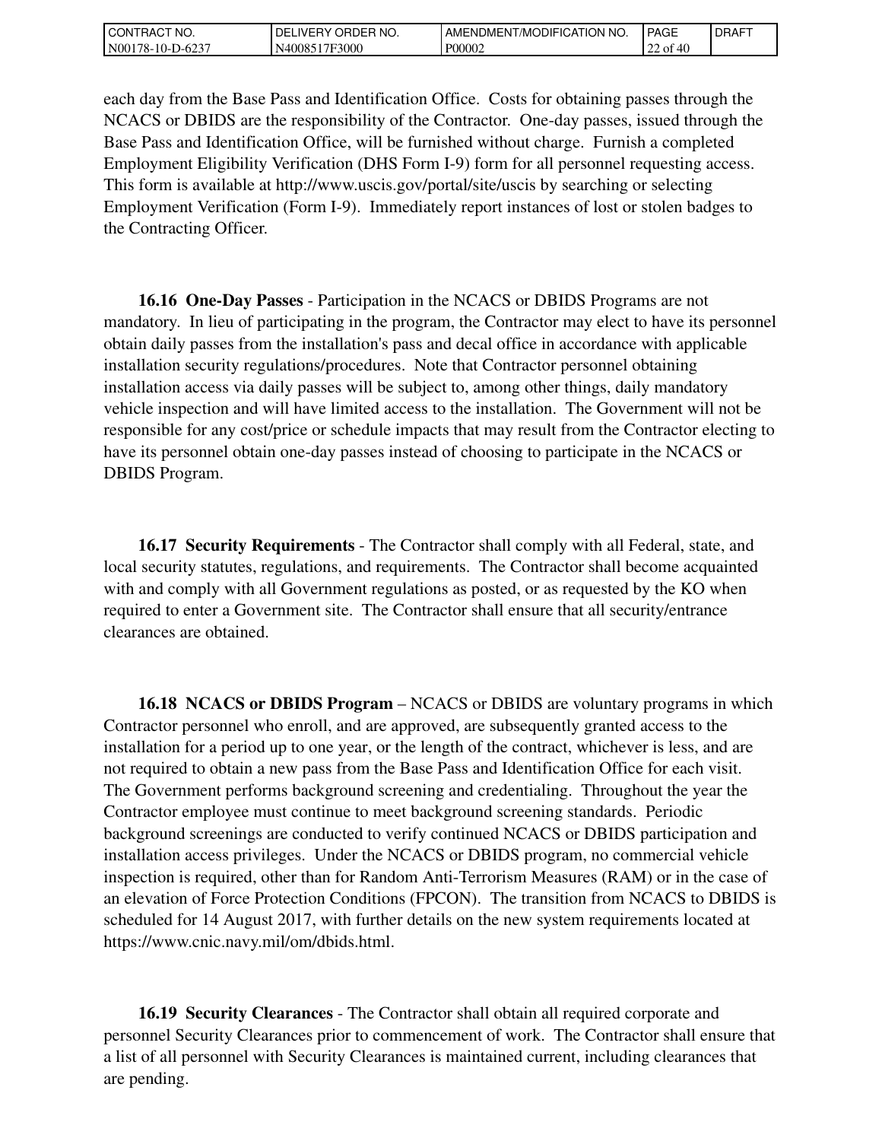| CT NO.<br>CON<br><b>RAG</b>            | NO.<br>ORDEP<br>DELI<br><b>IVERY</b><br>ъ. | <b>NO</b><br>7MODIFICATION<br>AME<br>:NDMENT/ | <b>PAGE</b>                 | <b>DRAFT</b> |
|----------------------------------------|--------------------------------------------|-----------------------------------------------|-----------------------------|--------------|
| N <sub>00</sub><br>78-10-L<br>$1.62$ . | 7F3000<br>40085<br>.<br>'N∸                | P00002                                        | $\sim$<br>' ot<br>. די<br>∼ |              |

each day from the Base Pass and Identification Office. Costs for obtaining passes through the NCACS or DBIDS are the responsibility of the Contractor. One-day passes, issued through the Base Pass and Identification Office, will be furnished without charge. Furnish a completed Employment Eligibility Verification (DHS Form I-9) form for all personnel requesting access. This form is available at http://www.uscis.gov/portal/site/uscis by searching or selecting Employment Verification (Form I-9). Immediately report instances of lost or stolen badges to the Contracting Officer.

 **16.16 One-Day Passes** - Participation in the NCACS or DBIDS Programs are not mandatory. In lieu of participating in the program, the Contractor may elect to have its personnel obtain daily passes from the installation's pass and decal office in accordance with applicable installation security regulations/procedures. Note that Contractor personnel obtaining installation access via daily passes will be subject to, among other things, daily mandatory vehicle inspection and will have limited access to the installation. The Government will not be responsible for any cost/price or schedule impacts that may result from the Contractor electing to have its personnel obtain one-day passes instead of choosing to participate in the NCACS or DBIDS Program.

 **16.17 Security Requirements** - The Contractor shall comply with all Federal, state, and local security statutes, regulations, and requirements. The Contractor shall become acquainted with and comply with all Government regulations as posted, or as requested by the KO when required to enter a Government site. The Contractor shall ensure that all security/entrance clearances are obtained.

 **16.18 NCACS or DBIDS Program** – NCACS or DBIDS are voluntary programs in which Contractor personnel who enroll, and are approved, are subsequently granted access to the installation for a period up to one year, or the length of the contract, whichever is less, and are not required to obtain a new pass from the Base Pass and Identification Office for each visit. The Government performs background screening and credentialing. Throughout the year the Contractor employee must continue to meet background screening standards. Periodic background screenings are conducted to verify continued NCACS or DBIDS participation and installation access privileges. Under the NCACS or DBIDS program, no commercial vehicle inspection is required, other than for Random Anti-Terrorism Measures (RAM) or in the case of an elevation of Force Protection Conditions (FPCON). The transition from NCACS to DBIDS is scheduled for 14 August 2017, with further details on the new system requirements located at https://www.cnic.navy.mil/om/dbids.html.

 **16.19 Security Clearances** - The Contractor shall obtain all required corporate and personnel Security Clearances prior to commencement of work. The Contractor shall ensure that a list of all personnel with Security Clearances is maintained current, including clearances that are pending.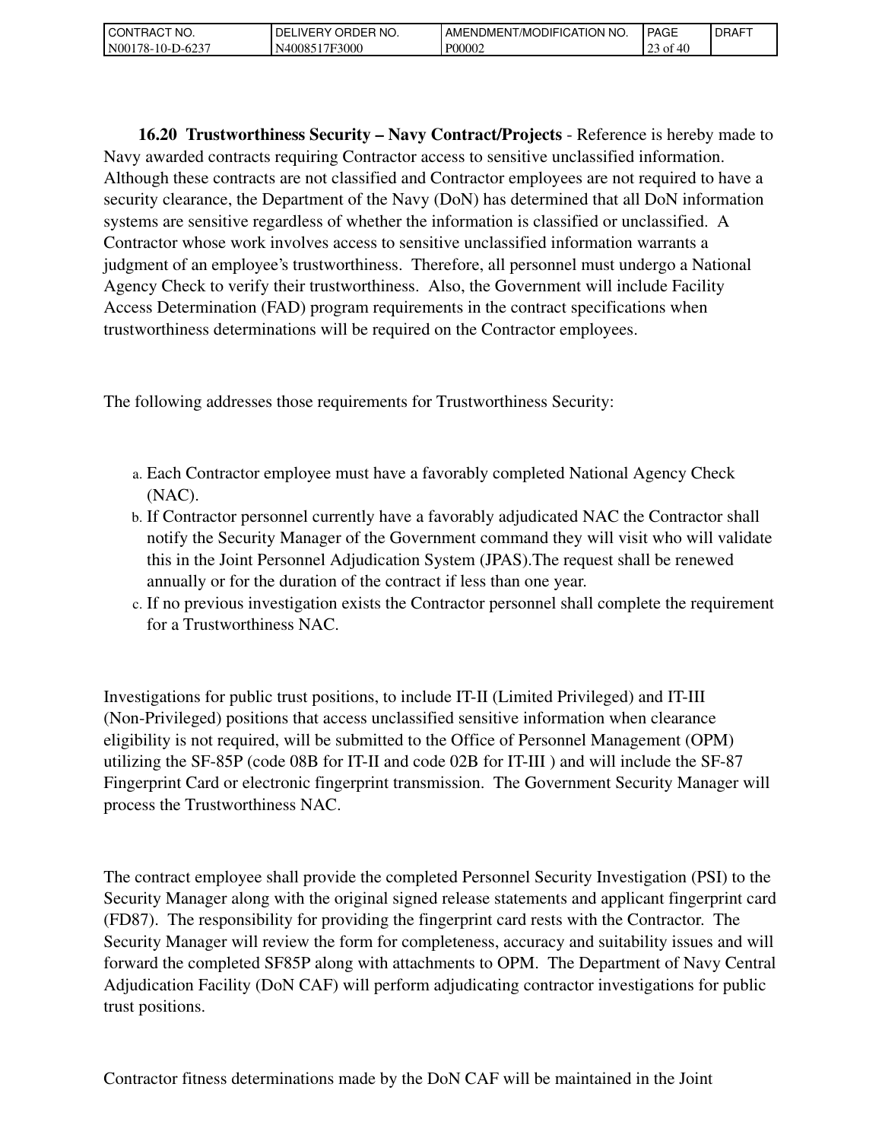| 'NO.<br>$\sim$<br>CONT<br>™RAC.                      | NO.<br>DEI<br>IVF<br>ORDEP<br>◡ | <b>NO</b><br><b>FICATION</b><br>'AMENDMENT<br>./MODIFIC | <b>PAGE</b>         | <b>DRAFT</b> |
|------------------------------------------------------|---------------------------------|---------------------------------------------------------|---------------------|--------------|
| N <sub>001</sub><br><b>A</b><br>$10 - 10$<br>. ت⊿∪−י | 17F3000<br>N4008 <sup>4</sup>   | P00002                                                  | ΩΩ<br>Οİ<br>ت<br>г. |              |

 **16.20 Trustworthiness Security – Navy Contract/Projects** - Reference is hereby made to Navy awarded contracts requiring Contractor access to sensitive unclassified information. Although these contracts are not classified and Contractor employees are not required to have a security clearance, the Department of the Navy (DoN) has determined that all DoN information systems are sensitive regardless of whether the information is classified or unclassified. A Contractor whose work involves access to sensitive unclassified information warrants a judgment of an employee's trustworthiness. Therefore, all personnel must undergo a National Agency Check to verify their trustworthiness. Also, the Government will include Facility Access Determination (FAD) program requirements in the contract specifications when trustworthiness determinations will be required on the Contractor employees.

The following addresses those requirements for Trustworthiness Security:

- a. Each Contractor employee must have a favorably completed National Agency Check (NAC).
- b. If Contractor personnel currently have a favorably adjudicated NAC the Contractor shall notify the Security Manager of the Government command they will visit who will validate this in the Joint Personnel Adjudication System (JPAS).The request shall be renewed annually or for the duration of the contract if less than one year.
- c. If no previous investigation exists the Contractor personnel shall complete the requirement for a Trustworthiness NAC.

Investigations for public trust positions, to include IT-II (Limited Privileged) and IT-III (Non-Privileged) positions that access unclassified sensitive information when clearance eligibility is not required, will be submitted to the Office of Personnel Management (OPM) utilizing the SF-85P (code 08B for IT-II and code 02B for IT-III ) and will include the SF-87 Fingerprint Card or electronic fingerprint transmission. The Government Security Manager will process the Trustworthiness NAC.

The contract employee shall provide the completed Personnel Security Investigation (PSI) to the Security Manager along with the original signed release statements and applicant fingerprint card (FD87). The responsibility for providing the fingerprint card rests with the Contractor. The Security Manager will review the form for completeness, accuracy and suitability issues and will forward the completed SF85P along with attachments to OPM. The Department of Navy Central Adjudication Facility (DoN CAF) will perform adjudicating contractor investigations for public trust positions.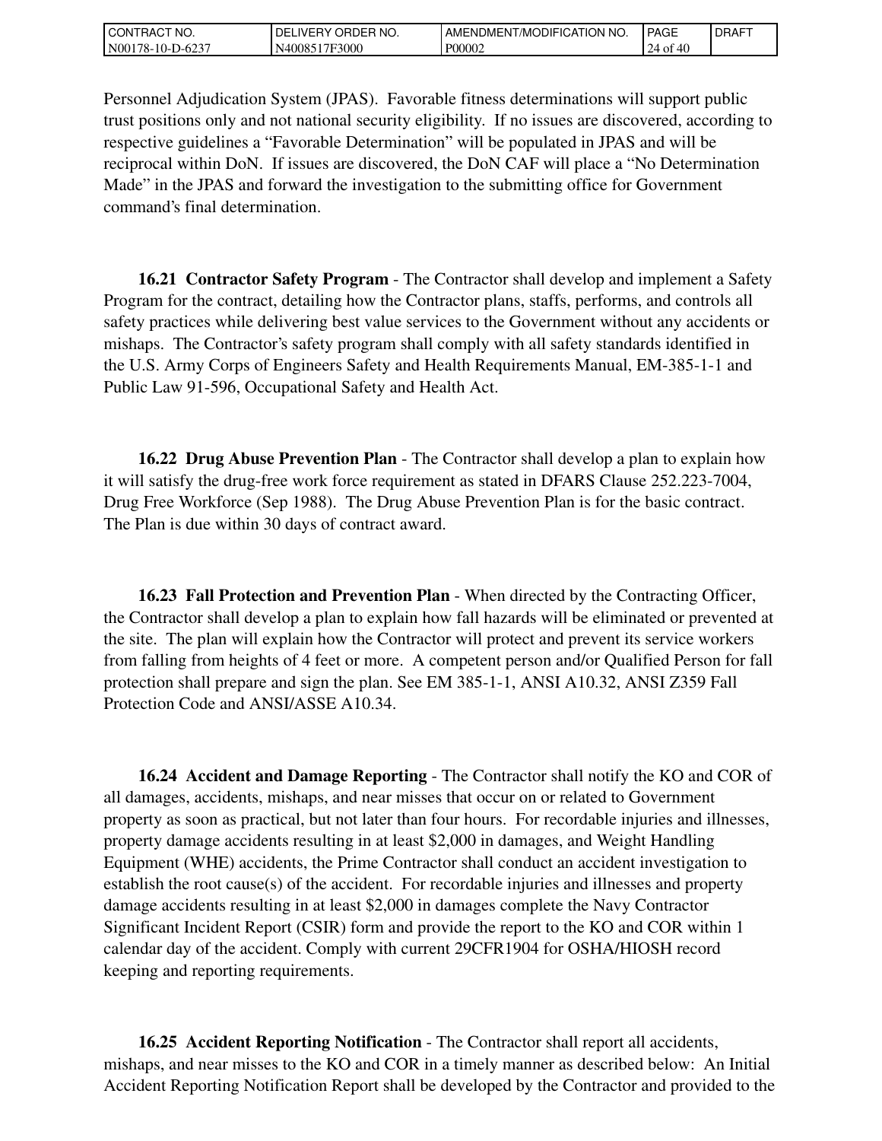| °CT NO.<br>l CON<br>RAC   | 'NO.<br><b>ORDER</b><br><b>IVERY</b><br>DEL | ENDMENT/MODIFICATION I<br>NO.<br>AME. | <b>PAGE</b>     | <b>I DRAFT</b> |
|---------------------------|---------------------------------------------|---------------------------------------|-----------------|----------------|
| N00<br>'78-10-l<br>-D-623 | 17F3000<br>40085                            | P00002                                | 24<br>-OI<br>71 |                |

Personnel Adjudication System (JPAS). Favorable fitness determinations will support public trust positions only and not national security eligibility. If no issues are discovered, according to respective guidelines a "Favorable Determination" will be populated in JPAS and will be reciprocal within DoN. If issues are discovered, the DoN CAF will place a "No Determination Made" in the JPAS and forward the investigation to the submitting office for Government command's final determination.

 **16.21 Contractor Safety Program** - The Contractor shall develop and implement a Safety Program for the contract, detailing how the Contractor plans, staffs, performs, and controls all safety practices while delivering best value services to the Government without any accidents or mishaps. The Contractor's safety program shall comply with all safety standards identified in the U.S. Army Corps of Engineers Safety and Health Requirements Manual, EM-385-1-1 and Public Law 91-596, Occupational Safety and Health Act.

 **16.22 Drug Abuse Prevention Plan** - The Contractor shall develop a plan to explain how it will satisfy the drug-free work force requirement as stated in DFARS Clause 252.223-7004, Drug Free Workforce (Sep 1988). The Drug Abuse Prevention Plan is for the basic contract. The Plan is due within 30 days of contract award.

 **16.23 Fall Protection and Prevention Plan** - When directed by the Contracting Officer, the Contractor shall develop a plan to explain how fall hazards will be eliminated or prevented at the site. The plan will explain how the Contractor will protect and prevent its service workers from falling from heights of 4 feet or more. A competent person and/or Qualified Person for fall protection shall prepare and sign the plan. See EM 385-1-1, ANSI A10.32, ANSI Z359 Fall Protection Code and ANSI/ASSE A10.34.

 **16.24 Accident and Damage Reporting** - The Contractor shall notify the KO and COR of all damages, accidents, mishaps, and near misses that occur on or related to Government property as soon as practical, but not later than four hours. For recordable injuries and illnesses, property damage accidents resulting in at least \$2,000 in damages, and Weight Handling Equipment (WHE) accidents, the Prime Contractor shall conduct an accident investigation to establish the root cause(s) of the accident. For recordable injuries and illnesses and property damage accidents resulting in at least \$2,000 in damages complete the Navy Contractor Significant Incident Report (CSIR) form and provide the report to the KO and COR within 1 calendar day of the accident. Comply with current 29CFR1904 for OSHA/HIOSH record keeping and reporting requirements.

 **16.25 Accident Reporting Notification** - The Contractor shall report all accidents, mishaps, and near misses to the KO and COR in a timely manner as described below: An Initial Accident Reporting Notification Report shall be developed by the Contractor and provided to the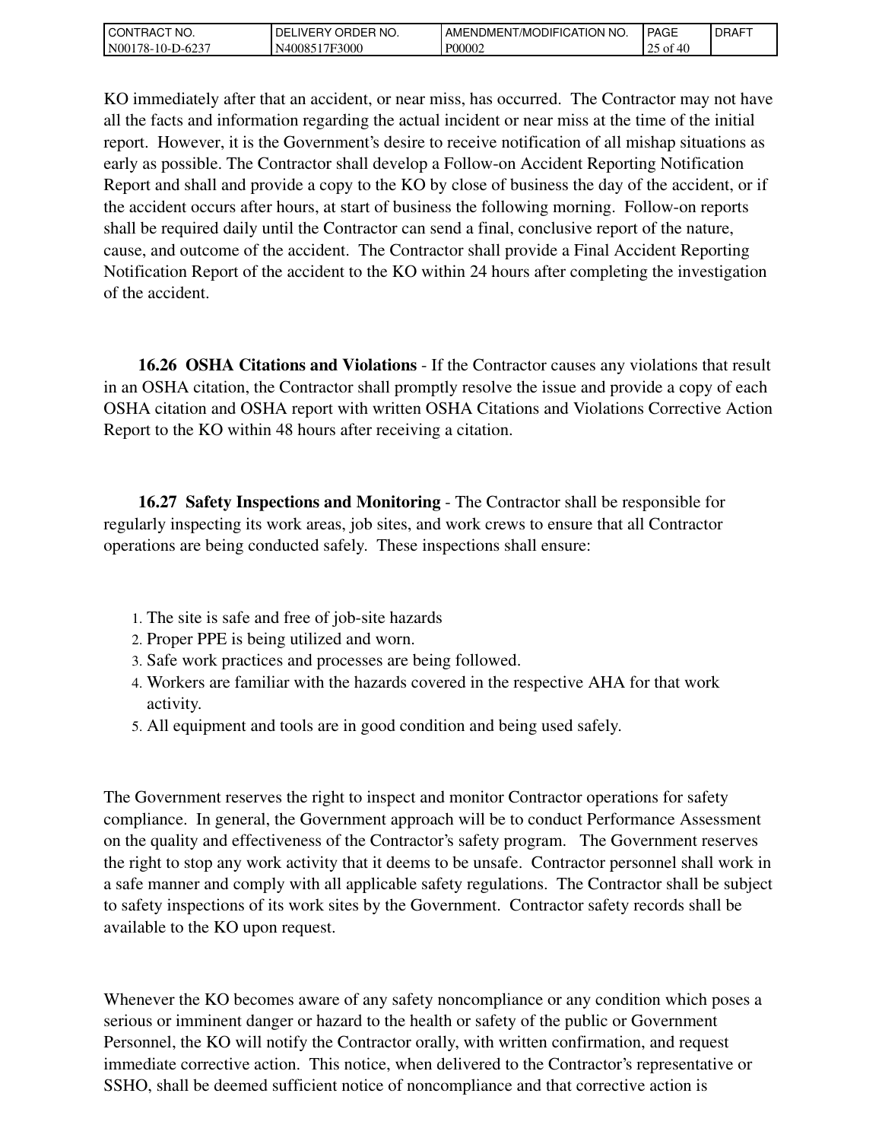| CT NO.<br>l CON<br>'RAC   | NO.<br>ORDEP<br>DELI<br><b>IVERY</b> | MODIFICATION:<br>NO.<br>:NDMENT<br>AME | <b>PAGE</b>             | <b>IDRAFT</b> |
|---------------------------|--------------------------------------|----------------------------------------|-------------------------|---------------|
| N00<br>-78-10-1<br>-D-623 | 7F3000<br>4008.                      | P00002                                 | 0.4C<br>ОĪ<br>711<br>رے |               |

KO immediately after that an accident, or near miss, has occurred. The Contractor may not have all the facts and information regarding the actual incident or near miss at the time of the initial report. However, it is the Government's desire to receive notification of all mishap situations as early as possible. The Contractor shall develop a Follow-on Accident Reporting Notification Report and shall and provide a copy to the KO by close of business the day of the accident, or if the accident occurs after hours, at start of business the following morning. Follow-on reports shall be required daily until the Contractor can send a final, conclusive report of the nature, cause, and outcome of the accident. The Contractor shall provide a Final Accident Reporting Notification Report of the accident to the KO within 24 hours after completing the investigation of the accident.

 **16.26 OSHA Citations and Violations** - If the Contractor causes any violations that result in an OSHA citation, the Contractor shall promptly resolve the issue and provide a copy of each OSHA citation and OSHA report with written OSHA Citations and Violations Corrective Action Report to the KO within 48 hours after receiving a citation.

 **16.27 Safety Inspections and Monitoring** - The Contractor shall be responsible for regularly inspecting its work areas, job sites, and work crews to ensure that all Contractor operations are being conducted safely. These inspections shall ensure:

- 1. The site is safe and free of job-site hazards
- 2. Proper PPE is being utilized and worn.
- 3. Safe work practices and processes are being followed.
- 4. Workers are familiar with the hazards covered in the respective AHA for that work activity.
- 5. All equipment and tools are in good condition and being used safely.

The Government reserves the right to inspect and monitor Contractor operations for safety compliance. In general, the Government approach will be to conduct Performance Assessment on the quality and effectiveness of the Contractor's safety program. The Government reserves the right to stop any work activity that it deems to be unsafe. Contractor personnel shall work in a safe manner and comply with all applicable safety regulations. The Contractor shall be subject to safety inspections of its work sites by the Government. Contractor safety records shall be available to the KO upon request.

Whenever the KO becomes aware of any safety noncompliance or any condition which poses a serious or imminent danger or hazard to the health or safety of the public or Government Personnel, the KO will notify the Contractor orally, with written confirmation, and request immediate corrective action. This notice, when delivered to the Contractor's representative or SSHO, shall be deemed sufficient notice of noncompliance and that corrective action is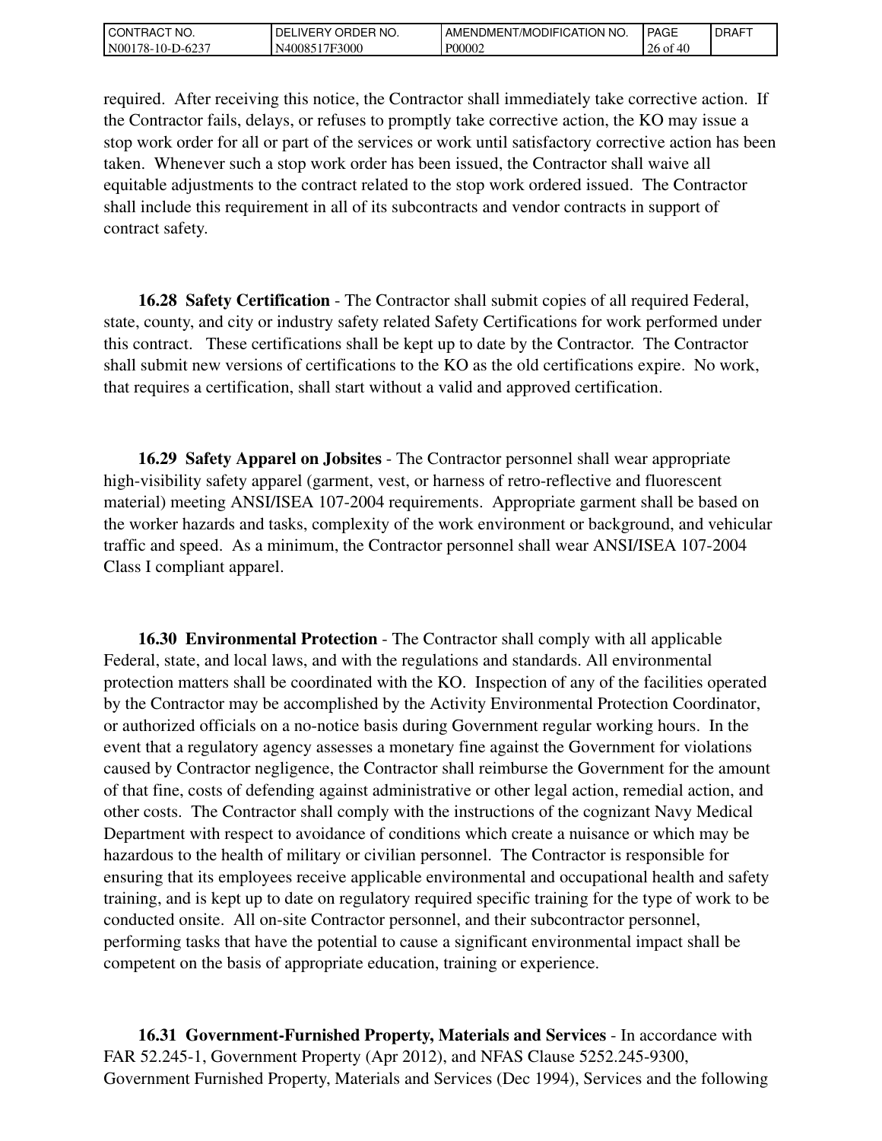| CT NO.<br>CONT<br>™RAU.          | NO.<br>DEI<br><b>IVERY</b><br>ORDEP | I AMENDMENT/MODIFICATION NO. | <b>PAGE</b>               | <b>IDRAFT</b> |
|----------------------------------|-------------------------------------|------------------------------|---------------------------|---------------|
| 6237<br>N00<br>78-10-L<br>$-62.$ | 17F3000<br>N40085                   | P00002                       | $26$ of<br>$\overline{ }$ |               |

required. After receiving this notice, the Contractor shall immediately take corrective action. If the Contractor fails, delays, or refuses to promptly take corrective action, the KO may issue a stop work order for all or part of the services or work until satisfactory corrective action has been taken. Whenever such a stop work order has been issued, the Contractor shall waive all equitable adjustments to the contract related to the stop work ordered issued. The Contractor shall include this requirement in all of its subcontracts and vendor contracts in support of contract safety.

 **16.28 Safety Certification** - The Contractor shall submit copies of all required Federal, state, county, and city or industry safety related Safety Certifications for work performed under this contract. These certifications shall be kept up to date by the Contractor. The Contractor shall submit new versions of certifications to the KO as the old certifications expire. No work, that requires a certification, shall start without a valid and approved certification.

 **16.29 Safety Apparel on Jobsites** - The Contractor personnel shall wear appropriate high-visibility safety apparel (garment, vest, or harness of retro-reflective and fluorescent material) meeting ANSI/ISEA 107-2004 requirements. Appropriate garment shall be based on the worker hazards and tasks, complexity of the work environment or background, and vehicular traffic and speed. As a minimum, the Contractor personnel shall wear ANSI/ISEA 107-2004 Class I compliant apparel.

 **16.30 Environmental Protection** - The Contractor shall comply with all applicable Federal, state, and local laws, and with the regulations and standards. All environmental protection matters shall be coordinated with the KO. Inspection of any of the facilities operated by the Contractor may be accomplished by the Activity Environmental Protection Coordinator, or authorized officials on a no-notice basis during Government regular working hours. In the event that a regulatory agency assesses a monetary fine against the Government for violations caused by Contractor negligence, the Contractor shall reimburse the Government for the amount of that fine, costs of defending against administrative or other legal action, remedial action, and other costs. The Contractor shall comply with the instructions of the cognizant Navy Medical Department with respect to avoidance of conditions which create a nuisance or which may be hazardous to the health of military or civilian personnel. The Contractor is responsible for ensuring that its employees receive applicable environmental and occupational health and safety training, and is kept up to date on regulatory required specific training for the type of work to be conducted onsite. All on-site Contractor personnel, and their subcontractor personnel, performing tasks that have the potential to cause a significant environmental impact shall be competent on the basis of appropriate education, training or experience.

 **16.31 Government-Furnished Property, Materials and Services** - In accordance with FAR 52.245-1, Government Property (Apr 2012), and NFAS Clause 5252.245-9300, Government Furnished Property, Materials and Services (Dec 1994), Services and the following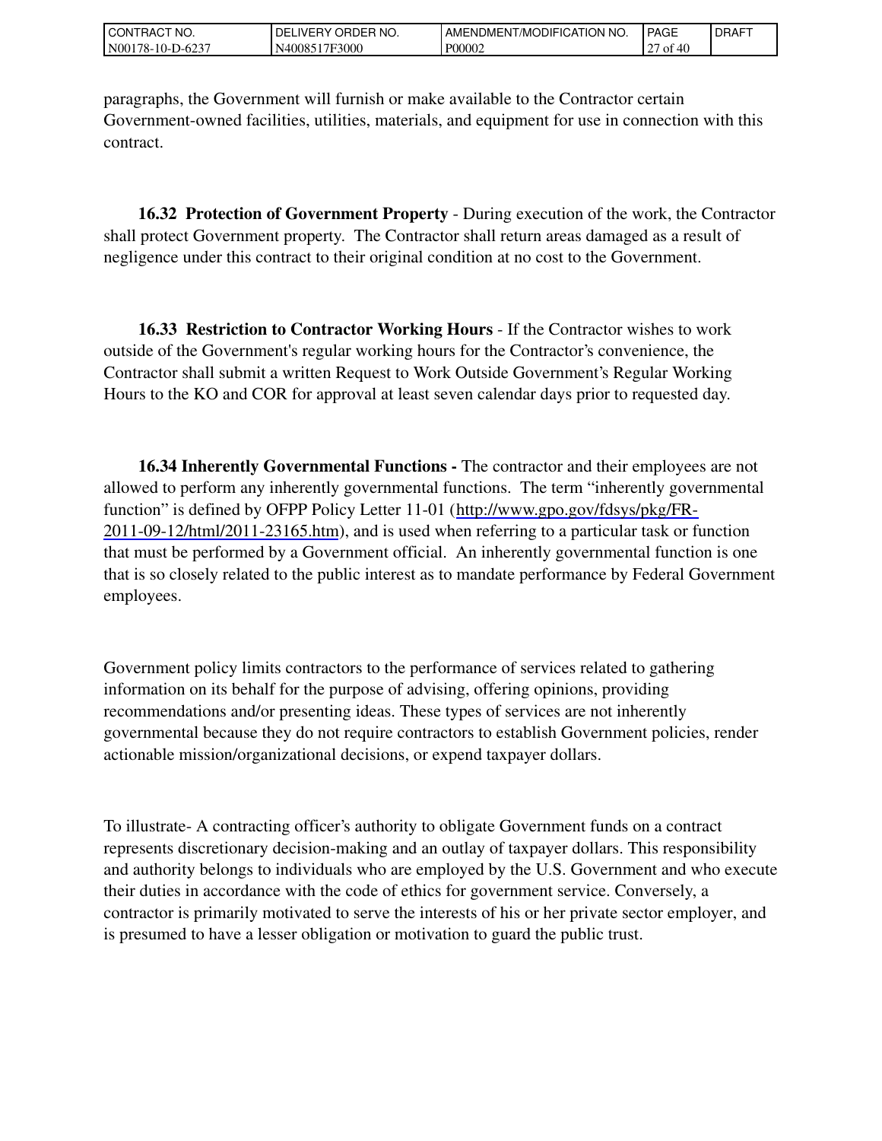| l CON<br>'RACT NO.        | <b>ORDER</b><br>'NO.<br>DELI<br><b>IVERY</b> | ENDMENT/MODIFICATION NO.<br>AME. | <b>PAGE</b>               | <b>I DRAFT</b> |
|---------------------------|----------------------------------------------|----------------------------------|---------------------------|----------------|
| N00<br>!78-10-1<br>-D-623 | 17F3000<br>40085                             | P00002                           | 0.40<br>$\sim$<br>ΟÌ<br>Æ |                |

paragraphs, the Government will furnish or make available to the Contractor certain Government-owned facilities, utilities, materials, and equipment for use in connection with this contract.

 **16.32 Protection of Government Property** - During execution of the work, the Contractor shall protect Government property. The Contractor shall return areas damaged as a result of negligence under this contract to their original condition at no cost to the Government.

 **16.33 Restriction to Contractor Working Hours** - If the Contractor wishes to work outside of the Government's regular working hours for the Contractor's convenience, the Contractor shall submit a written Request to Work Outside Government's Regular Working Hours to the KO and COR for approval at least seven calendar days prior to requested day.

 **16.34 Inherently Governmental Functions -** The contractor and their employees are not allowed to perform any inherently governmental functions. The term "inherently governmental function" is defined by OFPP Policy Letter 11-01 [\(http://www.gpo.gov/fdsys/pkg/FR-](http://www.gpo.gov/fdsys/pkg/FR-2011-09-12/html/2011-23165.htm)2011-09-12/html/2011-23165.htm), and is used when referring to a particular task or function that must be performed by a Government official. An inherently governmental function is one that is so closely related to the public interest as to mandate performance by Federal Government employees.

Government policy limits contractors to the performance of services related to gathering information on its behalf for the purpose of advising, offering opinions, providing recommendations and/or presenting ideas. These types of services are not inherently governmental because they do not require contractors to establish Government policies, render actionable mission/organizational decisions, or expend taxpayer dollars.

To illustrate- A contracting officer's authority to obligate Government funds on a contract represents discretionary decision-making and an outlay of taxpayer dollars. This responsibility and authority belongs to individuals who are employed by the U.S. Government and who execute their duties in accordance with the code of ethics for government service. Conversely, a contractor is primarily motivated to serve the interests of his or her private sector employer, and is presumed to have a lesser obligation or motivation to guard the public trust.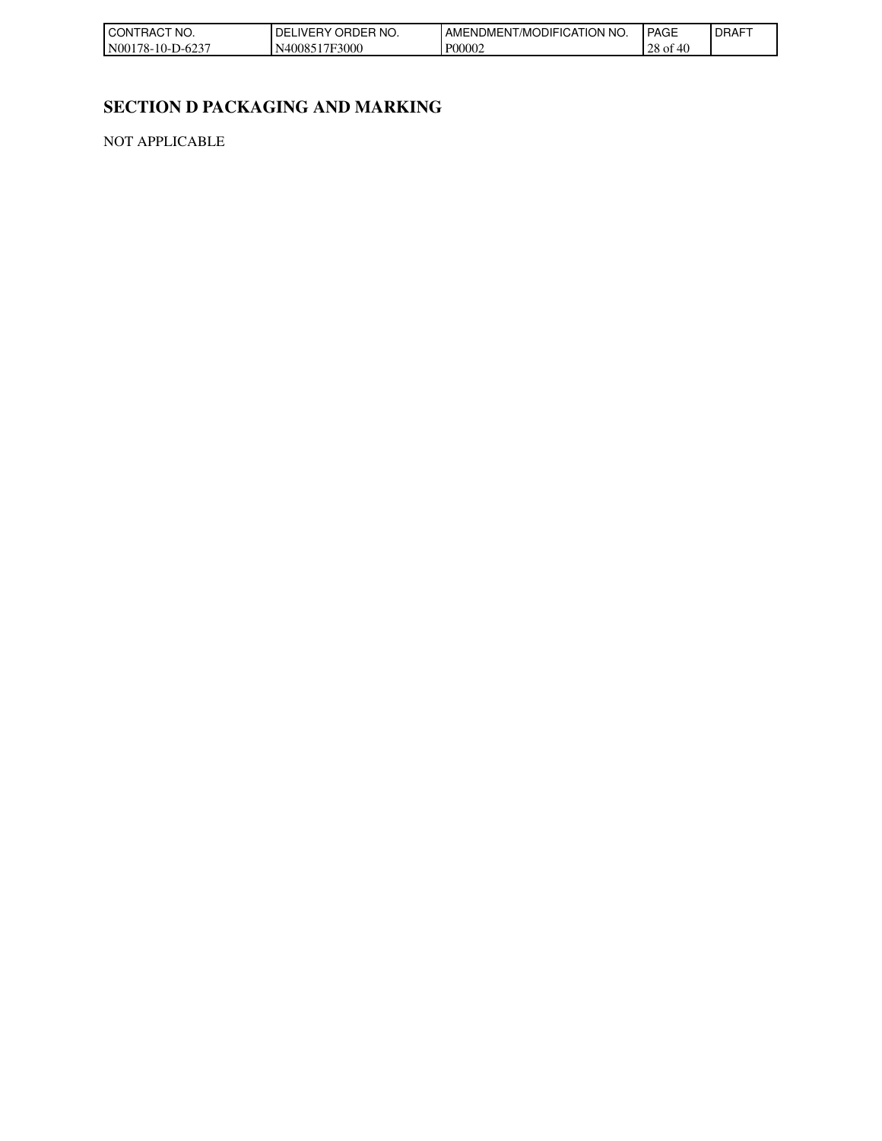| l CON<br>'NO.<br><b>RAG</b>                           | NO.<br>ואנ<br>JUEP.<br>.v-- | N NO.<br>TION<br>JDIFICA<br>AMENI<br>.∪MEN '<br>/MO | <b>PAGE</b>                | <b>DRAFT</b> |
|-------------------------------------------------------|-----------------------------|-----------------------------------------------------|----------------------------|--------------|
| N <sub>00</sub><br>$\sqrt{2}$<br>78-10-1<br>$-1 - 62$ | 7F3000<br>1008<br>∼         | P00002                                              | ററ<br>Лſ<br>28 of<br>$-10$ |              |

# **SECTION D PACKAGING AND MARKING**

NOT APPLICABLE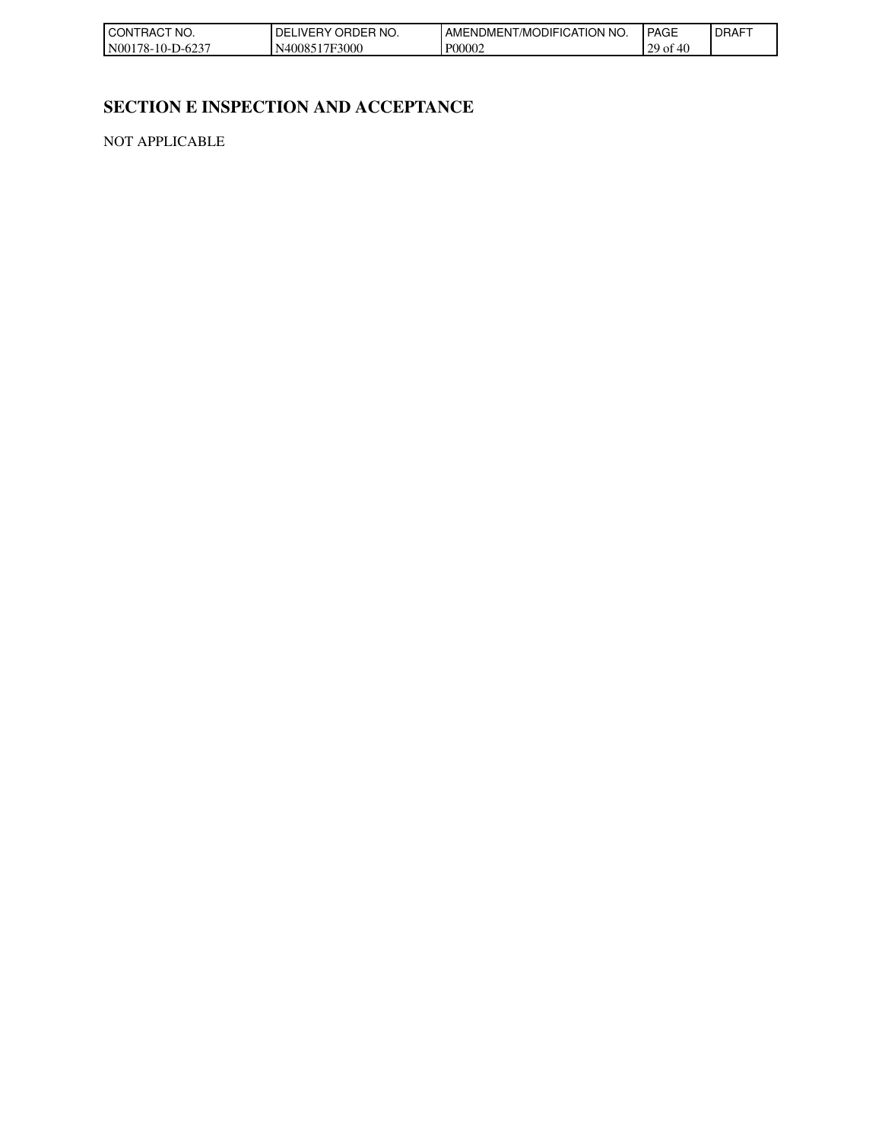| l CON<br>'NO.<br><b>RAC</b>                           | NO.<br>ואנ<br>JUEP.<br>.v-- | N NO.<br>ГІON<br>JDIFICA<br>AMENI<br>.∪MEN '<br>/MO | <b>PAGE</b>           | <b>DRAFT</b> |
|-------------------------------------------------------|-----------------------------|-----------------------------------------------------|-----------------------|--------------|
| N <sub>00</sub><br>$\sqrt{2}$<br>78-10-1<br>$-1 - 62$ | 7F3000<br>1008<br>∼         | P00002                                              | 20.<br>Лſ<br>Оİ<br>TV |              |

# **SECTION E INSPECTION AND ACCEPTANCE**

NOT APPLICABLE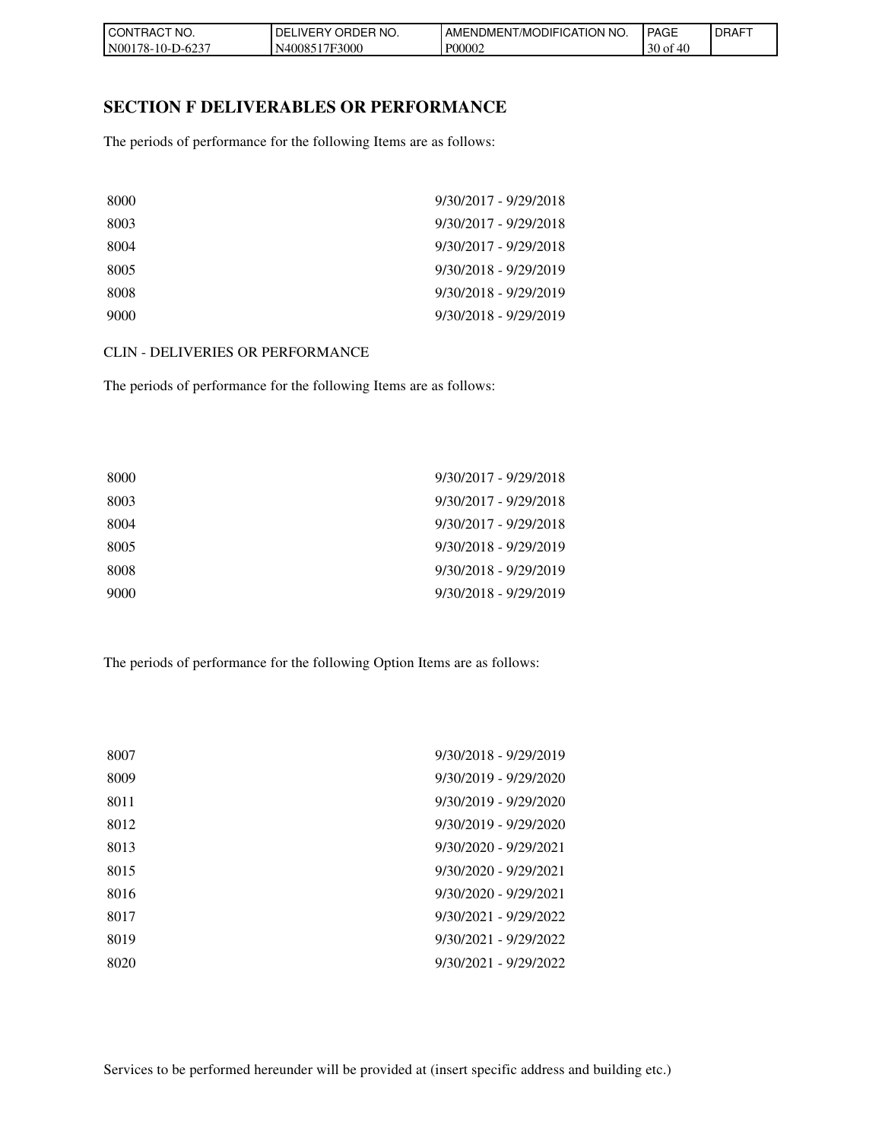| TRACT NO.<br>I CON     | ' ORDER NO.<br><b>DEL</b><br>_IVERY_ | <b>FICATION</b><br>'NO.<br>AMENDMENT/MODIFIC | PAGE          | <b>DRAFT</b> |
|------------------------|--------------------------------------|----------------------------------------------|---------------|--------------|
| N00178-10-I<br>-D-6237 | N4008517F3000                        | P00002                                       | $30$ of<br>46 |              |

#### **SECTION F DELIVERABLES OR PERFORMANCE**

The periods of performance for the following Items are as follows:

| 8000 | $9/30/2017 - 9/29/2018$ |
|------|-------------------------|
| 8003 | $9/30/2017 - 9/29/2018$ |
| 8004 | $9/30/2017 - 9/29/2018$ |
| 8005 | $9/30/2018 - 9/29/2019$ |
| 8008 | $9/30/2018 - 9/29/2019$ |
| 9000 | $9/30/2018 - 9/29/2019$ |

#### CLIN - DELIVERIES OR PERFORMANCE

The periods of performance for the following Items are as follows:

| 8000 | $9/30/2017 - 9/29/2018$ |
|------|-------------------------|
| 8003 | $9/30/2017 - 9/29/2018$ |
| 8004 | $9/30/2017 - 9/29/2018$ |
| 8005 | 9/30/2018 - 9/29/2019   |
| 8008 | $9/30/2018 - 9/29/2019$ |
| 9000 | 9/30/2018 - 9/29/2019   |

The periods of performance for the following Option Items are as follows:

| 8007 | 9/30/2018 - 9/29/2019   |
|------|-------------------------|
| 8009 | $9/30/2019 - 9/29/2020$ |
| 8011 | $9/30/2019 - 9/29/2020$ |
| 8012 | $9/30/2019 - 9/29/2020$ |
| 8013 | $9/30/2020 - 9/29/2021$ |
| 8015 | $9/30/2020 - 9/29/2021$ |
| 8016 | $9/30/2020 - 9/29/2021$ |
| 8017 | $9/30/2021 - 9/29/2022$ |
| 8019 | $9/30/2021 - 9/29/2022$ |
| 8020 | $9/30/2021 - 9/29/2022$ |
|      |                         |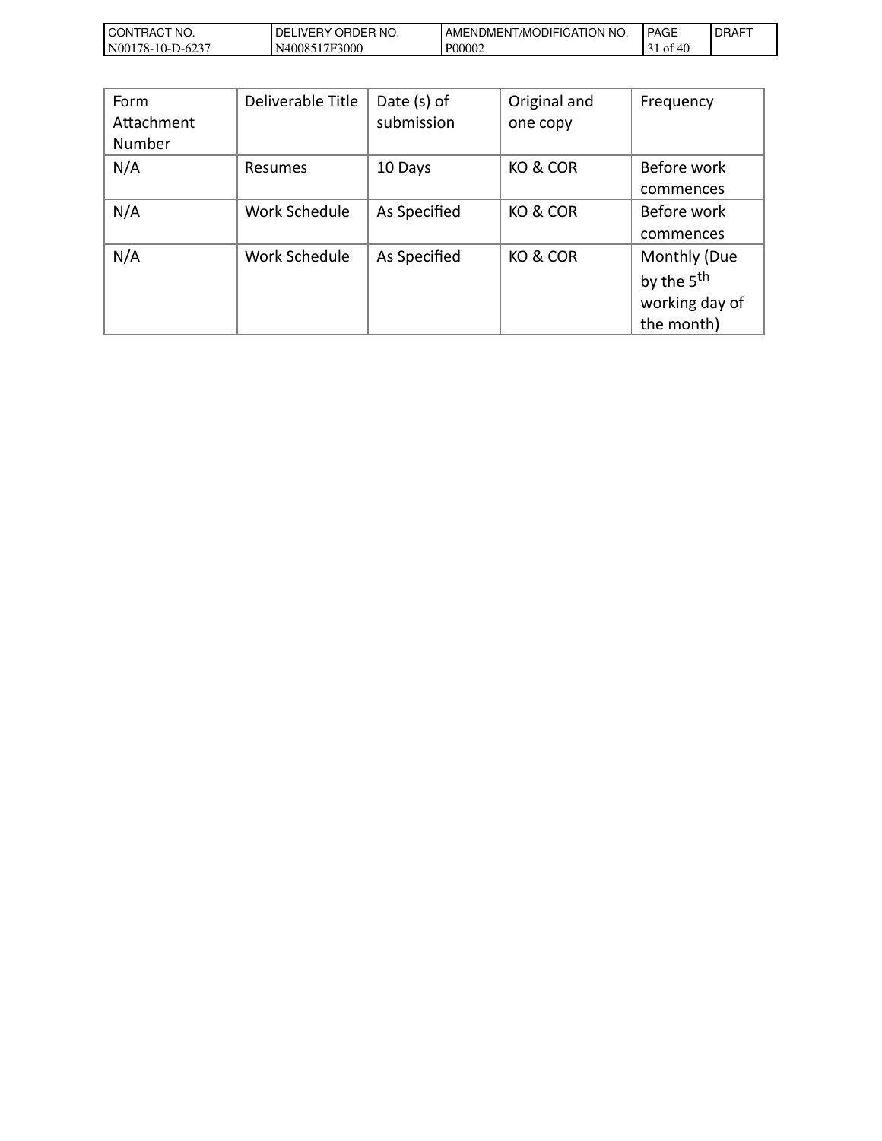| I CON<br>FRACT NO.                        | ORDER NO.<br>DELIVERY | T/MODIFICATION NO.<br>' AMENDMEN⊤. | <b>PAGE</b>    | <b>DRAFT</b> |
|-------------------------------------------|-----------------------|------------------------------------|----------------|--------------|
| <b>N001</b><br>$-D-623$<br>$178 - 10 - T$ | N4008517F3000         | P00002                             | ΟĪ<br>⁄H<br>᠇ぃ |              |

| Form<br>Attachment<br><b>Number</b> | Deliverable Title | Date $(s)$ of<br>submission | Original and<br>one copy | Frequency                                                              |
|-------------------------------------|-------------------|-----------------------------|--------------------------|------------------------------------------------------------------------|
| N/A                                 | Resumes           | 10 Days                     | KO & COR                 | Before work<br>commences                                               |
| N/A                                 | Work Schedule     | As Specified                | KO & COR                 | Before work<br>commences                                               |
| N/A                                 | Work Schedule     | As Specified                | KO & COR                 | Monthly (Due<br>by the 5 <sup>th</sup><br>working day of<br>the month) |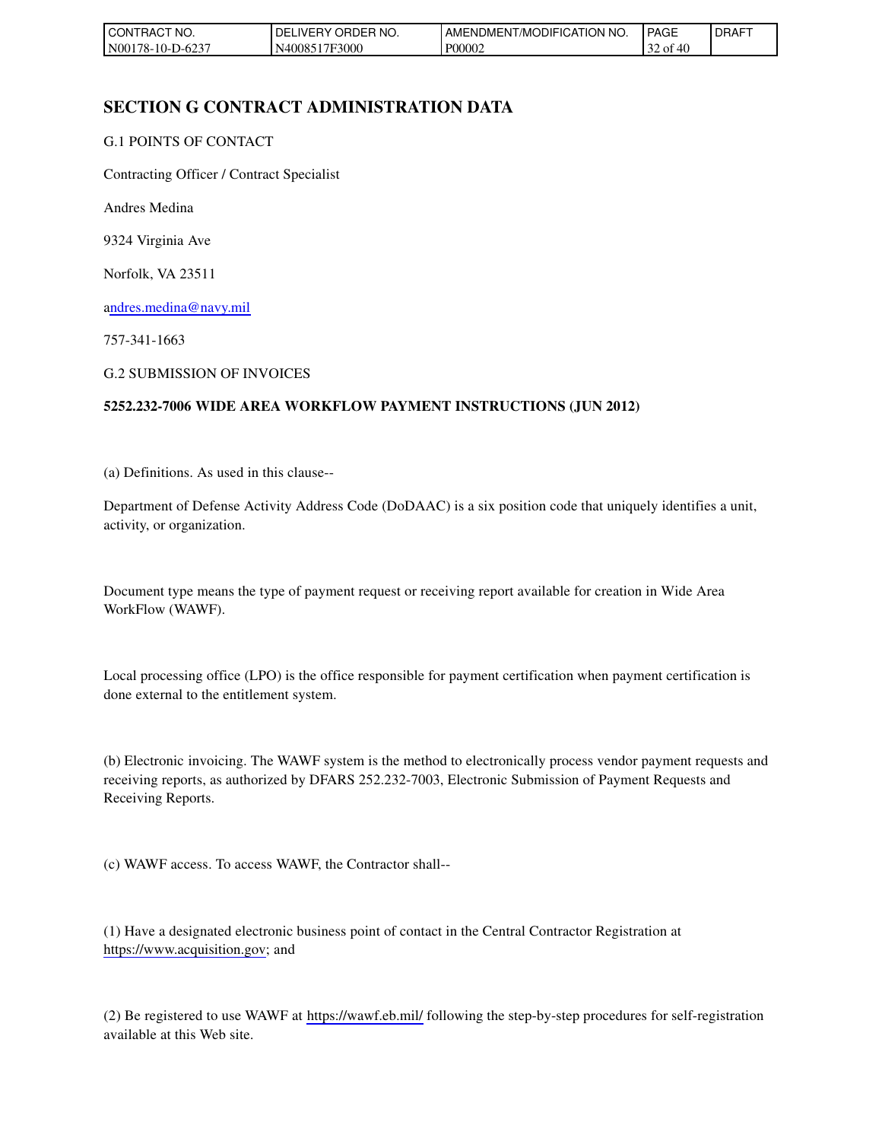| l CON<br>`No.<br>`RAC            | ≧ER NO.<br>DELI<br>ORDEF<br>_IVERY. | AMENDMENT/MODIFICATION NO. | <b>PAGE</b>    | <b>I DRAFT</b> |
|----------------------------------|-------------------------------------|----------------------------|----------------|----------------|
| <b>N001</b><br>78-10-I<br>-D-623 | N4008517F3000                       | P00002                     | 32 of<br>⁄ I I |                |

## **SECTION G CONTRACT ADMINISTRATION DATA**

#### G.1 POINTS OF CONTACT

Contracting Officer / Contract Specialist

Andres Medina

9324 Virginia Ave

Norfolk, VA 23511

[andres.medina@navy.mil](mailto:andres.medina@navy.mil)

757-341-1663

G.2 SUBMISSION OF INVOICES

#### **5252.232-7006 WIDE AREA WORKFLOW PAYMENT INSTRUCTIONS (JUN 2012)**

(a) Definitions. As used in this clause--

Department of Defense Activity Address Code (DoDAAC) is a six position code that uniquely identifies a unit, activity, or organization.

Document type means the type of payment request or receiving report available for creation in Wide Area WorkFlow (WAWF).

Local processing office (LPO) is the office responsible for payment certification when payment certification is done external to the entitlement system.

(b) Electronic invoicing. The WAWF system is the method to electronically process vendor payment requests and receiving reports, as authorized by DFARS 252.232-7003, Electronic Submission of Payment Requests and Receiving Reports.

(c) WAWF access. To access WAWF, the Contractor shall--

(1) Have a designated electronic business point of contact in the Central Contractor Registration at [https://www.acquisition.gov;](https://www.acquisition.gov/) and

(2) Be registered to use WAWF at [https://wawf.eb.mil/ f](https://wawf.eb.mil/)ollowing the step-by-step procedures for self-registration available at this Web site.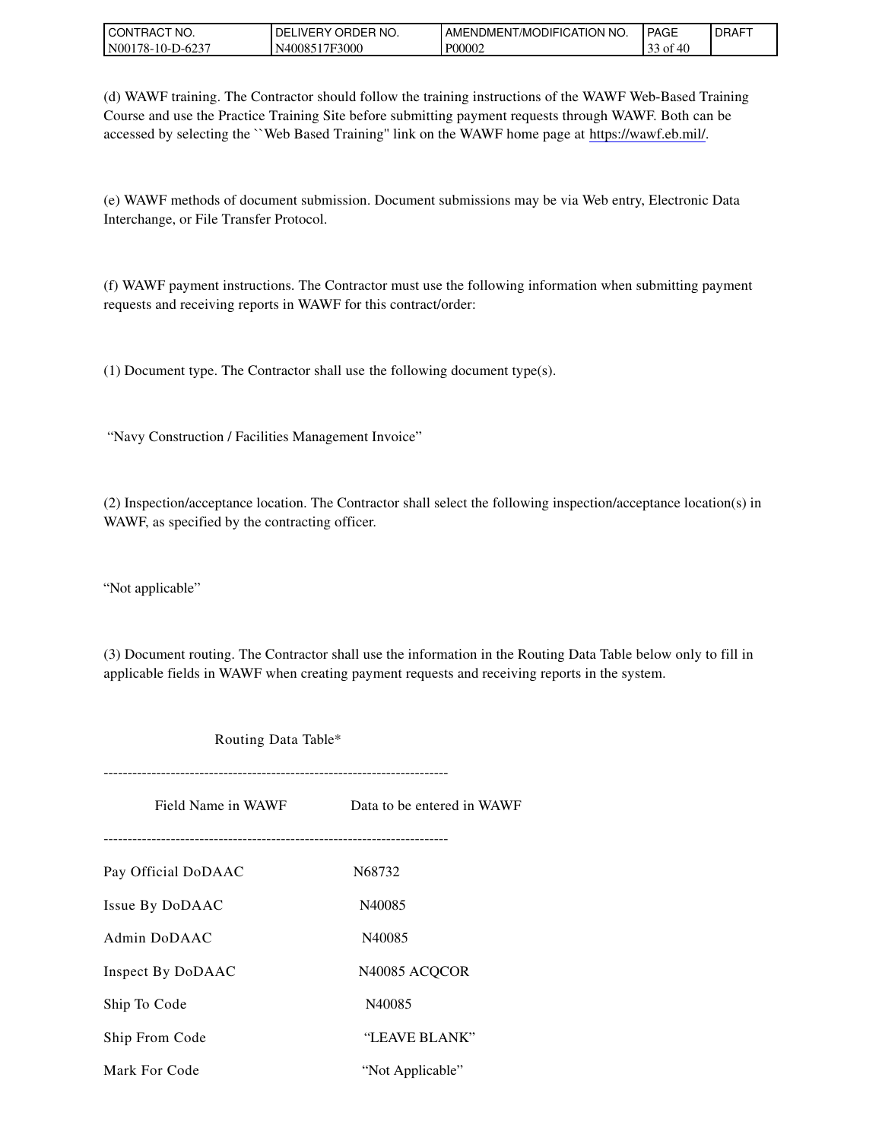| I CON <sup>-</sup><br>TRACT NO. | ORDER NO.<br><b>DELIVERY</b> | AMENDMENT/MODIFICATION NO. | <b>PAGE</b>                           | <b>IDRAFT</b> |
|---------------------------------|------------------------------|----------------------------|---------------------------------------|---------------|
| N00178-10-L<br>-D-6237          | N4008517F3000                | P00002                     | $\sim$ $\sim$<br>$\sim$<br>ΟĪ<br>40 O |               |

(d) WAWF training. The Contractor should follow the training instructions of the WAWF Web-Based Training Course and use the Practice Training Site before submitting payment requests through WAWF. Both can be accessed by selecting the ``Web Based Training'' link on the WAWF home page at [https://wawf.eb.mil/.](https://wawf.eb.mil/)

(e) WAWF methods of document submission. Document submissions may be via Web entry, Electronic Data Interchange, or File Transfer Protocol.

(f) WAWF payment instructions. The Contractor must use the following information when submitting payment requests and receiving reports in WAWF for this contract/order:

(1) Document type. The Contractor shall use the following document type(s).

"Navy Construction / Facilities Management Invoice"

(2) Inspection/acceptance location. The Contractor shall select the following inspection/acceptance location(s) in WAWF, as specified by the contracting officer.

"Not applicable"

(3) Document routing. The Contractor shall use the information in the Routing Data Table below only to fill in applicable fields in WAWF when creating payment requests and receiving reports in the system.

Routing Data Table\*

| Field Name in WAWF  | Data to be entered in WAWF |
|---------------------|----------------------------|
| Pay Official DoDAAC | N68732                     |
| Issue By DoDAAC     | N40085                     |
| Admin DoDAAC        | N40085                     |
| Inspect By DoDAAC   | N <sub>40085</sub> ACQCOR  |
| Ship To Code        | N40085                     |
| Ship From Code      | "LEAVE BLANK"              |
| Mark For Code       | "Not Applicable"           |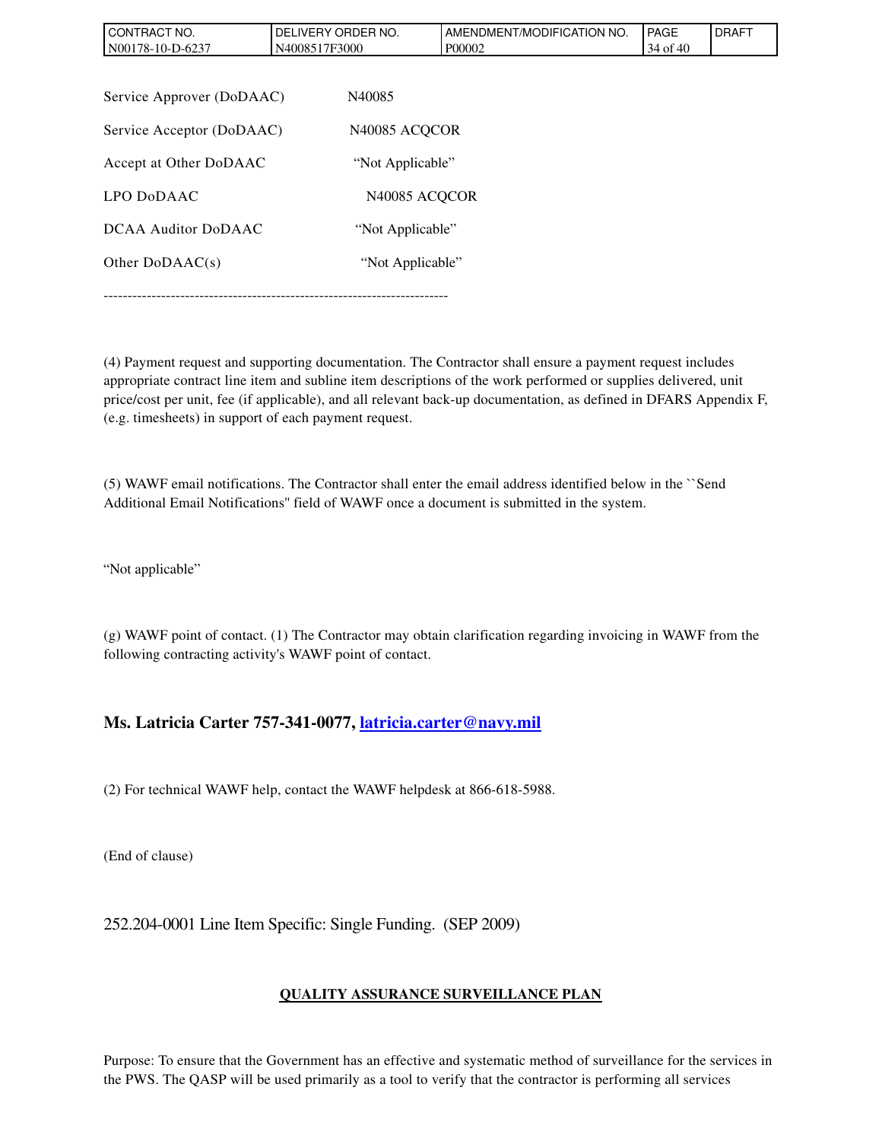| CONTRACT NO.<br>N00178-10-D-6237 | DELIVERY ORDER NO.<br>N4008517F3000 | AMENDMENT/MODIFICATION NO.<br>P00002 | PAGE<br>34 of 40 | <b>DRAFT</b> |
|----------------------------------|-------------------------------------|--------------------------------------|------------------|--------------|
|                                  |                                     |                                      |                  |              |
| Service Approver (DoDAAC)        | N40085                              |                                      |                  |              |
| Service Acceptor (DoDAAC)        |                                     | N <sub>40085</sub> ACQCOR            |                  |              |
| Accept at Other DoDAAC           | "Not Applicable"                    |                                      |                  |              |
| LPO DoDAAC                       |                                     | N <sub>40085</sub> ACQCOR            |                  |              |
| DCAA Auditor DoDAAC              |                                     | "Not Applicable"                     |                  |              |
| Other $DoDAAC(s)$                |                                     | "Not Applicable"                     |                  |              |
|                                  |                                     |                                      |                  |              |

(4) Payment request and supporting documentation. The Contractor shall ensure a payment request includes appropriate contract line item and subline item descriptions of the work performed or supplies delivered, unit price/cost per unit, fee (if applicable), and all relevant back-up documentation, as defined in DFARS Appendix F, (e.g. timesheets) in support of each payment request.

(5) WAWF email notifications. The Contractor shall enter the email address identified below in the ``Send Additional Email Notifications'' field of WAWF once a document is submitted in the system.

"Not applicable"

(g) WAWF point of contact. (1) The Contractor may obtain clarification regarding invoicing in WAWF from the following contracting activity's WAWF point of contact.

#### **Ms. Latricia Carter 757-341-0077, [latricia.carter@navy.mil](mailto:latricia.carter@navy.mil)**

(2) For technical WAWF help, contact the WAWF helpdesk at 866-618-5988.

(End of clause)

252.204-0001 Line Item Specific: Single Funding. (SEP 2009)

#### **QUALITY ASSURANCE SURVEILLANCE PLAN**

Purpose: To ensure that the Government has an effective and systematic method of surveillance for the services in the PWS. The QASP will be used primarily as a tool to verify that the contractor is performing all services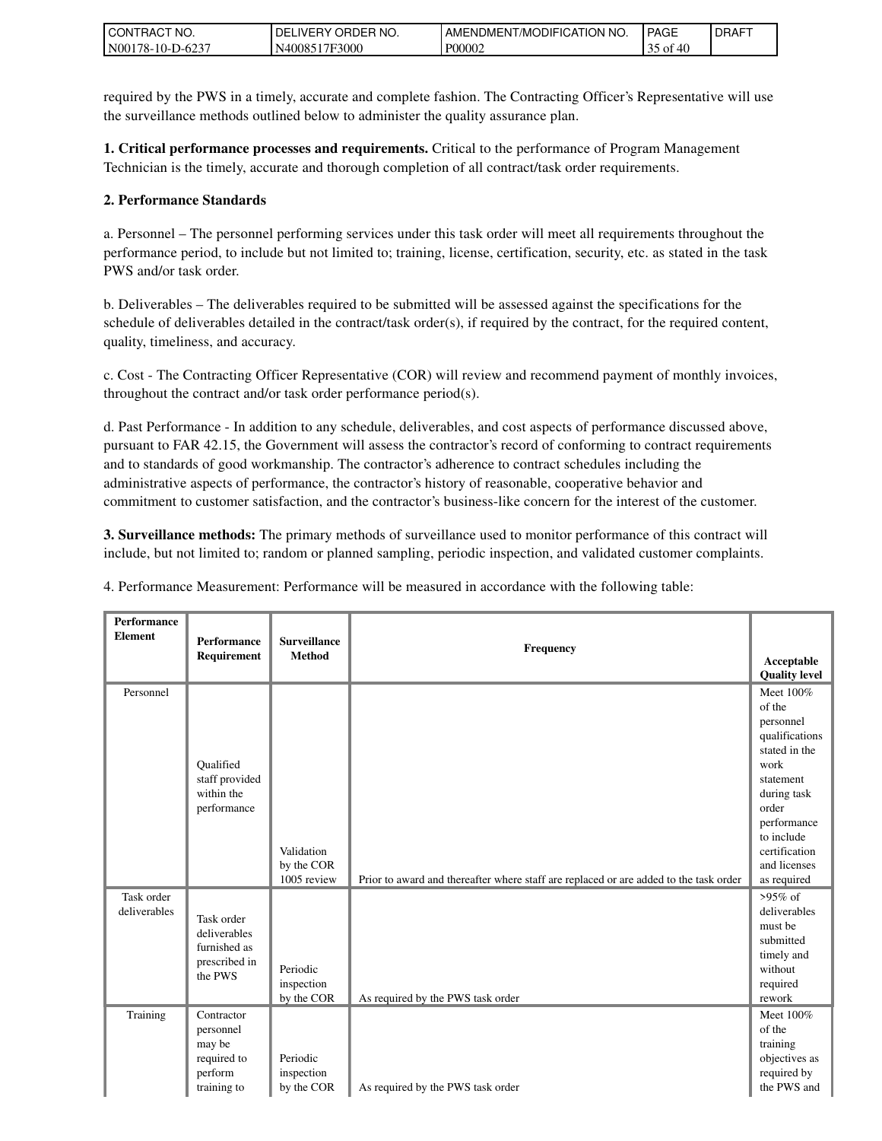| 'NO.<br><b>CONTRACT</b>                           | NO.<br><b>ORDER</b><br>DEI<br><b>IVERY</b> | I AMENDMENT/MODIFICATION NO. | <b>PAGE</b> | <b>IDRAFT</b> |
|---------------------------------------------------|--------------------------------------------|------------------------------|-------------|---------------|
| 6237<br>N0017<br>$178 - 10 - L$<br>$\cdot$ 1)-62. | N4008517F3000                              | P00002                       | `40<br>- OI |               |

required by the PWS in a timely, accurate and complete fashion. The Contracting Officer's Representative will use the surveillance methods outlined below to administer the quality assurance plan.

**1. Critical performance processes and requirements.** Critical to the performance of Program Management Technician is the timely, accurate and thorough completion of all contract/task order requirements.

#### **2. Performance Standards**

a. Personnel – The personnel performing services under this task order will meet all requirements throughout the performance period, to include but not limited to; training, license, certification, security, etc. as stated in the task PWS and/or task order.

b. Deliverables – The deliverables required to be submitted will be assessed against the specifications for the schedule of deliverables detailed in the contract/task order(s), if required by the contract, for the required content, quality, timeliness, and accuracy.

c. Cost - The Contracting Officer Representative (COR) will review and recommend payment of monthly invoices, throughout the contract and/or task order performance period(s).

d. Past Performance - In addition to any schedule, deliverables, and cost aspects of performance discussed above, pursuant to FAR 42.15, the Government will assess the contractor's record of conforming to contract requirements and to standards of good workmanship. The contractor's adherence to contract schedules including the administrative aspects of performance, the contractor's history of reasonable, cooperative behavior and commitment to customer satisfaction, and the contractor's business-like concern for the interest of the customer.

**3. Surveillance methods:** The primary methods of surveillance used to monitor performance of this contract will include, but not limited to; random or planned sampling, periodic inspection, and validated customer complaints.

4. Performance Measurement: Performance will be measured in accordance with the following table:

| <b>Performance</b><br><b>Element</b> | <b>Performance</b><br>Requirement                                          | <b>Surveillance</b><br><b>Method</b>    | Frequency                                                                             | Acceptable<br><b>Quality level</b>                                                                                                                                                            |
|--------------------------------------|----------------------------------------------------------------------------|-----------------------------------------|---------------------------------------------------------------------------------------|-----------------------------------------------------------------------------------------------------------------------------------------------------------------------------------------------|
| Personnel                            | Oualified<br>staff provided<br>within the<br>performance                   | Validation<br>by the COR<br>1005 review | Prior to award and thereafter where staff are replaced or are added to the task order | Meet 100%<br>of the<br>personnel<br>qualifications<br>stated in the<br>work<br>statement<br>during task<br>order<br>performance<br>to include<br>certification<br>and licenses<br>as required |
| Task order<br>deliverables           | Task order<br>deliverables<br>furnished as<br>prescribed in<br>the PWS     | Periodic<br>inspection<br>by the COR    | As required by the PWS task order                                                     | $>95\%$ of<br>deliverables<br>must be<br>submitted<br>timely and<br>without<br>required<br>rework                                                                                             |
| Training                             | Contractor<br>personnel<br>may be<br>required to<br>perform<br>training to | Periodic<br>inspection<br>by the COR    | As required by the PWS task order                                                     | Meet 100%<br>of the<br>training<br>objectives as<br>required by<br>the PWS and                                                                                                                |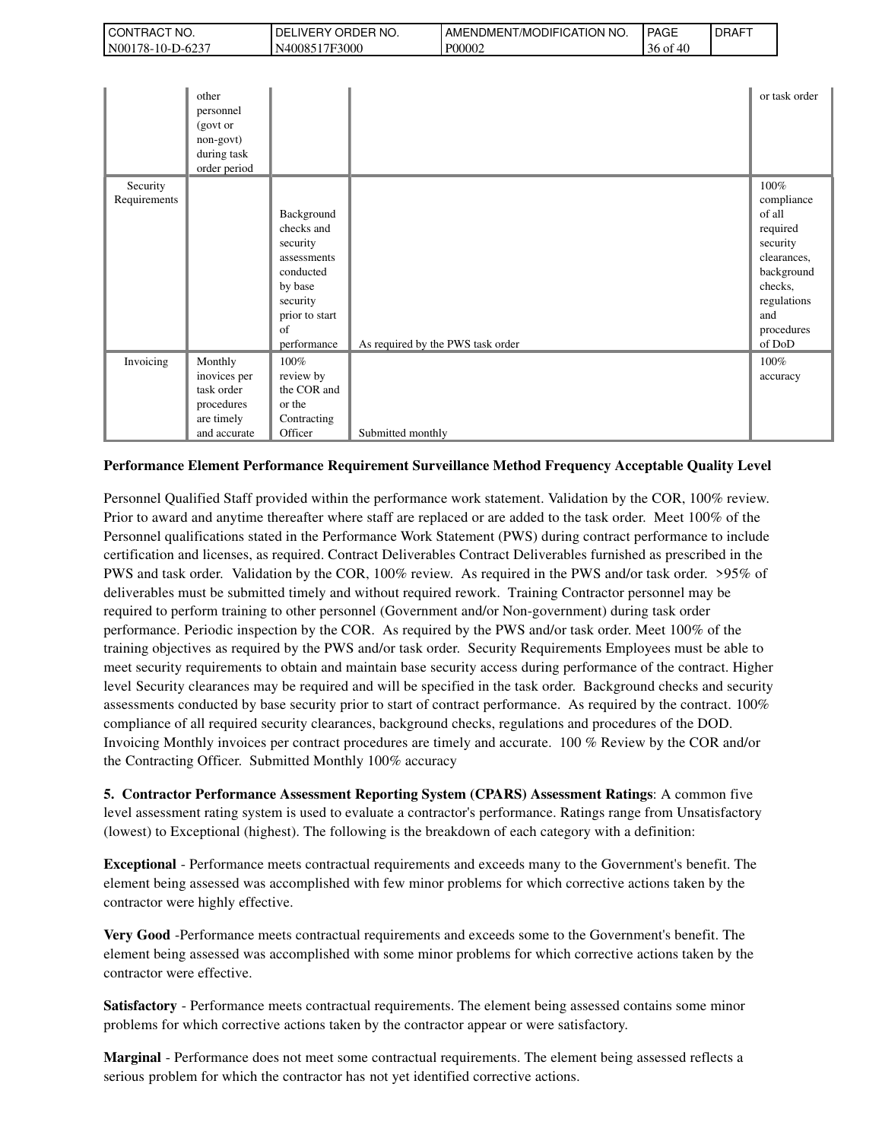| 'NO.<br>CON1<br>TRAC.        | NO.<br>ORDER<br>DELI<br>IVERY. | ENDMENT/MODIFICATION NO.<br>AME. | <b>PAGE</b>          | <b>DRAFT</b> |
|------------------------------|--------------------------------|----------------------------------|----------------------|--------------|
| N001<br>78-10-E<br>$10 - 62$ | 7F3000<br>40085<br>N4.         | P00002                           | 30<br>ΟĪ<br>711<br>᠇ |              |

|                          | other<br>personnel<br>(govt or<br>non-govt)<br>during task<br>order period        |                                                                                                                                |                                   | or task order                                                                                                                              |
|--------------------------|-----------------------------------------------------------------------------------|--------------------------------------------------------------------------------------------------------------------------------|-----------------------------------|--------------------------------------------------------------------------------------------------------------------------------------------|
| Security<br>Requirements |                                                                                   | Background<br>checks and<br>security<br>assessments<br>conducted<br>by base<br>security<br>prior to start<br>of<br>performance | As required by the PWS task order | 100%<br>compliance<br>of all<br>required<br>security<br>clearances,<br>background<br>checks,<br>regulations<br>and<br>procedures<br>of DoD |
| Invoicing                | Monthly<br>inovices per<br>task order<br>procedures<br>are timely<br>and accurate | 100%<br>review by<br>the COR and<br>or the<br>Contracting<br>Officer                                                           | Submitted monthly                 | 100%<br>accuracy                                                                                                                           |

#### **Performance Element Performance Requirement Surveillance Method Frequency Acceptable Quality Level**

Personnel Qualified Staff provided within the performance work statement. Validation by the COR, 100% review. Prior to award and anytime thereafter where staff are replaced or are added to the task order. Meet 100% of the Personnel qualifications stated in the Performance Work Statement (PWS) during contract performance to include certification and licenses, as required. Contract Deliverables Contract Deliverables furnished as prescribed in the PWS and task order. Validation by the COR, 100% review. As required in the PWS and/or task order. >95% of deliverables must be submitted timely and without required rework. Training Contractor personnel may be required to perform training to other personnel (Government and/or Non-government) during task order performance. Periodic inspection by the COR. As required by the PWS and/or task order. Meet 100% of the training objectives as required by the PWS and/or task order. Security Requirements Employees must be able to meet security requirements to obtain and maintain base security access during performance of the contract. Higher level Security clearances may be required and will be specified in the task order. Background checks and security assessments conducted by base security prior to start of contract performance. As required by the contract. 100% compliance of all required security clearances, background checks, regulations and procedures of the DOD. Invoicing Monthly invoices per contract procedures are timely and accurate. 100 % Review by the COR and/or the Contracting Officer. Submitted Monthly 100% accuracy

**5. Contractor Performance Assessment Reporting System (CPARS) Assessment Ratings**: A common five level assessment rating system is used to evaluate a contractor's performance. Ratings range from Unsatisfactory (lowest) to Exceptional (highest). The following is the breakdown of each category with a definition:

**Exceptional** - Performance meets contractual requirements and exceeds many to the Government's benefit. The element being assessed was accomplished with few minor problems for which corrective actions taken by the contractor were highly effective.

**Very Good** -Performance meets contractual requirements and exceeds some to the Government's benefit. The element being assessed was accomplished with some minor problems for which corrective actions taken by the contractor were effective.

**Satisfactory** - Performance meets contractual requirements. The element being assessed contains some minor problems for which corrective actions taken by the contractor appear or were satisfactory.

**Marginal** - Performance does not meet some contractual requirements. The element being assessed reflects a serious problem for which the contractor has not yet identified corrective actions.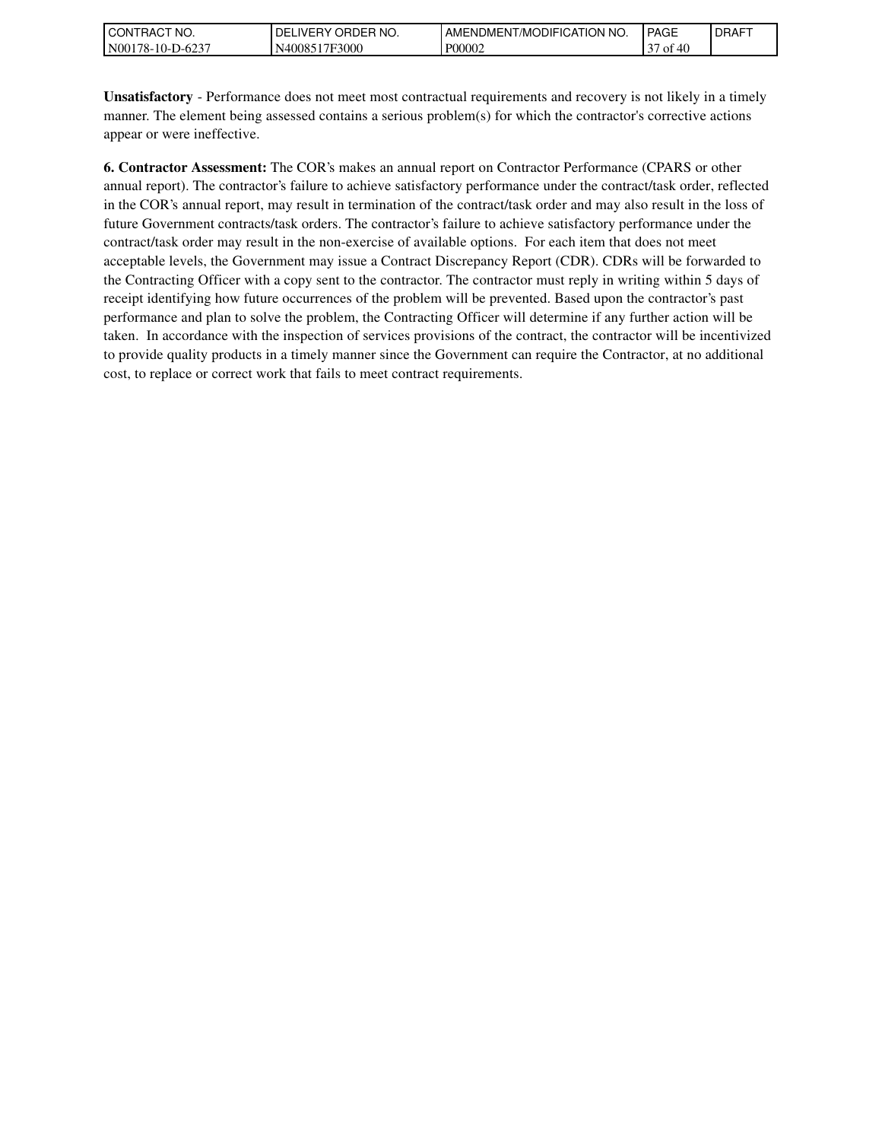| l CON<br>" NO.<br><b>HAC</b>  | NO.<br>ORDER<br>DEL<br>. ⊥VER⊻ ⊺ | <b>NO</b><br>AME<br>MODIFICATION<br>`-NDMENT. | <b>PAGE</b>                        | DRAFT |
|-------------------------------|----------------------------------|-----------------------------------------------|------------------------------------|-------|
| N00<br>78-<br>-10-.<br>-D-623 | 7F3000<br>4008.                  | P00002                                        | 0.10<br>$\sim$ $\sim$<br>Οİ<br>711 |       |

**Unsatisfactory** - Performance does not meet most contractual requirements and recovery is not likely in a timely manner. The element being assessed contains a serious problem(s) for which the contractor's corrective actions appear or were ineffective.

**6. Contractor Assessment:** The COR's makes an annual report on Contractor Performance (CPARS or other annual report). The contractor's failure to achieve satisfactory performance under the contract/task order, reflected in the COR's annual report, may result in termination of the contract/task order and may also result in the loss of future Government contracts/task orders. The contractor's failure to achieve satisfactory performance under the contract/task order may result in the non-exercise of available options. For each item that does not meet acceptable levels, the Government may issue a Contract Discrepancy Report (CDR). CDRs will be forwarded to the Contracting Officer with a copy sent to the contractor. The contractor must reply in writing within 5 days of receipt identifying how future occurrences of the problem will be prevented. Based upon the contractor's past performance and plan to solve the problem, the Contracting Officer will determine if any further action will be taken. In accordance with the inspection of services provisions of the contract, the contractor will be incentivized to provide quality products in a timely manner since the Government can require the Contractor, at no additional cost, to replace or correct work that fails to meet contract requirements.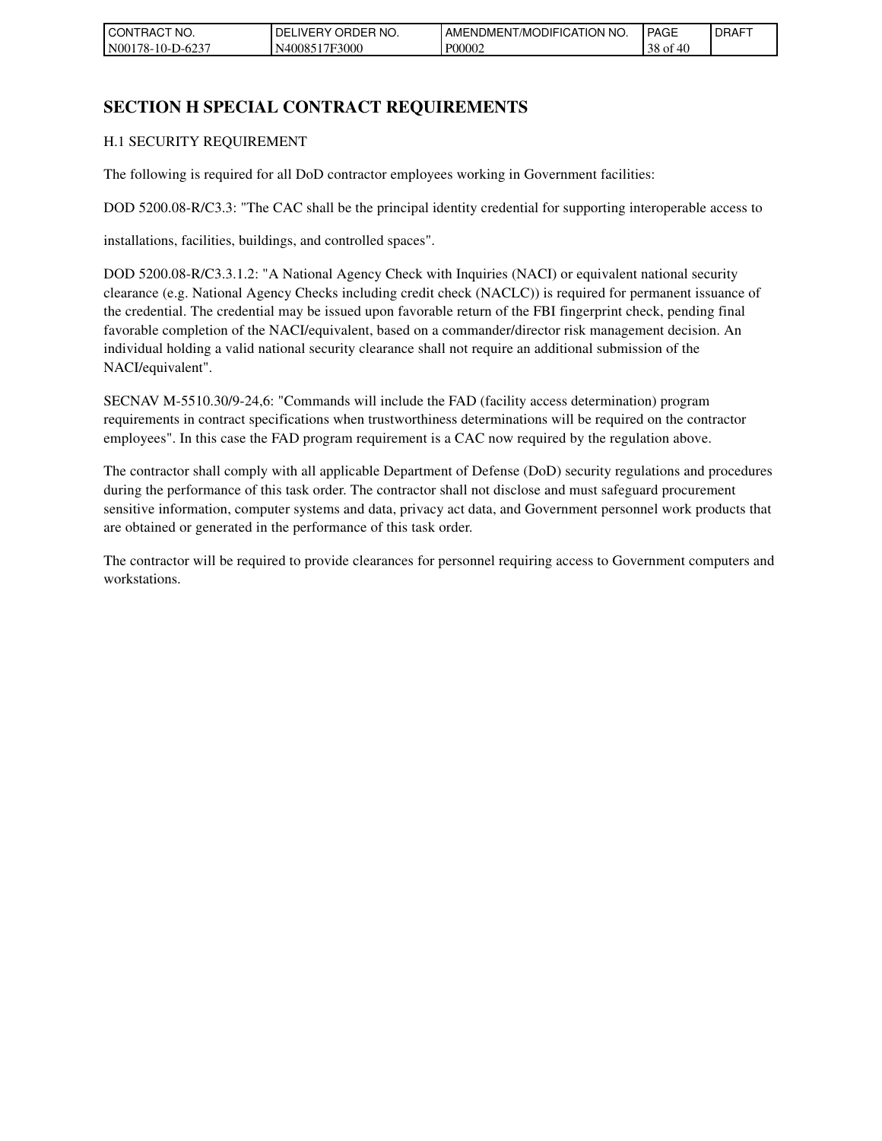| 'NO.<br>CONTRACT       | 'NO.<br>، ORDEP<br>DELI<br><b>IVERY</b> | <b>ICATION</b><br>' NO.<br>/MODIFIC<br>AMENDMENT. | <b>PAGE</b>        | LDRAFT |
|------------------------|-----------------------------------------|---------------------------------------------------|--------------------|--------|
| -D-6237<br>N00178-10-I | 17F3000<br>N <sub>40085</sub>           | P00002                                            | 38<br>f 40<br>` OI |        |

## **SECTION H SPECIAL CONTRACT REQUIREMENTS**

#### H.1 SECURITY REQUIREMENT

The following is required for all DoD contractor employees working in Government facilities:

DOD 5200.08-R/C3.3: "The CAC shall be the principal identity credential for supporting interoperable access to

installations, facilities, buildings, and controlled spaces".

DOD 5200.08-R/C3.3.1.2: "A National Agency Check with Inquiries (NACI) or equivalent national security clearance (e.g. National Agency Checks including credit check (NACLC)) is required for permanent issuance of the credential. The credential may be issued upon favorable return of the FBI fingerprint check, pending final favorable completion of the NACI/equivalent, based on a commander/director risk management decision. An individual holding a valid national security clearance shall not require an additional submission of the NACI/equivalent".

SECNAV M-5510.30/9-24,6: "Commands will include the FAD (facility access determination) program requirements in contract specifications when trustworthiness determinations will be required on the contractor employees". In this case the FAD program requirement is a CAC now required by the regulation above.

The contractor shall comply with all applicable Department of Defense (DoD) security regulations and procedures during the performance of this task order. The contractor shall not disclose and must safeguard procurement sensitive information, computer systems and data, privacy act data, and Government personnel work products that are obtained or generated in the performance of this task order.

The contractor will be required to provide clearances for personnel requiring access to Government computers and workstations.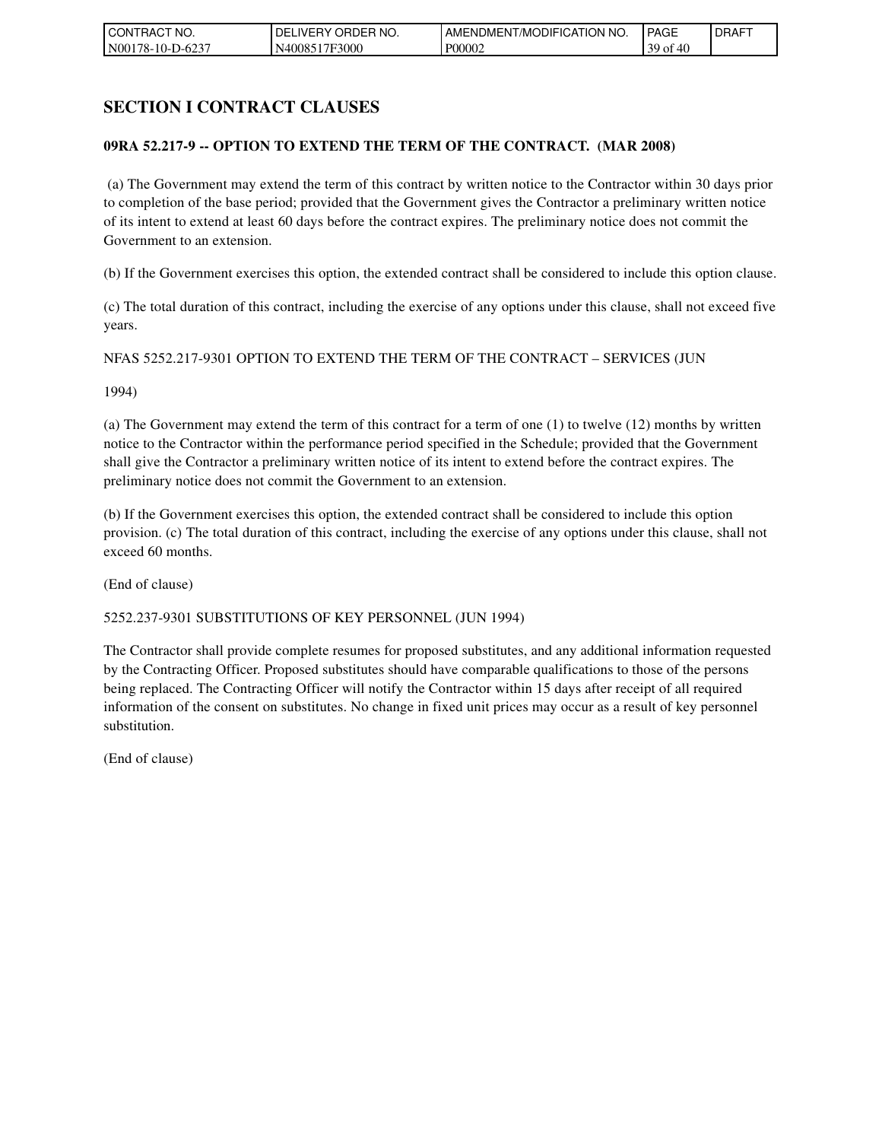| <b>CONT</b><br>TRACT NO. | ORDER NO.<br><b>DELIVERY</b> | <b>I AMENDMENT/MODIFICATION NO.</b> | <b>PAGE</b>                            | <b>DRAFT</b> |
|--------------------------|------------------------------|-------------------------------------|----------------------------------------|--------------|
| N00178-10-D-6237         | N4008517F3000                | P00002                              | <i>ና ለ</i> በ<br>39 <sub>of</sub><br>᠇ぃ |              |

## **SECTION I CONTRACT CLAUSES**

#### **09RA 52.217-9 -- OPTION TO EXTEND THE TERM OF THE CONTRACT. (MAR 2008)**

 (a) The Government may extend the term of this contract by written notice to the Contractor within 30 days prior to completion of the base period; provided that the Government gives the Contractor a preliminary written notice of its intent to extend at least 60 days before the contract expires. The preliminary notice does not commit the Government to an extension.

(b) If the Government exercises this option, the extended contract shall be considered to include this option clause.

(c) The total duration of this contract, including the exercise of any options under this clause, shall not exceed five years.

NFAS 5252.217-9301 OPTION TO EXTEND THE TERM OF THE CONTRACT – SERVICES (JUN

1994)

(a) The Government may extend the term of this contract for a term of one (1) to twelve (12) months by written notice to the Contractor within the performance period specified in the Schedule; provided that the Government shall give the Contractor a preliminary written notice of its intent to extend before the contract expires. The preliminary notice does not commit the Government to an extension.

(b) If the Government exercises this option, the extended contract shall be considered to include this option provision. (c) The total duration of this contract, including the exercise of any options under this clause, shall not exceed 60 months.

(End of clause)

#### 5252.237-9301 SUBSTITUTIONS OF KEY PERSONNEL (JUN 1994)

The Contractor shall provide complete resumes for proposed substitutes, and any additional information requested by the Contracting Officer. Proposed substitutes should have comparable qualifications to those of the persons being replaced. The Contracting Officer will notify the Contractor within 15 days after receipt of all required information of the consent on substitutes. No change in fixed unit prices may occur as a result of key personnel substitution.

(End of clause)